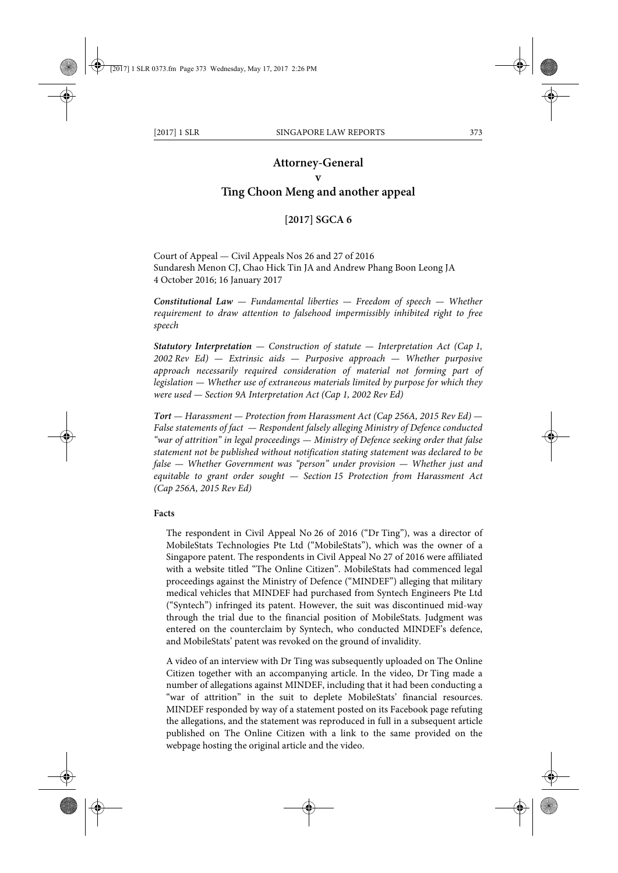## **Attorney-General**

## **v**

# **Ting Choon Meng and another appeal**

### **[2017] SGCA 6**

Court of Appeal — Civil Appeals Nos 26 and 27 of 2016 Sundaresh Menon CJ, Chao Hick Tin JA and Andrew Phang Boon Leong JA 4 October 2016; 16 January 2017

*Constitutional Law — Fundamental liberties — Freedom of speech — Whether requirement to draw attention to falsehood impermissibly inhibited right to free speech*

*Statutory Interpretation — Construction of statute — Interpretation Act (Cap 1, 2002 Rev Ed) — Extrinsic aids — Purposive approach — Whether purposive approach necessarily required consideration of material not forming part of legislation — Whether use of extraneous materials limited by purpose for which they were used — Section 9A Interpretation Act (Cap 1, 2002 Rev Ed)*

*Tort — Harassment — Protection from Harassment Act (Cap 256A, 2015 Rev Ed) — False statements of fact — Respondent falsely alleging Ministry of Defence conducted "war of attrition" in legal proceedings — Ministry of Defence seeking order that false statement not be published without notification stating statement was declared to be false — Whether Government was "person" under provision — Whether just and equitable to grant order sought — Section 15 Protection from Harassment Act (Cap 256A, 2015 Rev Ed)*

#### **Facts**

The respondent in Civil Appeal No 26 of 2016 ("Dr Ting"), was a director of MobileStats Technologies Pte Ltd ("MobileStats"), which was the owner of a Singapore patent. The respondents in Civil Appeal No 27 of 2016 were affiliated with a website titled "The Online Citizen". MobileStats had commenced legal proceedings against the Ministry of Defence ("MINDEF") alleging that military medical vehicles that MINDEF had purchased from Syntech Engineers Pte Ltd ("Syntech") infringed its patent. However, the suit was discontinued mid-way through the trial due to the financial position of MobileStats. Judgment was entered on the counterclaim by Syntech, who conducted MINDEF's defence, and MobileStats' patent was revoked on the ground of invalidity.

A video of an interview with Dr Ting was subsequently uploaded on The Online Citizen together with an accompanying article. In the video, Dr Ting made a number of allegations against MINDEF, including that it had been conducting a "war of attrition" in the suit to deplete MobileStats' financial resources. MINDEF responded by way of a statement posted on its Facebook page refuting the allegations, and the statement was reproduced in full in a subsequent article published on The Online Citizen with a link to the same provided on the webpage hosting the original article and the video.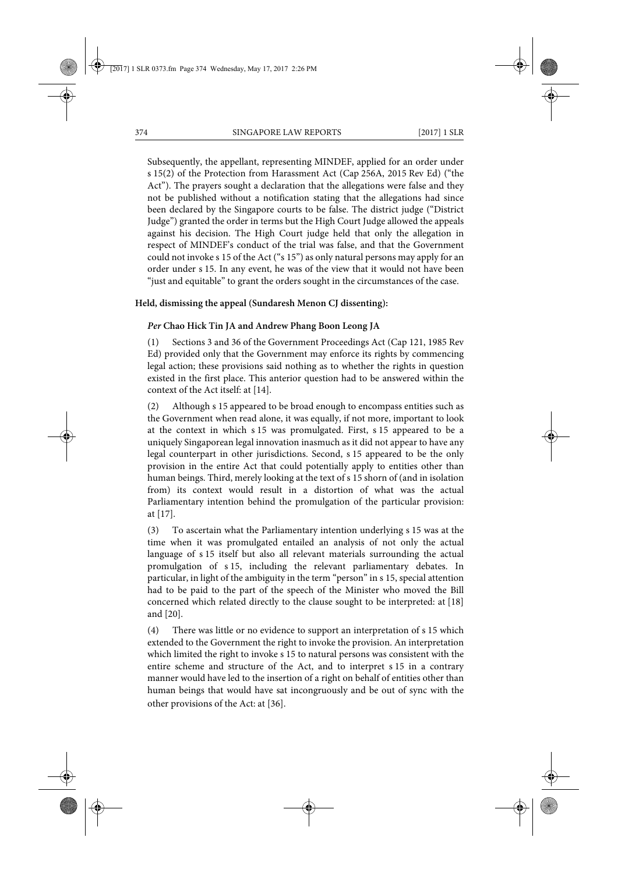Subsequently, the appellant, representing MINDEF, applied for an order under s 15(2) of the Protection from Harassment Act (Cap 256A, 2015 Rev Ed) ("the Act"). The prayers sought a declaration that the allegations were false and they not be published without a notification stating that the allegations had since been declared by the Singapore courts to be false. The district judge ("District Judge") granted the order in terms but the High Court Judge allowed the appeals against his decision. The High Court judge held that only the allegation in respect of MINDEF's conduct of the trial was false, and that the Government could not invoke s 15 of the Act ("s 15") as only natural persons may apply for an order under s 15. In any event, he was of the view that it would not have been "just and equitable" to grant the orders sought in the circumstances of the case.

#### **Held, dismissing the appeal (Sundaresh Menon CJ dissenting):**

#### *Per* **Chao Hick Tin JA and Andrew Phang Boon Leong JA**

(1) Sections 3 and 36 of the Government Proceedings Act (Cap 121, 1985 Rev Ed) provided only that the Government may enforce its rights by commencing legal action; these provisions said nothing as to whether the rights in question existed in the first place. This anterior question had to be answered within the context of the Act itself: at [14].

(2) Although s 15 appeared to be broad enough to encompass entities such as the Government when read alone, it was equally, if not more, important to look at the context in which s 15 was promulgated. First, s 15 appeared to be a uniquely Singaporean legal innovation inasmuch as it did not appear to have any legal counterpart in other jurisdictions. Second, s 15 appeared to be the only provision in the entire Act that could potentially apply to entities other than human beings. Third, merely looking at the text of s 15 shorn of (and in isolation from) its context would result in a distortion of what was the actual Parliamentary intention behind the promulgation of the particular provision: at [17].

(3) To ascertain what the Parliamentary intention underlying s 15 was at the time when it was promulgated entailed an analysis of not only the actual language of s 15 itself but also all relevant materials surrounding the actual promulgation of s 15, including the relevant parliamentary debates. In particular, in light of the ambiguity in the term "person" in s 15, special attention had to be paid to the part of the speech of the Minister who moved the Bill concerned which related directly to the clause sought to be interpreted: at [18] and [20].

(4) There was little or no evidence to support an interpretation of s 15 which extended to the Government the right to invoke the provision. An interpretation which limited the right to invoke s 15 to natural persons was consistent with the entire scheme and structure of the Act, and to interpret s 15 in a contrary manner would have led to the insertion of a right on behalf of entities other than human beings that would have sat incongruously and be out of sync with the other provisions of the Act: at [36].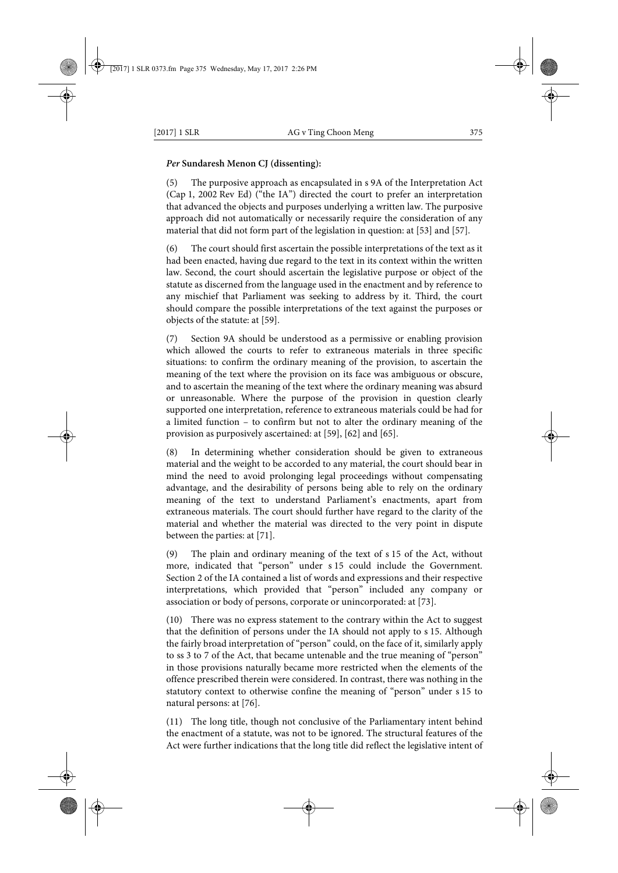### *Per* **Sundaresh Menon CJ (dissenting):**

(5) The purposive approach as encapsulated in s 9A of the Interpretation Act (Cap 1, 2002 Rev Ed) ("the IA") directed the court to prefer an interpretation that advanced the objects and purposes underlying a written law. The purposive approach did not automatically or necessarily require the consideration of any material that did not form part of the legislation in question: at [53] and [57].

The court should first ascertain the possible interpretations of the text as it had been enacted, having due regard to the text in its context within the written law. Second, the court should ascertain the legislative purpose or object of the statute as discerned from the language used in the enactment and by reference to any mischief that Parliament was seeking to address by it. Third, the court should compare the possible interpretations of the text against the purposes or objects of the statute: at [59].

(7) Section 9A should be understood as a permissive or enabling provision which allowed the courts to refer to extraneous materials in three specific situations: to confirm the ordinary meaning of the provision, to ascertain the meaning of the text where the provision on its face was ambiguous or obscure, and to ascertain the meaning of the text where the ordinary meaning was absurd or unreasonable. Where the purpose of the provision in question clearly supported one interpretation, reference to extraneous materials could be had for a limited function – to confirm but not to alter the ordinary meaning of the provision as purposively ascertained: at [59], [62] and [65].

In determining whether consideration should be given to extraneous material and the weight to be accorded to any material, the court should bear in mind the need to avoid prolonging legal proceedings without compensating advantage, and the desirability of persons being able to rely on the ordinary meaning of the text to understand Parliament's enactments, apart from extraneous materials. The court should further have regard to the clarity of the material and whether the material was directed to the very point in dispute between the parties: at [71].

(9) The plain and ordinary meaning of the text of s 15 of the Act, without more, indicated that "person" under s 15 could include the Government. Section 2 of the IA contained a list of words and expressions and their respective interpretations, which provided that "person" included any company or association or body of persons, corporate or unincorporated: at [73].

(10) There was no express statement to the contrary within the Act to suggest that the definition of persons under the IA should not apply to s 15. Although the fairly broad interpretation of "person" could, on the face of it, similarly apply to ss 3 to 7 of the Act, that became untenable and the true meaning of "person" in those provisions naturally became more restricted when the elements of the offence prescribed therein were considered. In contrast, there was nothing in the statutory context to otherwise confine the meaning of "person" under s 15 to natural persons: at [76].

(11) The long title, though not conclusive of the Parliamentary intent behind the enactment of a statute, was not to be ignored. The structural features of the Act were further indications that the long title did reflect the legislative intent of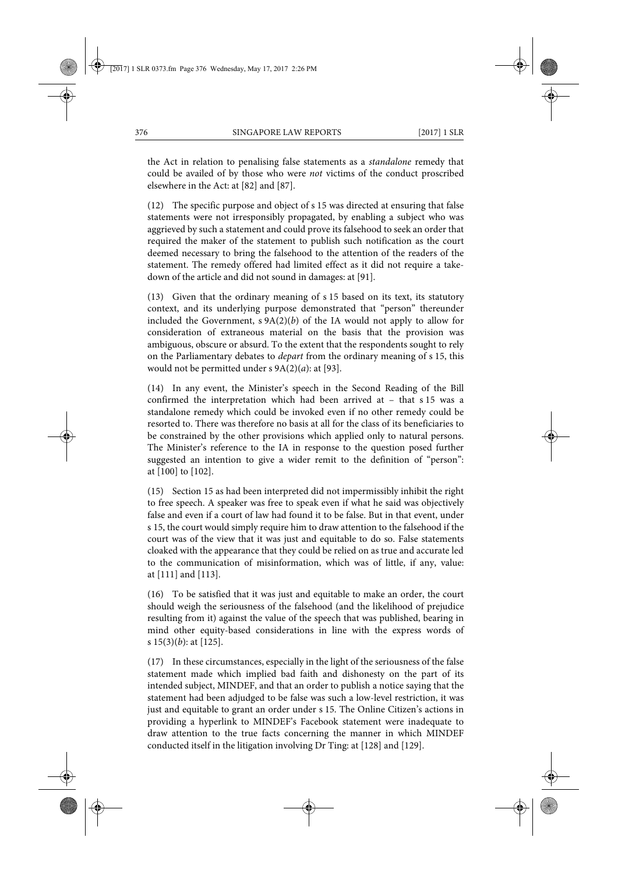the Act in relation to penalising false statements as a *standalone* remedy that could be availed of by those who were *not* victims of the conduct proscribed elsewhere in the Act: at [82] and [87].

(12) The specific purpose and object of s 15 was directed at ensuring that false statements were not irresponsibly propagated, by enabling a subject who was aggrieved by such a statement and could prove its falsehood to seek an order that required the maker of the statement to publish such notification as the court deemed necessary to bring the falsehood to the attention of the readers of the statement. The remedy offered had limited effect as it did not require a takedown of the article and did not sound in damages: at [91].

(13) Given that the ordinary meaning of s 15 based on its text, its statutory context, and its underlying purpose demonstrated that "person" thereunder included the Government,  $s \theta A(2)(b)$  of the IA would not apply to allow for consideration of extraneous material on the basis that the provision was ambiguous, obscure or absurd. To the extent that the respondents sought to rely on the Parliamentary debates to *depart* from the ordinary meaning of s 15, this would not be permitted under s 9A(2)(*a*): at [93].

(14) In any event, the Minister's speech in the Second Reading of the Bill confirmed the interpretation which had been arrived at – that s 15 was a standalone remedy which could be invoked even if no other remedy could be resorted to. There was therefore no basis at all for the class of its beneficiaries to be constrained by the other provisions which applied only to natural persons. The Minister's reference to the IA in response to the question posed further suggested an intention to give a wider remit to the definition of "person": at [100] to [102].

(15) Section 15 as had been interpreted did not impermissibly inhibit the right to free speech. A speaker was free to speak even if what he said was objectively false and even if a court of law had found it to be false. But in that event, under s 15, the court would simply require him to draw attention to the falsehood if the court was of the view that it was just and equitable to do so. False statements cloaked with the appearance that they could be relied on as true and accurate led to the communication of misinformation, which was of little, if any, value: at [111] and [113].

(16) To be satisfied that it was just and equitable to make an order, the court should weigh the seriousness of the falsehood (and the likelihood of prejudice resulting from it) against the value of the speech that was published, bearing in mind other equity-based considerations in line with the express words of s 15(3)(*b*): at [125].

(17) In these circumstances, especially in the light of the seriousness of the false statement made which implied bad faith and dishonesty on the part of its intended subject, MINDEF, and that an order to publish a notice saying that the statement had been adjudged to be false was such a low-level restriction, it was just and equitable to grant an order under s 15. The Online Citizen's actions in providing a hyperlink to MINDEF's Facebook statement were inadequate to draw attention to the true facts concerning the manner in which MINDEF conducted itself in the litigation involving Dr Ting: at [128] and [129].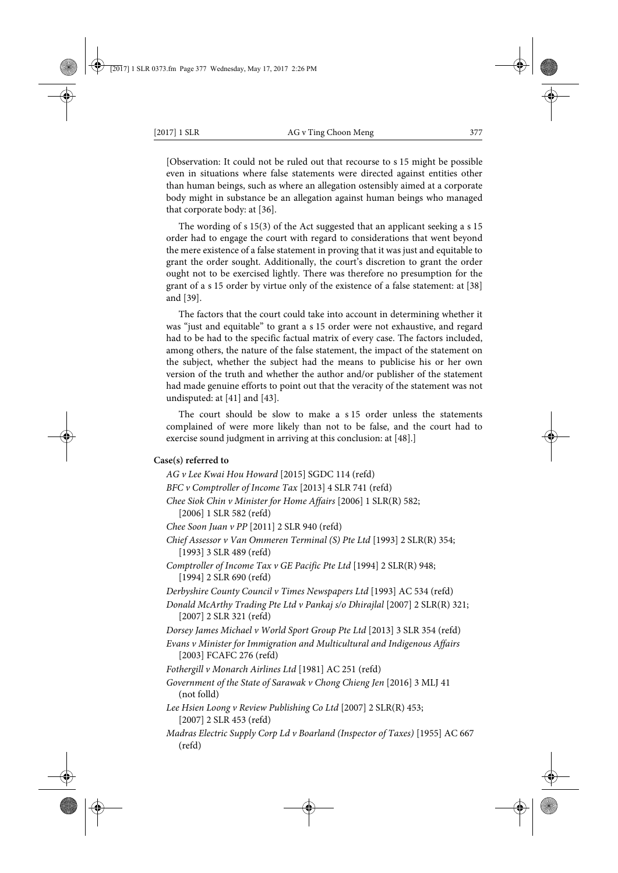[Observation: It could not be ruled out that recourse to s 15 might be possible even in situations where false statements were directed against entities other than human beings, such as where an allegation ostensibly aimed at a corporate body might in substance be an allegation against human beings who managed that corporate body: at [36].

The wording of s 15(3) of the Act suggested that an applicant seeking a s 15 order had to engage the court with regard to considerations that went beyond the mere existence of a false statement in proving that it was just and equitable to grant the order sought. Additionally, the court's discretion to grant the order ought not to be exercised lightly. There was therefore no presumption for the grant of a s 15 order by virtue only of the existence of a false statement: at [38] and [39].

The factors that the court could take into account in determining whether it was "just and equitable" to grant a s 15 order were not exhaustive, and regard had to be had to the specific factual matrix of every case. The factors included, among others, the nature of the false statement, the impact of the statement on the subject, whether the subject had the means to publicise his or her own version of the truth and whether the author and/or publisher of the statement had made genuine efforts to point out that the veracity of the statement was not undisputed: at [41] and [43].

The court should be slow to make a s 15 order unless the statements complained of were more likely than not to be false, and the court had to exercise sound judgment in arriving at this conclusion: at [48].]

#### **Case(s) referred to**

(refd)

*AG v Lee Kwai Hou Howard* [2015] SGDC 114 (refd) *BFC v Comptroller of Income Tax* [2013] 4 SLR 741 (refd) *Chee Siok Chin v Minister for Home Affairs* [2006] 1 SLR(R) 582; [2006] 1 SLR 582 (refd) *Chee Soon Juan v PP* [2011] 2 SLR 940 (refd) *Chief Assessor v Van Ommeren Terminal (S) Pte Ltd* [1993] 2 SLR(R) 354; [1993] 3 SLR 489 (refd) *Comptroller of Income Tax v GE Pacific Pte Ltd* [1994] 2 SLR(R) 948; [1994] 2 SLR 690 (refd) *Derbyshire County Council v Times Newspapers Ltd* [1993] AC 534 (refd) *Donald McArthy Trading Pte Ltd v Pankaj s/o Dhirajlal* [2007] 2 SLR(R) 321; [2007] 2 SLR 321 (refd) *Dorsey James Michael v World Sport Group Pte Ltd* [2013] 3 SLR 354 (refd) *Evans v Minister for Immigration and Multicultural and Indigenous Affairs* [2003] FCAFC 276 (refd) *Fothergill v Monarch Airlines Ltd* [1981] AC 251 (refd) *Government of the State of Sarawak v Chong Chieng Jen* [2016] 3 MLJ 41 (not folld) *Lee Hsien Loong v Review Publishing Co Ltd* [2007] 2 SLR(R) 453; [2007] 2 SLR 453 (refd) *Madras Electric Supply Corp Ld v Boarland (Inspector of Taxes)* [1955] AC 667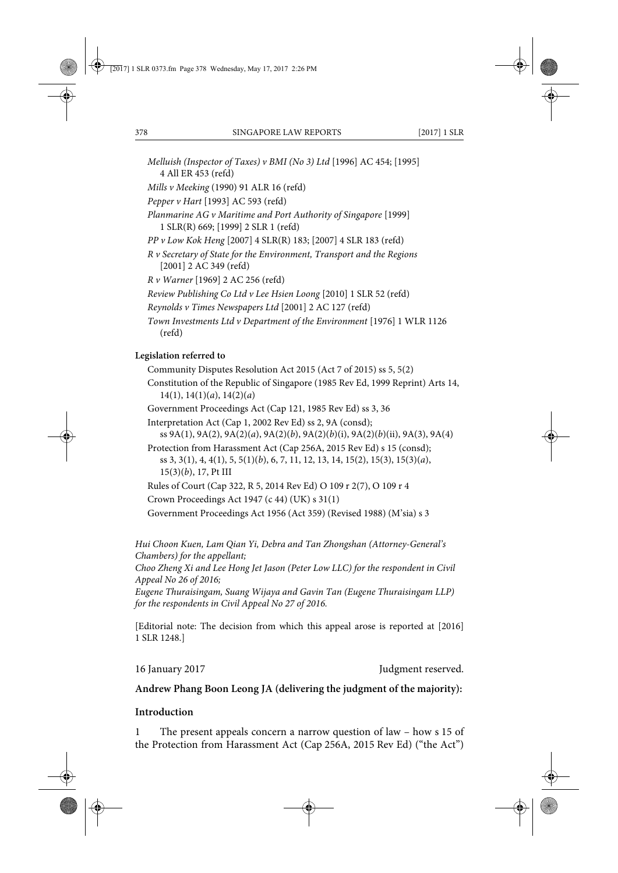- *Melluish (Inspector of Taxes) v BMI (No 3) Ltd* [1996] AC 454; [1995] 4 All ER 453 (refd)
- *Mills v Meeking* (1990) 91 ALR 16 (refd)

*Pepper v Hart* [1993] AC 593 (refd)

*Planmarine AG v Maritime and Port Authority of Singapore* [1999] 1 SLR(R) 669; [1999] 2 SLR 1 (refd)

*PP v Low Kok Heng* [2007] 4 SLR(R) 183; [2007] 4 SLR 183 (refd)

*R v Secretary of State for the Environment, Transport and the Regions* [2001] 2 AC 349 (refd)

*R v Warner* [1969] 2 AC 256 (refd)

*Review Publishing Co Ltd v Lee Hsien Loong* [2010] 1 SLR 52 (refd)

- *Reynolds v Times Newspapers Ltd* [2001] 2 AC 127 (refd)
- *Town Investments Ltd v Department of the Environment* [1976] 1 WLR 1126 (refd)

## **Legislation referred to**

- Community Disputes Resolution Act 2015 (Act 7 of 2015) ss 5, 5(2) Constitution of the Republic of Singapore (1985 Rev Ed, 1999 Reprint) Arts 14, 14(1), 14(1)(*a*), 14(2)(*a*)
- Government Proceedings Act (Cap 121, 1985 Rev Ed) ss 3, 36
- Interpretation Act (Cap 1, 2002 Rev Ed) ss 2, 9A (consd); ss 9A(1), 9A(2), 9A(2)(*a*), 9A(2)(*b*), 9A(2)(*b*)(i), 9A(2)(*b*)(ii), 9A(3), 9A(4) Protection from Harassment Act (Cap 256A, 2015 Rev Ed) s 15 (consd);

ss 3, 3(1), 4, 4(1), 5, 5(1)(*b*), 6, 7, 11, 12, 13, 14, 15(2), 15(3), 15(3)(*a*), 15(3)(*b*), 17, Pt III

Rules of Court (Cap 322, R 5, 2014 Rev Ed) O 109 r 2(7), O 109 r 4

Crown Proceedings Act 1947 (c 44) (UK) s 31(1)

Government Proceedings Act 1956 (Act 359) (Revised 1988) (M'sia) s 3

*Hui Choon Kuen, Lam Qian Yi, Debra and Tan Zhongshan (Attorney-General's Chambers) for the appellant;* 

*Choo Zheng Xi and Lee Hong Jet Jason (Peter Low LLC) for the respondent in Civil Appeal No 26 of 2016;* 

*Eugene Thuraisingam, Suang Wijaya and Gavin Tan (Eugene Thuraisingam LLP) for the respondents in Civil Appeal No 27 of 2016.*

[Editorial note: The decision from which this appeal arose is reported at [2016] 1 SLR 1248.]

16 January 2017 **Judgment reserved.** 

## **Andrew Phang Boon Leong JA (delivering the judgment of the majority):**

### **Introduction**

1 The present appeals concern a narrow question of law – how s 15 of the Protection from Harassment Act (Cap 256A, 2015 Rev Ed) ("the Act")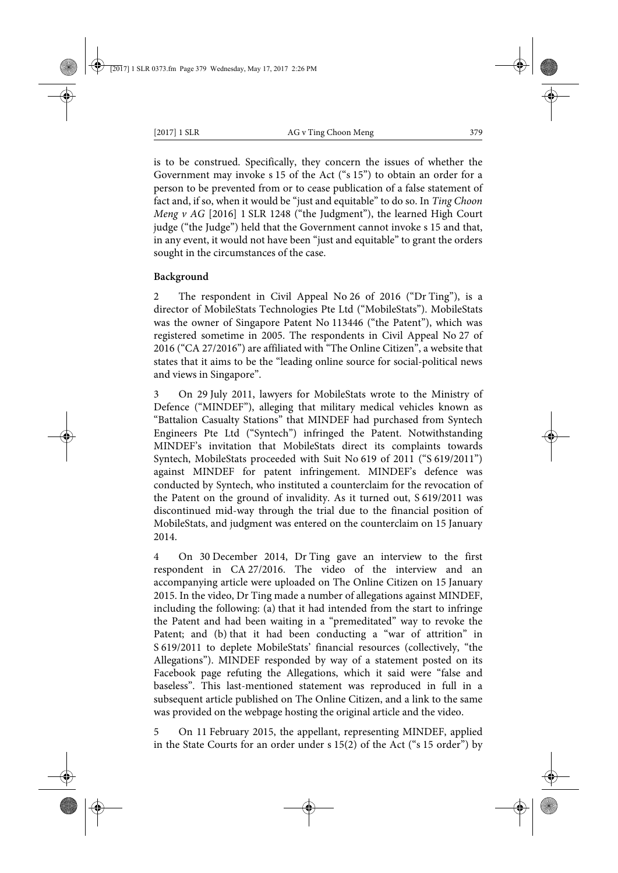is to be construed. Specifically, they concern the issues of whether the Government may invoke s 15 of the Act ("s 15") to obtain an order for a person to be prevented from or to cease publication of a false statement of fact and, if so, when it would be "just and equitable" to do so. In *Ting Choon Meng v AG* [2016] 1 SLR 1248 ("the Judgment"), the learned High Court judge ("the Judge") held that the Government cannot invoke s 15 and that, in any event, it would not have been "just and equitable" to grant the orders sought in the circumstances of the case.

## **Background**

2 The respondent in Civil Appeal No 26 of 2016 ("Dr Ting"), is a director of MobileStats Technologies Pte Ltd ("MobileStats"). MobileStats was the owner of Singapore Patent No 113446 ("the Patent"), which was registered sometime in 2005. The respondents in Civil Appeal No 27 of 2016 ("CA 27/2016") are affiliated with "The Online Citizen", a website that states that it aims to be the "leading online source for social-political news and views in Singapore".

3 On 29 July 2011, lawyers for MobileStats wrote to the Ministry of Defence ("MINDEF"), alleging that military medical vehicles known as "Battalion Casualty Stations" that MINDEF had purchased from Syntech Engineers Pte Ltd ("Syntech") infringed the Patent. Notwithstanding MINDEF's invitation that MobileStats direct its complaints towards Syntech, MobileStats proceeded with Suit No 619 of 2011 ("S 619/2011") against MINDEF for patent infringement. MINDEF's defence was conducted by Syntech, who instituted a counterclaim for the revocation of the Patent on the ground of invalidity. As it turned out, S 619/2011 was discontinued mid-way through the trial due to the financial position of MobileStats, and judgment was entered on the counterclaim on 15 January 2014.

4 On 30 December 2014, Dr Ting gave an interview to the first respondent in CA 27/2016. The video of the interview and an accompanying article were uploaded on The Online Citizen on 15 January 2015. In the video, Dr Ting made a number of allegations against MINDEF, including the following: (a) that it had intended from the start to infringe the Patent and had been waiting in a "premeditated" way to revoke the Patent; and (b) that it had been conducting a "war of attrition" in S 619/2011 to deplete MobileStats' financial resources (collectively, "the Allegations"). MINDEF responded by way of a statement posted on its Facebook page refuting the Allegations, which it said were "false and baseless". This last-mentioned statement was reproduced in full in a subsequent article published on The Online Citizen, and a link to the same was provided on the webpage hosting the original article and the video.

5 On 11 February 2015, the appellant, representing MINDEF, applied in the State Courts for an order under s 15(2) of the Act ("s 15 order") by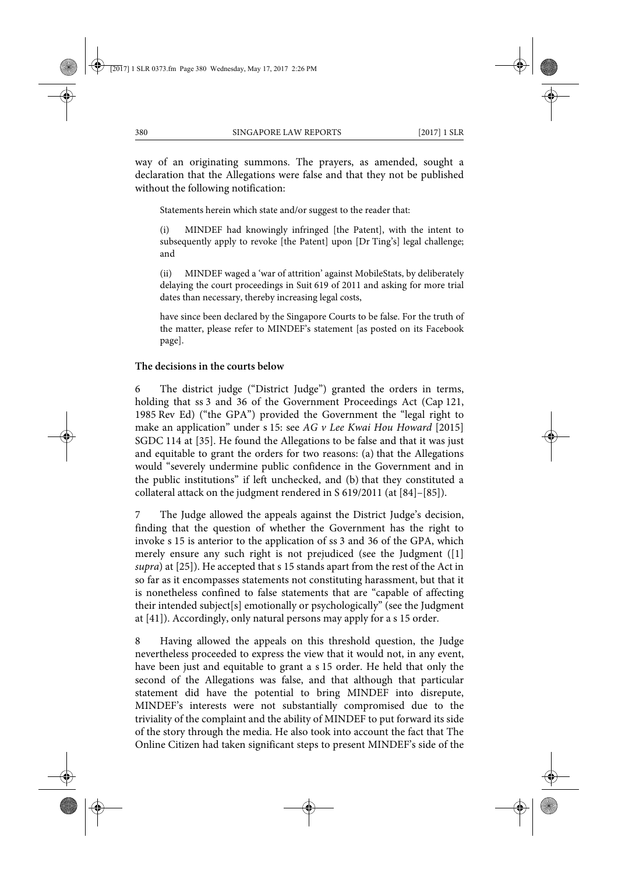way of an originating summons. The prayers, as amended, sought a declaration that the Allegations were false and that they not be published without the following notification:

Statements herein which state and/or suggest to the reader that:

(i) MINDEF had knowingly infringed [the Patent], with the intent to subsequently apply to revoke [the Patent] upon [Dr Ting's] legal challenge; and

(ii) MINDEF waged a 'war of attrition' against MobileStats, by deliberately delaying the court proceedings in Suit 619 of 2011 and asking for more trial dates than necessary, thereby increasing legal costs,

have since been declared by the Singapore Courts to be false. For the truth of the matter, please refer to MINDEF's statement [as posted on its Facebook page].

#### **The decisions in the courts below**

6 The district judge ("District Judge") granted the orders in terms, holding that ss 3 and 36 of the Government Proceedings Act (Cap 121, 1985 Rev Ed) ("the GPA") provided the Government the "legal right to make an application" under s 15: see *AG v Lee Kwai Hou Howard* [2015] SGDC 114 at [35]. He found the Allegations to be false and that it was just and equitable to grant the orders for two reasons: (a) that the Allegations would "severely undermine public confidence in the Government and in the public institutions" if left unchecked, and (b) that they constituted a collateral attack on the judgment rendered in S 619/2011 (at [84]–[85]).

7 The Judge allowed the appeals against the District Judge's decision, finding that the question of whether the Government has the right to invoke s 15 is anterior to the application of ss 3 and 36 of the GPA, which merely ensure any such right is not prejudiced (see the Judgment ([1] *supra*) at [25]). He accepted that s 15 stands apart from the rest of the Act in so far as it encompasses statements not constituting harassment, but that it is nonetheless confined to false statements that are "capable of affecting their intended subject[s] emotionally or psychologically" (see the Judgment at [41]). Accordingly, only natural persons may apply for a s 15 order.

8 Having allowed the appeals on this threshold question, the Judge nevertheless proceeded to express the view that it would not, in any event, have been just and equitable to grant a s 15 order. He held that only the second of the Allegations was false, and that although that particular statement did have the potential to bring MINDEF into disrepute, MINDEF's interests were not substantially compromised due to the triviality of the complaint and the ability of MINDEF to put forward its side of the story through the media. He also took into account the fact that The Online Citizen had taken significant steps to present MINDEF's side of the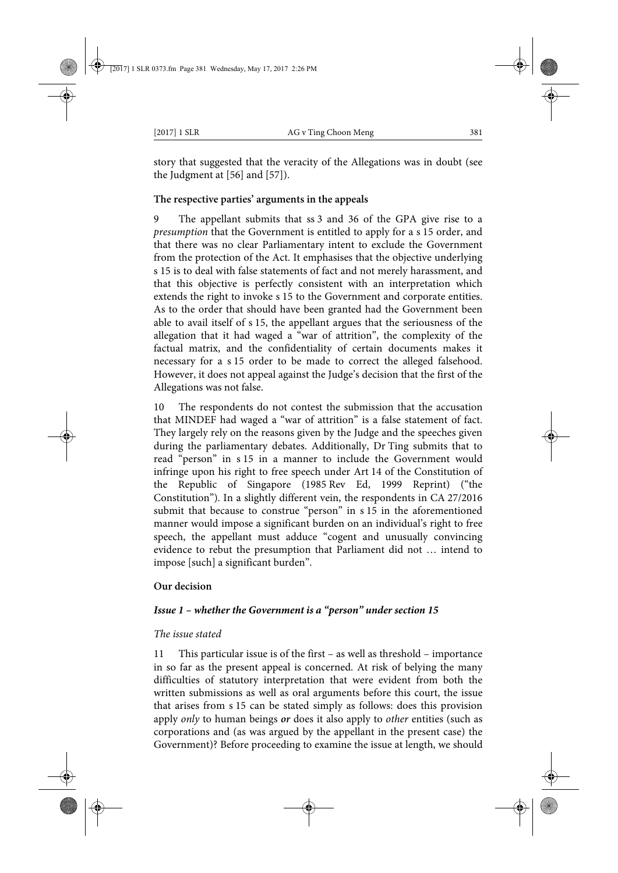story that suggested that the veracity of the Allegations was in doubt (see the Judgment at [56] and [57]).

## **The respective parties' arguments in the appeals**

9 The appellant submits that ss 3 and 36 of the GPA give rise to a *presumption* that the Government is entitled to apply for a s 15 order, and that there was no clear Parliamentary intent to exclude the Government from the protection of the Act. It emphasises that the objective underlying s 15 is to deal with false statements of fact and not merely harassment, and that this objective is perfectly consistent with an interpretation which extends the right to invoke s 15 to the Government and corporate entities. As to the order that should have been granted had the Government been able to avail itself of s 15, the appellant argues that the seriousness of the allegation that it had waged a "war of attrition", the complexity of the factual matrix, and the confidentiality of certain documents makes it necessary for a s 15 order to be made to correct the alleged falsehood. However, it does not appeal against the Judge's decision that the first of the Allegations was not false.

10 The respondents do not contest the submission that the accusation that MINDEF had waged a "war of attrition" is a false statement of fact. They largely rely on the reasons given by the Judge and the speeches given during the parliamentary debates. Additionally, Dr Ting submits that to read "person" in s 15 in a manner to include the Government would infringe upon his right to free speech under Art 14 of the Constitution of the Republic of Singapore (1985 Rev Ed, 1999 Reprint) ("the Constitution"). In a slightly different vein, the respondents in CA 27/2016 submit that because to construe "person" in s 15 in the aforementioned manner would impose a significant burden on an individual's right to free speech, the appellant must adduce "cogent and unusually convincing evidence to rebut the presumption that Parliament did not … intend to impose [such] a significant burden".

## **Our decision**

## *Issue 1 – whether the Government is a "person" under section 15*

## *The issue stated*

11 This particular issue is of the first – as well as threshold – importance in so far as the present appeal is concerned. At risk of belying the many difficulties of statutory interpretation that were evident from both the written submissions as well as oral arguments before this court, the issue that arises from s 15 can be stated simply as follows: does this provision apply *only* to human beings *or* does it also apply to *other* entities (such as corporations and (as was argued by the appellant in the present case) the Government)? Before proceeding to examine the issue at length, we should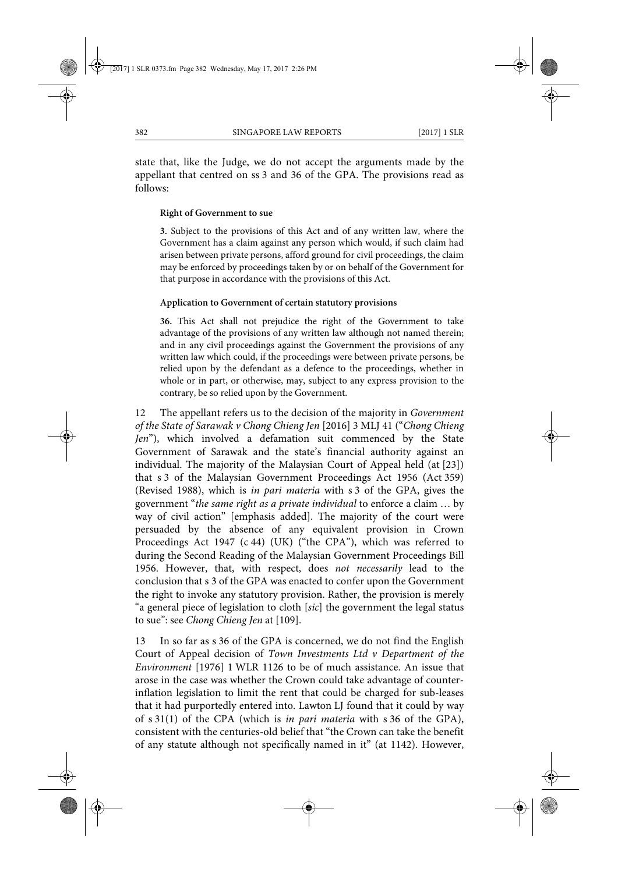state that, like the Judge, we do not accept the arguments made by the appellant that centred on ss 3 and 36 of the GPA. The provisions read as follows:

#### **Right of Government to sue**

**3.** Subject to the provisions of this Act and of any written law, where the Government has a claim against any person which would, if such claim had arisen between private persons, afford ground for civil proceedings, the claim may be enforced by proceedings taken by or on behalf of the Government for that purpose in accordance with the provisions of this Act.

#### **Application to Government of certain statutory provisions**

**36.** This Act shall not prejudice the right of the Government to take advantage of the provisions of any written law although not named therein; and in any civil proceedings against the Government the provisions of any written law which could, if the proceedings were between private persons, be relied upon by the defendant as a defence to the proceedings, whether in whole or in part, or otherwise, may, subject to any express provision to the contrary, be so relied upon by the Government.

12 The appellant refers us to the decision of the majority in *Government of the State of Sarawak v Chong Chieng Jen* [2016] 3 MLJ 41 ("*Chong Chieng Jen*"), which involved a defamation suit commenced by the State Government of Sarawak and the state's financial authority against an individual. The majority of the Malaysian Court of Appeal held (at [23]) that s 3 of the Malaysian Government Proceedings Act 1956 (Act 359) (Revised 1988), which is *in pari materia* with s 3 of the GPA, gives the government "*the same right as a private individual* to enforce a claim … by way of civil action" [emphasis added]. The majority of the court were persuaded by the absence of any equivalent provision in Crown Proceedings Act 1947 (c 44) (UK) ("the CPA"), which was referred to during the Second Reading of the Malaysian Government Proceedings Bill 1956. However, that, with respect, does *not necessarily* lead to the conclusion that s 3 of the GPA was enacted to confer upon the Government the right to invoke any statutory provision. Rather, the provision is merely "a general piece of legislation to cloth [*sic*] the government the legal status to sue": see *Chong Chieng Jen* at [109].

13 In so far as s 36 of the GPA is concerned, we do not find the English Court of Appeal decision of *Town Investments Ltd v Department of the Environment* [1976] 1 WLR 1126 to be of much assistance. An issue that arose in the case was whether the Crown could take advantage of counterinflation legislation to limit the rent that could be charged for sub-leases that it had purportedly entered into. Lawton LJ found that it could by way of s 31(1) of the CPA (which is *in pari materia* with s 36 of the GPA), consistent with the centuries-old belief that "the Crown can take the benefit of any statute although not specifically named in it" (at 1142). However,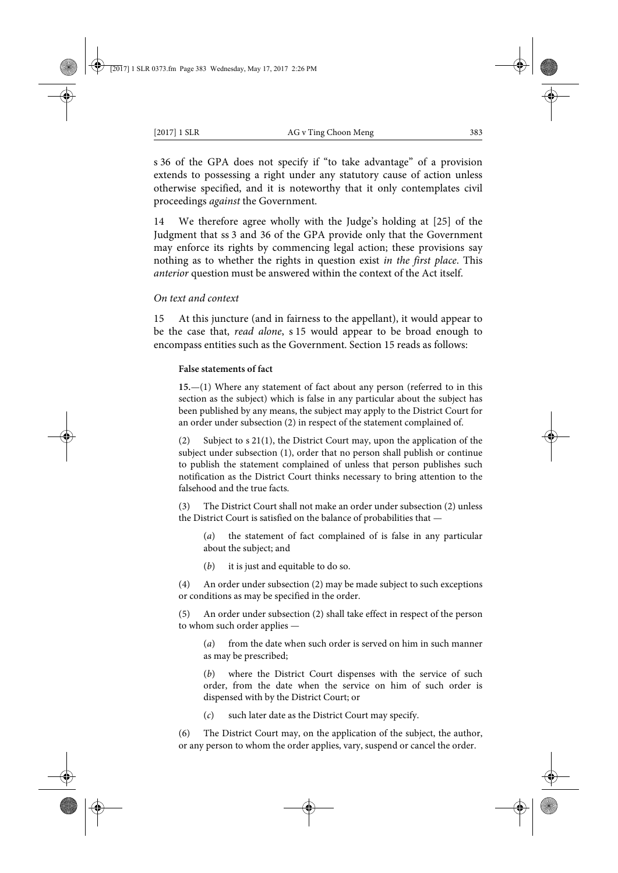s 36 of the GPA does not specify if "to take advantage" of a provision extends to possessing a right under any statutory cause of action unless otherwise specified, and it is noteworthy that it only contemplates civil proceedings *against* the Government.

14 We therefore agree wholly with the Judge's holding at [25] of the Judgment that ss 3 and 36 of the GPA provide only that the Government may enforce its rights by commencing legal action; these provisions say nothing as to whether the rights in question exist *in the first place*. This *anterior* question must be answered within the context of the Act itself.

## *On text and context*

15 At this juncture (and in fairness to the appellant), it would appear to be the case that, *read alone*, s 15 would appear to be broad enough to encompass entities such as the Government. Section 15 reads as follows:

#### **False statements of fact**

**15.**—(1) Where any statement of fact about any person (referred to in this section as the subject) which is false in any particular about the subject has been published by any means, the subject may apply to the District Court for an order under subsection (2) in respect of the statement complained of.

(2) Subject to s 21(1), the District Court may, upon the application of the subject under subsection (1), order that no person shall publish or continue to publish the statement complained of unless that person publishes such notification as the District Court thinks necessary to bring attention to the falsehood and the true facts.

(3) The District Court shall not make an order under subsection (2) unless the District Court is satisfied on the balance of probabilities that —

(*a*) the statement of fact complained of is false in any particular about the subject; and

(*b*) it is just and equitable to do so.

(4) An order under subsection (2) may be made subject to such exceptions or conditions as may be specified in the order.

(5) An order under subsection (2) shall take effect in respect of the person to whom such order applies —

(*a*) from the date when such order is served on him in such manner as may be prescribed;

(*b*) where the District Court dispenses with the service of such order, from the date when the service on him of such order is dispensed with by the District Court; or

(*c*) such later date as the District Court may specify.

(6) The District Court may, on the application of the subject, the author, or any person to whom the order applies, vary, suspend or cancel the order.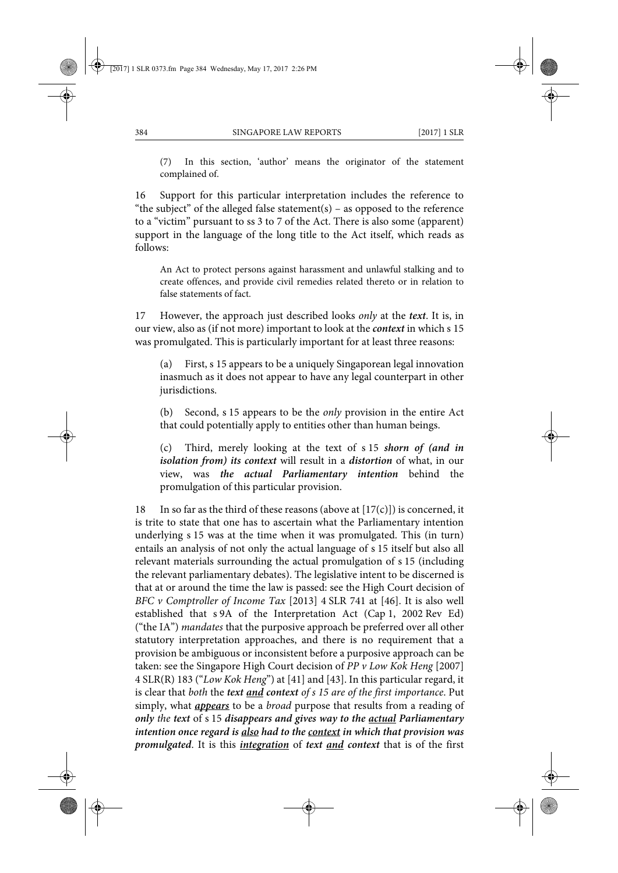(7) In this section, 'author' means the originator of the statement complained of.

16 Support for this particular interpretation includes the reference to "the subject" of the alleged false statement(s) – as opposed to the reference to a "victim" pursuant to ss 3 to 7 of the Act. There is also some (apparent) support in the language of the long title to the Act itself, which reads as follows:

An Act to protect persons against harassment and unlawful stalking and to create offences, and provide civil remedies related thereto or in relation to false statements of fact.

17 However, the approach just described looks *only* at the *text*. It is, in our view, also as (if not more) important to look at the *context* in which s 15 was promulgated. This is particularly important for at least three reasons:

(a) First, s 15 appears to be a uniquely Singaporean legal innovation inasmuch as it does not appear to have any legal counterpart in other jurisdictions.

(b) Second, s 15 appears to be the *only* provision in the entire Act that could potentially apply to entities other than human beings.

(c) Third, merely looking at the text of s 15 *shorn of (and in isolation from) its context* will result in a *distortion* of what, in our view, was *the actual Parliamentary intention* behind the promulgation of this particular provision.

18 In so far as the third of these reasons (above at  $[17(c)]$ ) is concerned, it is trite to state that one has to ascertain what the Parliamentary intention underlying s 15 was at the time when it was promulgated. This (in turn) entails an analysis of not only the actual language of s 15 itself but also all relevant materials surrounding the actual promulgation of s 15 (including the relevant parliamentary debates). The legislative intent to be discerned is that at or around the time the law is passed: see the High Court decision of *BFC v Comptroller of Income Tax* [2013] 4 SLR 741 at [46]. It is also well established that s 9A of the Interpretation Act (Cap 1, 2002 Rev Ed) ("the IA") *mandates* that the purposive approach be preferred over all other statutory interpretation approaches, and there is no requirement that a provision be ambiguous or inconsistent before a purposive approach can be taken: see the Singapore High Court decision of *PP v Low Kok Heng* [2007] 4 SLR(R) 183 ("*Low Kok Heng*") at [41] and [43]. In this particular regard, it is clear that *both* the *text and context of s 15 are of the first importance*. Put simply, what *appears* to be a *broad* purpose that results from a reading of *only the text* of s 15 *disappears and gives way to the actual Parliamentary intention once regard is also had to the context in which that provision was promulgated*. It is this *integration* of *text and context* that is of the first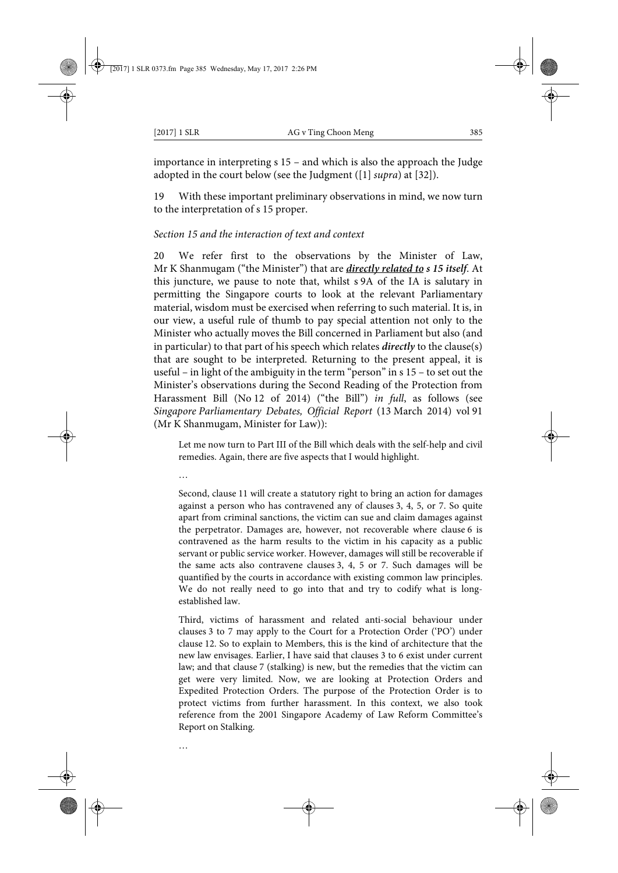importance in interpreting s 15 – and which is also the approach the Judge adopted in the court below (see the Judgment ([1] *supra*) at [32]).

With these important preliminary observations in mind, we now turn to the interpretation of s 15 proper.

#### *Section 15 and the interaction of text and context*

20 We refer first to the observations by the Minister of Law, Mr K Shanmugam ("the Minister") that are *directly related to s 15 itself*. At this juncture, we pause to note that, whilst s 9A of the IA is salutary in permitting the Singapore courts to look at the relevant Parliamentary material, wisdom must be exercised when referring to such material. It is, in our view, a useful rule of thumb to pay special attention not only to the Minister who actually moves the Bill concerned in Parliament but also (and in particular) to that part of his speech which relates *directly* to the clause(s) that are sought to be interpreted. Returning to the present appeal, it is useful – in light of the ambiguity in the term "person" in s 15 – to set out the Minister's observations during the Second Reading of the Protection from Harassment Bill (No 12 of 2014) ("the Bill") *in full*, as follows (see *Singapore Parliamentary Debates, Official Report* (13 March 2014) vol 91 (Mr K Shanmugam, Minister for Law)):

Let me now turn to Part III of the Bill which deals with the self-help and civil remedies. Again, there are five aspects that I would highlight.

…

…

Second, clause 11 will create a statutory right to bring an action for damages against a person who has contravened any of clauses 3, 4, 5, or 7. So quite apart from criminal sanctions, the victim can sue and claim damages against the perpetrator. Damages are, however, not recoverable where clause 6 is contravened as the harm results to the victim in his capacity as a public servant or public service worker. However, damages will still be recoverable if the same acts also contravene clauses 3, 4, 5 or 7. Such damages will be quantified by the courts in accordance with existing common law principles. We do not really need to go into that and try to codify what is longestablished law.

Third, victims of harassment and related anti-social behaviour under clauses 3 to 7 may apply to the Court for a Protection Order ('PO') under clause 12. So to explain to Members, this is the kind of architecture that the new law envisages. Earlier, I have said that clauses 3 to 6 exist under current law; and that clause 7 (stalking) is new, but the remedies that the victim can get were very limited. Now, we are looking at Protection Orders and Expedited Protection Orders. The purpose of the Protection Order is to protect victims from further harassment. In this context, we also took reference from the 2001 Singapore Academy of Law Reform Committee's Report on Stalking.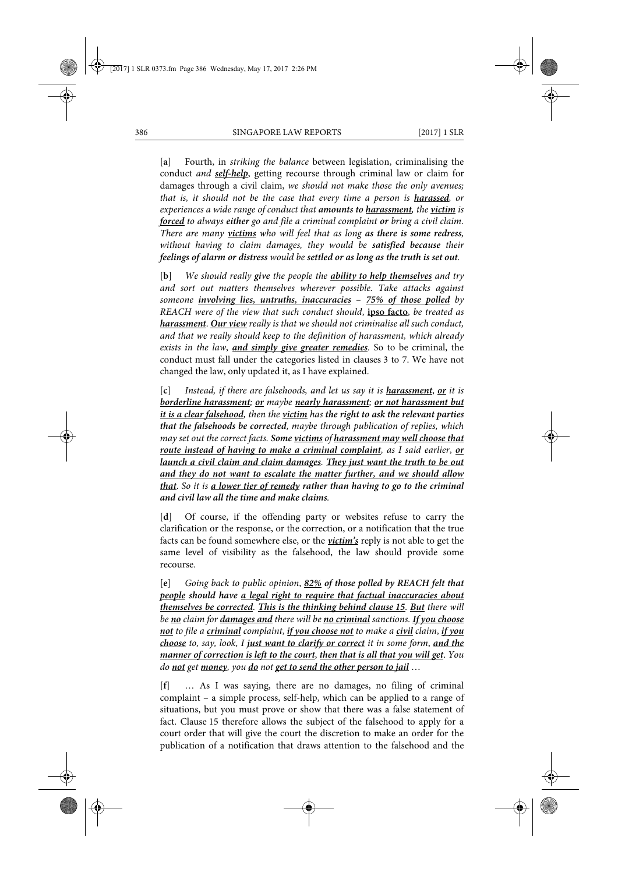[**a**] Fourth, in *striking the balance* between legislation, criminalising the conduct *and self-help*, getting recourse through criminal law or claim for damages through a civil claim, *we should not make those the only avenues; that is, it should not be the case that every time a person is harassed, or experiences a wide range of conduct that amounts to harassment, the victim is forced to always either go and file a criminal complaint or bring a civil claim. There are many victims who will feel that as long as there is some redress, without having to claim damages, they would be satisfied because their feelings of alarm or distress would be settled or as long as the truth is set out.*

[**b**] *We should really give the people the ability to help themselves and try and sort out matters themselves wherever possible. Take attacks against someone involving lies, untruths, inaccuracies* – *75% of those polled by REACH were of the view that such conduct should*, **ipso facto**, *be treated as harassment*. *Our view really is that we should not criminalise all such conduct, and that we really should keep to the definition of harassment, which already exists in the law*, *and simply give greater remedies.* So to be criminal, the conduct must fall under the categories listed in clauses 3 to 7. We have not changed the law, only updated it, as I have explained.

[**c**] *Instead, if there are falsehoods, and let us say it is harassment*, *or it is borderline harassment; or maybe nearly harassment; or not harassment but it is a clear falsehood, then the victim has the right to ask the relevant parties that the falsehoods be corrected, maybe through publication of replies, which may set out the correct facts. Some victims of harassment may well choose that route instead of having to make a criminal complaint, as I said earlier*, *or launch a civil claim and claim damages. They just want the truth to be out and they do not want to escalate the matter further, and we should allow that*. *So it is a lower tier of remedy rather than having to go to the criminal and civil law all the time and make claims.*

[**d**] Of course, if the offending party or websites refuse to carry the clarification or the response, or the correction, or a notification that the true facts can be found somewhere else, or the *victim's* reply is not able to get the same level of visibility as the falsehood, the law should provide some recourse.

[**e**] *Going back to public opinion*, *82% of those polled by REACH felt that people should have a legal right to require that factual inaccuracies about themselves be corrected. This is the thinking behind clause 15. But there will be no claim for damages and there will be no criminal sanctions. If you choose not to file a criminal complaint*, *if you choose not to make a civil claim*, *if you choose to, say, look, I just want to clarify or correct it in some form*, *and the manner of correction is left to the court*, *then that is all that you will get*. *You do not get money, you do not get to send the other person to jail* …

[**f**] … As I was saying, there are no damages, no filing of criminal complaint – a simple process, self-help, which can be applied to a range of situations, but you must prove or show that there was a false statement of fact. Clause 15 therefore allows the subject of the falsehood to apply for a court order that will give the court the discretion to make an order for the publication of a notification that draws attention to the falsehood and the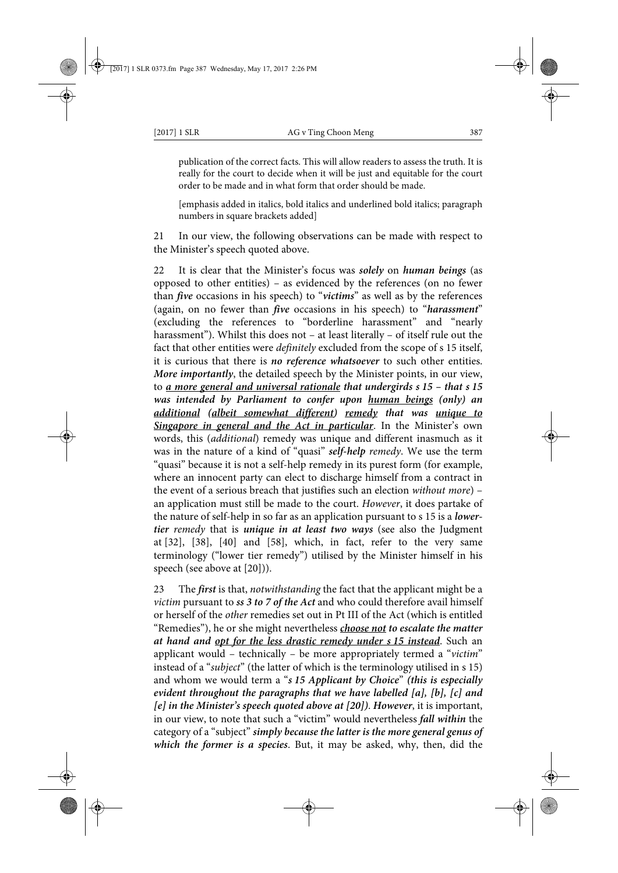publication of the correct facts. This will allow readers to assess the truth. It is really for the court to decide when it will be just and equitable for the court order to be made and in what form that order should be made.

[emphasis added in italics, bold italics and underlined bold italics; paragraph numbers in square brackets added]

21 In our view, the following observations can be made with respect to the Minister's speech quoted above.

22 It is clear that the Minister's focus was *solely* on *human beings* (as opposed to other entities) – as evidenced by the references (on no fewer than *five* occasions in his speech) to "*victims*" as well as by the references (again, on no fewer than *five* occasions in his speech) to "*harassment*" (excluding the references to "borderline harassment" and "nearly harassment"). Whilst this does not – at least literally – of itself rule out the fact that other entities were *definitely* excluded from the scope of s 15 itself, it is curious that there is *no reference whatsoever* to such other entities. *More importantly*, the detailed speech by the Minister points, in our view, to *a more general and universal rationale that undergirds s 15 – that s 15 was intended by Parliament to confer upon human beings (only) an additional (albeit somewhat different) remedy that was unique to Singapore in general and the Act in particular*. In the Minister's own words, this (*additional*) remedy was unique and different inasmuch as it was in the nature of a kind of "quasi" *self-help remedy*. We use the term "quasi" because it is not a self-help remedy in its purest form (for example, where an innocent party can elect to discharge himself from a contract in the event of a serious breach that justifies such an election *without more*) – an application must still be made to the court. *However*, it does partake of the nature of self-help in so far as an application pursuant to s 15 is a *lowertier remedy* that is *unique in at least two ways* (see also the Judgment at [32], [38], [40] and [58], which, in fact, refer to the very same terminology ("lower tier remedy") utilised by the Minister himself in his speech (see above at [20])).

23 The *first* is that, *notwithstanding* the fact that the applicant might be a *victim* pursuant to *ss 3 to 7 of the Act* and who could therefore avail himself or herself of the *other* remedies set out in Pt III of the Act (which is entitled "Remedies"), he or she might nevertheless *choose not to escalate the matter at hand and opt for the less drastic remedy under s 15 instead*. Such an applicant would – technically – be more appropriately termed a "*victim*" instead of a "*subject*" (the latter of which is the terminology utilised in s 15) and whom we would term a "*s 15 Applicant by Choice*" *(this is especially evident throughout the paragraphs that we have labelled [a], [b], [c] and [e] in the Minister's speech quoted above at [20])*. *However*, it is important, in our view, to note that such a "victim" would nevertheless *fall within* the category of a "subject" *simply because the latter is the more general genus of which the former is a species*. But, it may be asked, why, then, did the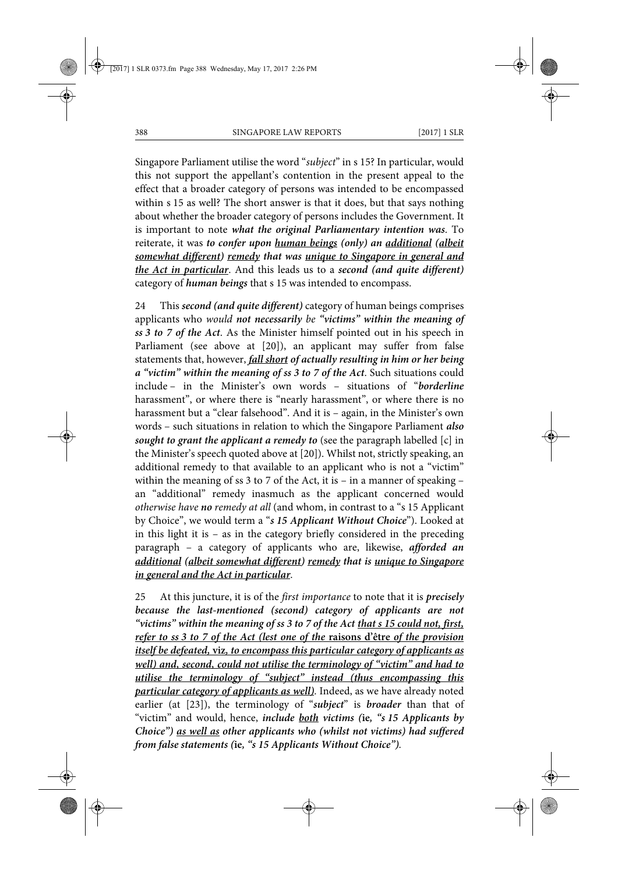Singapore Parliament utilise the word "*subject*" in s 15? In particular, would this not support the appellant's contention in the present appeal to the effect that a broader category of persons was intended to be encompassed within s 15 as well? The short answer is that it does, but that says nothing about whether the broader category of persons includes the Government. It is important to note *what the original Parliamentary intention was*. To reiterate, it was *to confer upon human beings (only) an additional (albeit somewhat different) remedy that was unique to Singapore in general and the Act in particular*. And this leads us to a *second (and quite different)* category of *human beings* that s 15 was intended to encompass.

24 This *second (and quite different)* category of human beings comprises applicants who *would not necessarily be "victims" within the meaning of ss 3 to 7 of the Act*. As the Minister himself pointed out in his speech in Parliament (see above at [20]), an applicant may suffer from false statements that, however, *fall short of actually resulting in him or her being a "victim" within the meaning of ss 3 to 7 of the Act*. Such situations could include – in the Minister's own words – situations of "*borderline* harassment", or where there is "nearly harassment", or where there is no harassment but a "clear falsehood". And it is – again, in the Minister's own words – such situations in relation to which the Singapore Parliament *also sought to grant the applicant a remedy to* (see the paragraph labelled [c] in the Minister's speech quoted above at [20]). Whilst not, strictly speaking, an additional remedy to that available to an applicant who is not a "victim" within the meaning of ss 3 to 7 of the Act, it is – in a manner of speaking – an "additional" remedy inasmuch as the applicant concerned would *otherwise have no remedy at all* (and whom, in contrast to a "s 15 Applicant by Choice", we would term a "*s 15 Applicant Without Choice*"). Looked at in this light it is – as in the category briefly considered in the preceding paragraph – a category of applicants who are, likewise, *afforded an additional (albeit somewhat different) remedy that is unique to Singapore in general and the Act in particular*.

25 At this juncture, it is of the *first importance* to note that it is *precisely because the last-mentioned (second) category of applicants are not "victims" within the meaning of ss 3 to 7 of the Act that s 15 could not, first, refer to ss 3 to 7 of the Act (lest one of the* **raisons d'être** *of the provision itself be defeated,* **viz***, to encompass this particular category of applicants as well) and, second, could not utilise the terminology of "victim" and had to utilise the terminology of "subject" instead (thus encompassing this particular category of applicants as well)*. Indeed, as we have already noted earlier (at [23]), the terminology of "*subject*" is *broader* than that of "victim" and would, hence, *include both victims (***ie***, "s 15 Applicants by Choice") as well as other applicants who (whilst not victims) had suffered from false statements (***ie***, "s 15 Applicants Without Choice")*.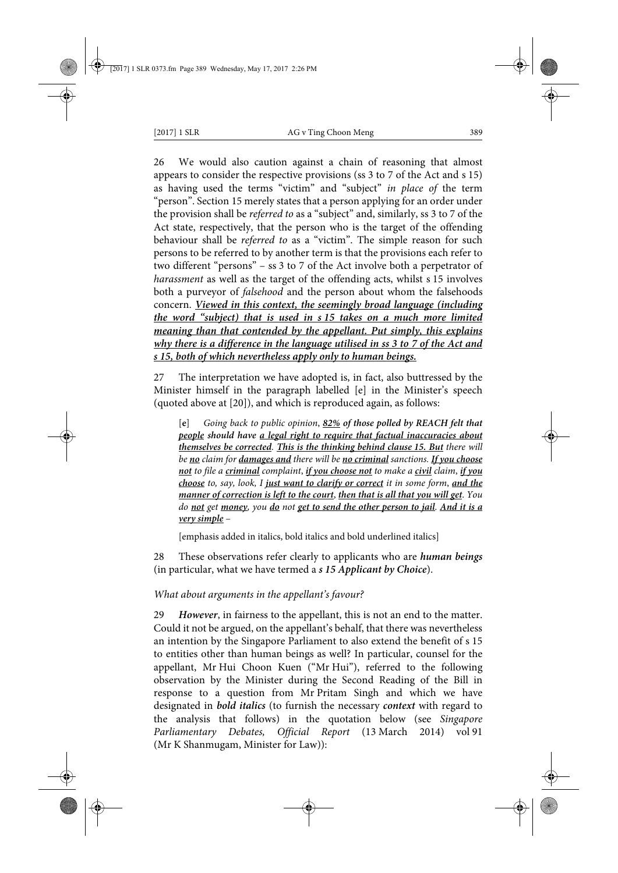26 We would also caution against a chain of reasoning that almost appears to consider the respective provisions (ss 3 to 7 of the Act and s 15) as having used the terms "victim" and "subject" *in place of* the term "person". Section 15 merely states that a person applying for an order under the provision shall be *referred to* as a "subject" and, similarly, ss 3 to 7 of the Act state, respectively, that the person who is the target of the offending behaviour shall be *referred to* as a "victim". The simple reason for such persons to be referred to by another term is that the provisions each refer to two different "persons" – ss 3 to 7 of the Act involve both a perpetrator of *harassment* as well as the target of the offending acts, whilst s 15 involves both a purveyor of *falsehood* and the person about whom the falsehoods concern. *Viewed in this context, the seemingly broad language (including the word "subject) that is used in s 15 takes on a much more limited meaning than that contended by the appellant. Put simply, this explains why there is a difference in the language utilised in ss 3 to 7 of the Act and s 15, both of which nevertheless apply only to human beings.*

27 The interpretation we have adopted is, in fact, also buttressed by the Minister himself in the paragraph labelled [e] in the Minister's speech (quoted above at [20]), and which is reproduced again, as follows:

[**e**] *Going back to public opinion*, *82% of those polled by REACH felt that people should have a legal right to require that factual inaccuracies about themselves be corrected. This is the thinking behind clause 15. But there will be no claim for damages and there will be no criminal sanctions. If you choose not to file a criminal complaint*, *if you choose not to make a civil claim*, *if you choose to, say, look, I just want to clarify or correct it in some form*, *and the manner of correction is left to the court*, *then that is all that you will get*. *You do not get money, you do not get to send the other person to jail. And it is a very simple* –

[emphasis added in italics, bold italics and bold underlined italics]

28 These observations refer clearly to applicants who are *human beings* (in particular, what we have termed a *s 15 Applicant by Choice*).

## *What about arguments in the appellant's favour?*

29 *However*, in fairness to the appellant, this is not an end to the matter. Could it not be argued, on the appellant's behalf, that there was nevertheless an intention by the Singapore Parliament to also extend the benefit of s 15 to entities other than human beings as well? In particular, counsel for the appellant, Mr Hui Choon Kuen ("Mr Hui"), referred to the following observation by the Minister during the Second Reading of the Bill in response to a question from Mr Pritam Singh and which we have designated in *bold italics* (to furnish the necessary *context* with regard to the analysis that follows) in the quotation below (see *Singapore Parliamentary Debates, Official Report* (13 March 2014) vol 91 (Mr K Shanmugam, Minister for Law)):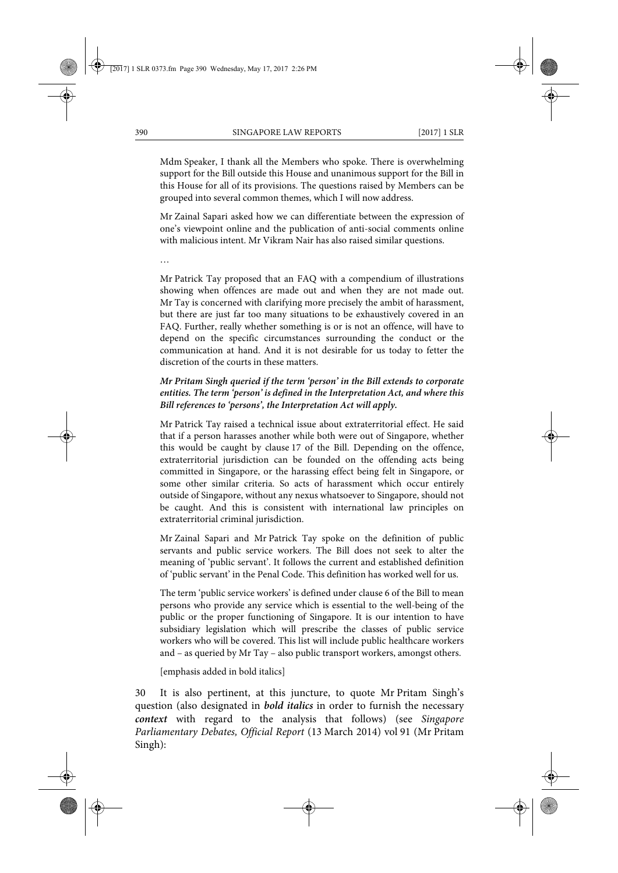Mdm Speaker, I thank all the Members who spoke. There is overwhelming support for the Bill outside this House and unanimous support for the Bill in this House for all of its provisions. The questions raised by Members can be grouped into several common themes, which I will now address.

Mr Zainal Sapari asked how we can differentiate between the expression of one's viewpoint online and the publication of anti-social comments online with malicious intent. Mr Vikram Nair has also raised similar questions.

…

Mr Patrick Tay proposed that an FAQ with a compendium of illustrations showing when offences are made out and when they are not made out. Mr Tay is concerned with clarifying more precisely the ambit of harassment, but there are just far too many situations to be exhaustively covered in an FAQ. Further, really whether something is or is not an offence, will have to depend on the specific circumstances surrounding the conduct or the communication at hand. And it is not desirable for us today to fetter the discretion of the courts in these matters.

## *Mr Pritam Singh queried if the term 'person' in the Bill extends to corporate entities. The term 'person' is defined in the Interpretation Act, and where this Bill references to 'persons', the Interpretation Act will apply.*

Mr Patrick Tay raised a technical issue about extraterritorial effect. He said that if a person harasses another while both were out of Singapore, whether this would be caught by clause 17 of the Bill. Depending on the offence, extraterritorial jurisdiction can be founded on the offending acts being committed in Singapore, or the harassing effect being felt in Singapore, or some other similar criteria. So acts of harassment which occur entirely outside of Singapore, without any nexus whatsoever to Singapore, should not be caught. And this is consistent with international law principles on extraterritorial criminal jurisdiction.

Mr Zainal Sapari and Mr Patrick Tay spoke on the definition of public servants and public service workers. The Bill does not seek to alter the meaning of 'public servant'. It follows the current and established definition of 'public servant' in the Penal Code. This definition has worked well for us.

The term 'public service workers' is defined under clause 6 of the Bill to mean persons who provide any service which is essential to the well-being of the public or the proper functioning of Singapore. It is our intention to have subsidiary legislation which will prescribe the classes of public service workers who will be covered. This list will include public healthcare workers and – as queried by Mr Tay – also public transport workers, amongst others.

[emphasis added in bold italics]

30 It is also pertinent, at this juncture, to quote Mr Pritam Singh's question (also designated in *bold italics* in order to furnish the necessary *context* with regard to the analysis that follows) (see *Singapore Parliamentary Debates, Official Report* (13 March 2014) vol 91 (Mr Pritam Singh):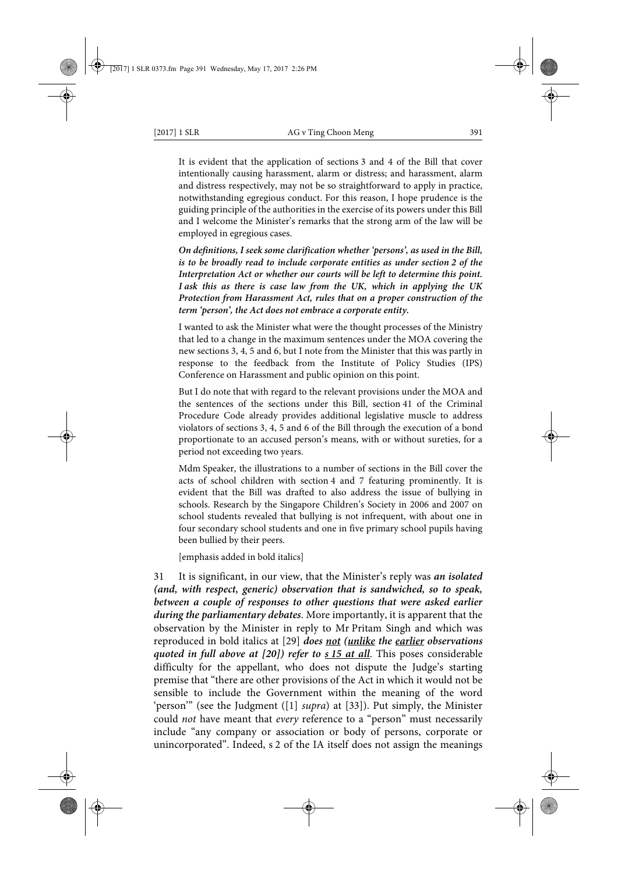It is evident that the application of sections 3 and 4 of the Bill that cover intentionally causing harassment, alarm or distress; and harassment, alarm and distress respectively, may not be so straightforward to apply in practice, notwithstanding egregious conduct. For this reason, I hope prudence is the guiding principle of the authorities in the exercise of its powers under this Bill and I welcome the Minister's remarks that the strong arm of the law will be employed in egregious cases.

*On definitions, I seek some clarification whether 'persons', as used in the Bill, is to be broadly read to include corporate entities as under section 2 of the Interpretation Act or whether our courts will be left to determine this point. I ask this as there is case law from the UK, which in applying the UK Protection from Harassment Act, rules that on a proper construction of the term 'person', the Act does not embrace a corporate entity.*

I wanted to ask the Minister what were the thought processes of the Ministry that led to a change in the maximum sentences under the MOA covering the new sections 3, 4, 5 and 6, but I note from the Minister that this was partly in response to the feedback from the Institute of Policy Studies (IPS) Conference on Harassment and public opinion on this point.

But I do note that with regard to the relevant provisions under the MOA and the sentences of the sections under this Bill, section 41 of the Criminal Procedure Code already provides additional legislative muscle to address violators of sections 3, 4, 5 and 6 of the Bill through the execution of a bond proportionate to an accused person's means, with or without sureties, for a period not exceeding two years.

Mdm Speaker, the illustrations to a number of sections in the Bill cover the acts of school children with section 4 and 7 featuring prominently. It is evident that the Bill was drafted to also address the issue of bullying in schools. Research by the Singapore Children's Society in 2006 and 2007 on school students revealed that bullying is not infrequent, with about one in four secondary school students and one in five primary school pupils having been bullied by their peers.

[emphasis added in bold italics]

31 It is significant, in our view, that the Minister's reply was *an isolated (and, with respect, generic) observation that is sandwiched, so to speak, between a couple of responses to other questions that were asked earlier during the parliamentary debates*. More importantly, it is apparent that the observation by the Minister in reply to Mr Pritam Singh and which was reproduced in bold italics at [29] *does not (unlike the earlier observations quoted in full above at [20]) refer to s 15 at all*. This poses considerable difficulty for the appellant, who does not dispute the Judge's starting premise that "there are other provisions of the Act in which it would not be sensible to include the Government within the meaning of the word 'person'" (see the Judgment ([1] *supra*) at [33]). Put simply, the Minister could *not* have meant that *every* reference to a "person" must necessarily include "any company or association or body of persons, corporate or unincorporated". Indeed, s 2 of the IA itself does not assign the meanings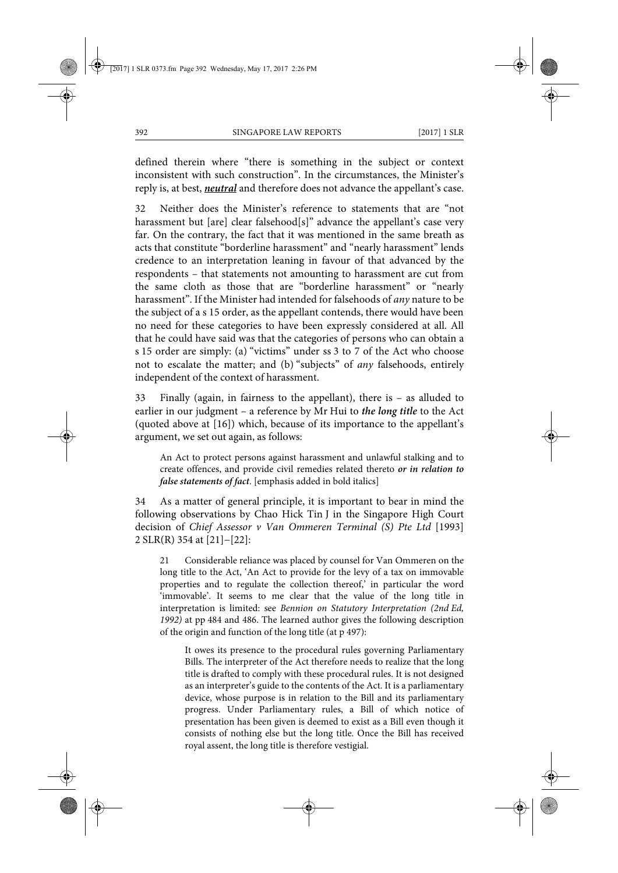defined therein where "there is something in the subject or context inconsistent with such construction". In the circumstances, the Minister's reply is, at best, *neutral* and therefore does not advance the appellant's case.

32 Neither does the Minister's reference to statements that are "not harassment but [are] clear falsehood[s]" advance the appellant's case very far. On the contrary, the fact that it was mentioned in the same breath as acts that constitute "borderline harassment" and "nearly harassment" lends credence to an interpretation leaning in favour of that advanced by the respondents – that statements not amounting to harassment are cut from the same cloth as those that are "borderline harassment" or "nearly harassment". If the Minister had intended for falsehoods of *any* nature to be the subject of a s 15 order, as the appellant contends, there would have been no need for these categories to have been expressly considered at all. All that he could have said was that the categories of persons who can obtain a s 15 order are simply: (a) "victims" under ss 3 to 7 of the Act who choose not to escalate the matter; and (b) "subjects" of *any* falsehoods, entirely independent of the context of harassment.

33 Finally (again, in fairness to the appellant), there is – as alluded to earlier in our judgment – a reference by Mr Hui to *the long title* to the Act (quoted above at [16]) which, because of its importance to the appellant's argument, we set out again, as follows:

An Act to protect persons against harassment and unlawful stalking and to create offences, and provide civil remedies related thereto *or in relation to false statements of fact*. [emphasis added in bold italics]

34 As a matter of general principle, it is important to bear in mind the following observations by Chao Hick Tin J in the Singapore High Court decision of *Chief Assessor v Van Ommeren Terminal (S) Pte Ltd* [1993] 2 SLR(R) 354 at [21]−[22]:

21 Considerable reliance was placed by counsel for Van Ommeren on the long title to the Act, 'An Act to provide for the levy of a tax on immovable properties and to regulate the collection thereof,' in particular the word 'immovable'. It seems to me clear that the value of the long title in interpretation is limited: see *Bennion on Statutory Interpretation (2nd Ed, 1992)* at pp 484 and 486. The learned author gives the following description of the origin and function of the long title (at p 497):

It owes its presence to the procedural rules governing Parliamentary Bills. The interpreter of the Act therefore needs to realize that the long title is drafted to comply with these procedural rules. It is not designed as an interpreter's guide to the contents of the Act. It is a parliamentary device, whose purpose is in relation to the Bill and its parliamentary progress. Under Parliamentary rules, a Bill of which notice of presentation has been given is deemed to exist as a Bill even though it consists of nothing else but the long title. Once the Bill has received royal assent, the long title is therefore vestigial.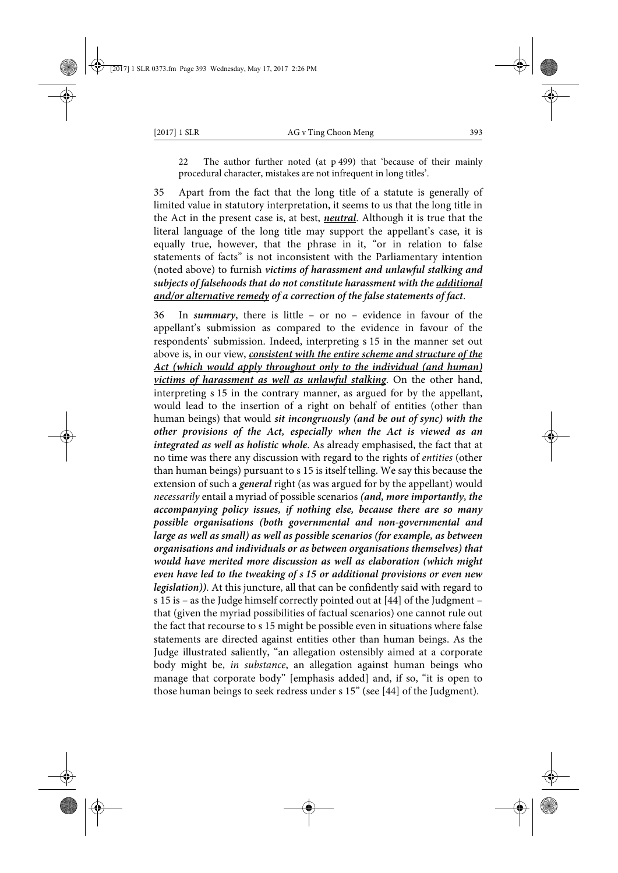22 The author further noted (at p 499) that 'because of their mainly procedural character, mistakes are not infrequent in long titles'.

35 Apart from the fact that the long title of a statute is generally of limited value in statutory interpretation, it seems to us that the long title in the Act in the present case is, at best, *neutral*. Although it is true that the literal language of the long title may support the appellant's case, it is equally true, however, that the phrase in it, "or in relation to false statements of facts" is not inconsistent with the Parliamentary intention (noted above) to furnish *victims of harassment and unlawful stalking and subjects of falsehoods that do not constitute harassment with the additional and/or alternative remedy of a correction of the false statements of fact*.

36 In *summary*, there is little – or no – evidence in favour of the appellant's submission as compared to the evidence in favour of the respondents' submission. Indeed, interpreting s 15 in the manner set out above is, in our view, *consistent with the entire scheme and structure of the Act (which would apply throughout only to the individual (and human) victims of harassment as well as unlawful stalking*. On the other hand, interpreting s 15 in the contrary manner, as argued for by the appellant, would lead to the insertion of a right on behalf of entities (other than human beings) that would *sit incongruously (and be out of sync) with the other provisions of the Act, especially when the Act is viewed as an integrated as well as holistic whole*. As already emphasised, the fact that at no time was there any discussion with regard to the rights of *entities* (other than human beings) pursuant to s 15 is itself telling. We say this because the extension of such a *general* right (as was argued for by the appellant) would *necessarily* entail a myriad of possible scenarios *(and, more importantly, the accompanying policy issues, if nothing else, because there are so many possible organisations (both governmental and non-governmental and large as well as small) as well as possible scenarios (for example, as between organisations and individuals or as between organisations themselves) that would have merited more discussion as well as elaboration (which might even have led to the tweaking of s 15 or additional provisions or even new legislation))*. At this juncture, all that can be confidently said with regard to s 15 is – as the Judge himself correctly pointed out at [44] of the Judgment – that (given the myriad possibilities of factual scenarios) one cannot rule out the fact that recourse to s 15 might be possible even in situations where false statements are directed against entities other than human beings. As the Judge illustrated saliently, "an allegation ostensibly aimed at a corporate body might be, *in substance*, an allegation against human beings who manage that corporate body" [emphasis added] and, if so, "it is open to those human beings to seek redress under s 15" (see [44] of the Judgment).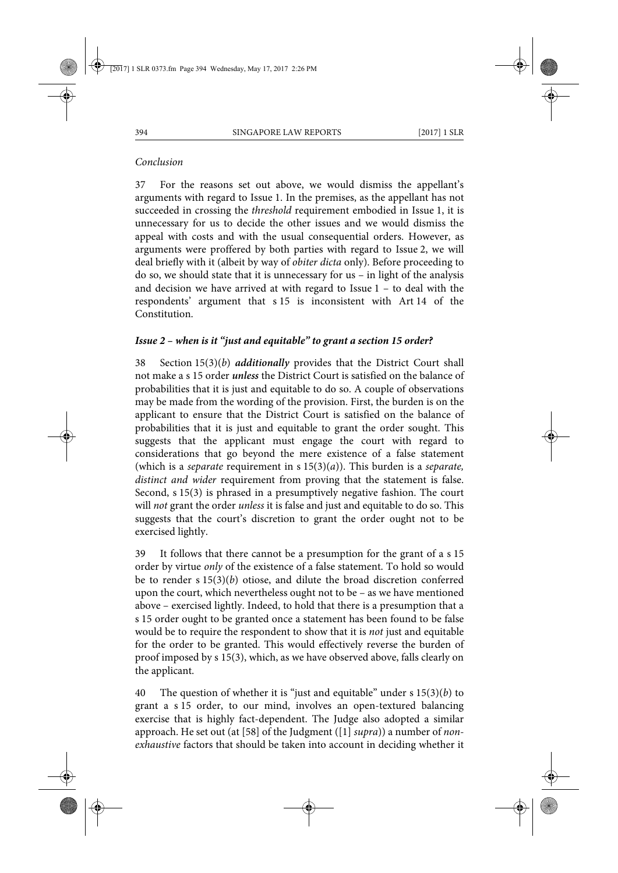## *Conclusion*

37 For the reasons set out above, we would dismiss the appellant's arguments with regard to Issue 1. In the premises, as the appellant has not succeeded in crossing the *threshold* requirement embodied in Issue 1, it is unnecessary for us to decide the other issues and we would dismiss the appeal with costs and with the usual consequential orders. However, as arguments were proffered by both parties with regard to Issue 2, we will deal briefly with it (albeit by way of *obiter dicta* only). Before proceeding to do so, we should state that it is unnecessary for us – in light of the analysis and decision we have arrived at with regard to Issue 1 – to deal with the respondents' argument that s 15 is inconsistent with Art 14 of the Constitution.

## *Issue 2 – when is it "just and equitable" to grant a section 15 order?*

38 Section 15(3)(*b*) *additionally* provides that the District Court shall not make a s 15 order *unless* the District Court is satisfied on the balance of probabilities that it is just and equitable to do so. A couple of observations may be made from the wording of the provision. First, the burden is on the applicant to ensure that the District Court is satisfied on the balance of probabilities that it is just and equitable to grant the order sought. This suggests that the applicant must engage the court with regard to considerations that go beyond the mere existence of a false statement (which is a *separate* requirement in s 15(3)(*a*)). This burden is a *separate, distinct and wider* requirement from proving that the statement is false. Second, s 15(3) is phrased in a presumptively negative fashion. The court will *not* grant the order *unless* it is false and just and equitable to do so. This suggests that the court's discretion to grant the order ought not to be exercised lightly.

39 It follows that there cannot be a presumption for the grant of a s 15 order by virtue *only* of the existence of a false statement. To hold so would be to render s 15(3)(*b*) otiose, and dilute the broad discretion conferred upon the court, which nevertheless ought not to be – as we have mentioned above – exercised lightly. Indeed, to hold that there is a presumption that a s 15 order ought to be granted once a statement has been found to be false would be to require the respondent to show that it is *not* just and equitable for the order to be granted. This would effectively reverse the burden of proof imposed by s 15(3), which, as we have observed above, falls clearly on the applicant.

40 The question of whether it is "just and equitable" under s 15(3)(*b*) to grant a s 15 order, to our mind, involves an open-textured balancing exercise that is highly fact-dependent. The Judge also adopted a similar approach. He set out (at [58] of the Judgment ([1] *supra*)) a number of *nonexhaustive* factors that should be taken into account in deciding whether it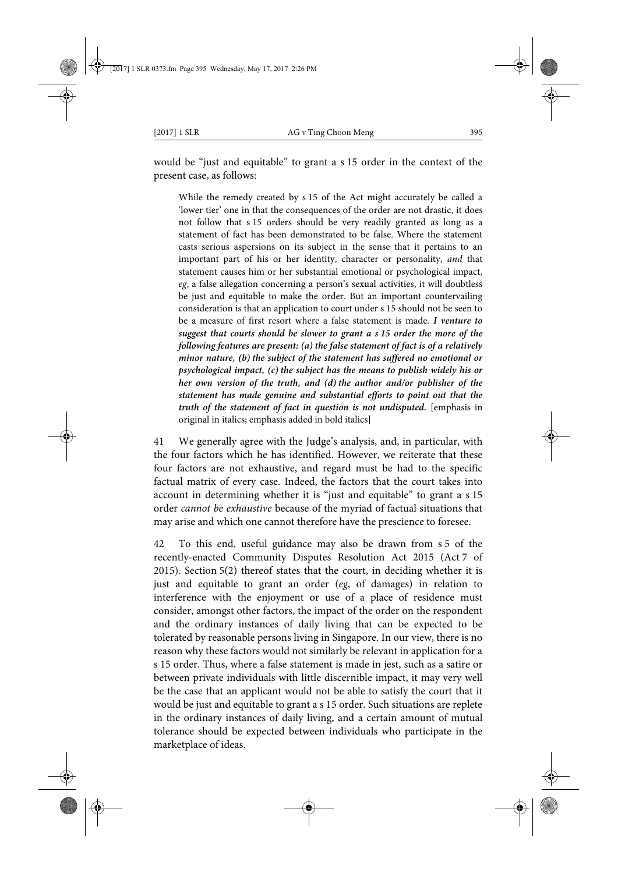would be "just and equitable" to grant a s 15 order in the context of the present case, as follows:

While the remedy created by s 15 of the Act might accurately be called a 'lower tier' one in that the consequences of the order are not drastic, it does not follow that s 15 orders should be very readily granted as long as a statement of fact has been demonstrated to be false. Where the statement casts serious aspersions on its subject in the sense that it pertains to an important part of his or her identity, character or personality, *and* that statement causes him or her substantial emotional or psychological impact, *eg*, a false allegation concerning a person's sexual activities, it will doubtless be just and equitable to make the order. But an important countervailing consideration is that an application to court under s 15 should not be seen to be a measure of first resort where a false statement is made. *I venture to suggest that courts should be slower to grant a s 15 order the more of the following features are present: (a) the false statement of fact is of a relatively minor nature, (b) the subject of the statement has suffered no emotional or psychological impact, (c) the subject has the means to publish widely his or her own version of the truth, and (d) the author and/or publisher of the statement has made genuine and substantial efforts to point out that the truth of the statement of fact in question is not undisputed.* [emphasis in original in italics; emphasis added in bold italics]

41 We generally agree with the Judge's analysis, and, in particular, with the four factors which he has identified. However, we reiterate that these four factors are not exhaustive, and regard must be had to the specific factual matrix of every case. Indeed, the factors that the court takes into account in determining whether it is "just and equitable" to grant a s 15 order *cannot be exhaustive* because of the myriad of factual situations that may arise and which one cannot therefore have the prescience to foresee.

42 To this end, useful guidance may also be drawn from s 5 of the recently-enacted Community Disputes Resolution Act 2015 (Act 7 of 2015). Section 5(2) thereof states that the court, in deciding whether it is just and equitable to grant an order (*eg*, of damages) in relation to interference with the enjoyment or use of a place of residence must consider, amongst other factors, the impact of the order on the respondent and the ordinary instances of daily living that can be expected to be tolerated by reasonable persons living in Singapore. In our view, there is no reason why these factors would not similarly be relevant in application for a s 15 order. Thus, where a false statement is made in jest, such as a satire or between private individuals with little discernible impact, it may very well be the case that an applicant would not be able to satisfy the court that it would be just and equitable to grant a s 15 order. Such situations are replete in the ordinary instances of daily living, and a certain amount of mutual tolerance should be expected between individuals who participate in the marketplace of ideas.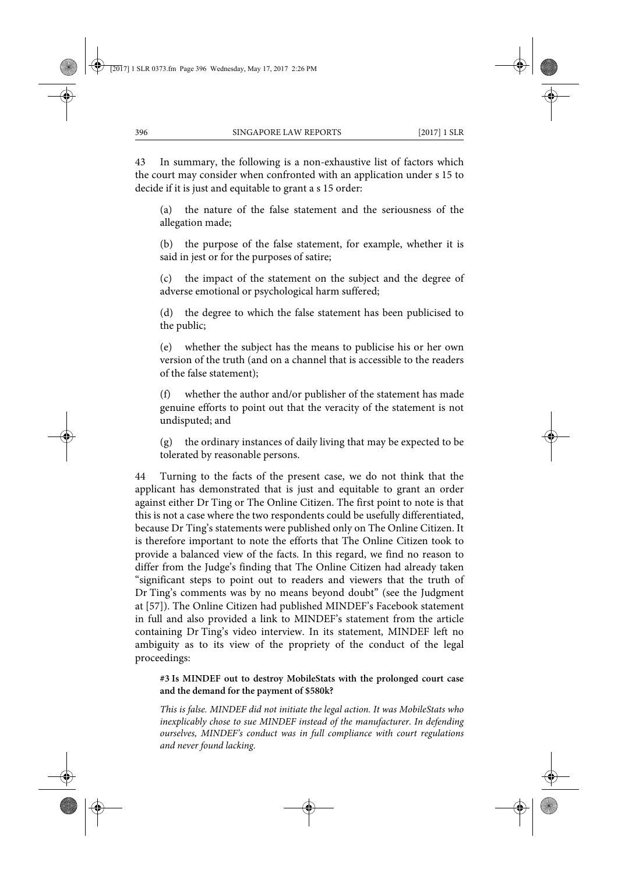43 In summary, the following is a non-exhaustive list of factors which the court may consider when confronted with an application under s 15 to decide if it is just and equitable to grant a s 15 order:

(a) the nature of the false statement and the seriousness of the allegation made;

(b) the purpose of the false statement, for example, whether it is said in jest or for the purposes of satire;

(c) the impact of the statement on the subject and the degree of adverse emotional or psychological harm suffered;

(d) the degree to which the false statement has been publicised to the public;

(e) whether the subject has the means to publicise his or her own version of the truth (and on a channel that is accessible to the readers of the false statement);

(f) whether the author and/or publisher of the statement has made genuine efforts to point out that the veracity of the statement is not undisputed; and

(g) the ordinary instances of daily living that may be expected to be tolerated by reasonable persons.

44 Turning to the facts of the present case, we do not think that the applicant has demonstrated that is just and equitable to grant an order against either Dr Ting or The Online Citizen. The first point to note is that this is not a case where the two respondents could be usefully differentiated, because Dr Ting's statements were published only on The Online Citizen. It is therefore important to note the efforts that The Online Citizen took to provide a balanced view of the facts. In this regard, we find no reason to differ from the Judge's finding that The Online Citizen had already taken "significant steps to point out to readers and viewers that the truth of Dr Ting's comments was by no means beyond doubt" (see the Judgment at [57]). The Online Citizen had published MINDEF's Facebook statement in full and also provided a link to MINDEF's statement from the article containing Dr Ting's video interview. In its statement, MINDEF left no ambiguity as to its view of the propriety of the conduct of the legal proceedings:

### **#3 Is MINDEF out to destroy MobileStats with the prolonged court case and the demand for the payment of \$580k?**

*This is false. MINDEF did not initiate the legal action. It was MobileStats who inexplicably chose to sue MINDEF instead of the manufacturer. In defending ourselves, MINDEF's conduct was in full compliance with court regulations and never found lacking.*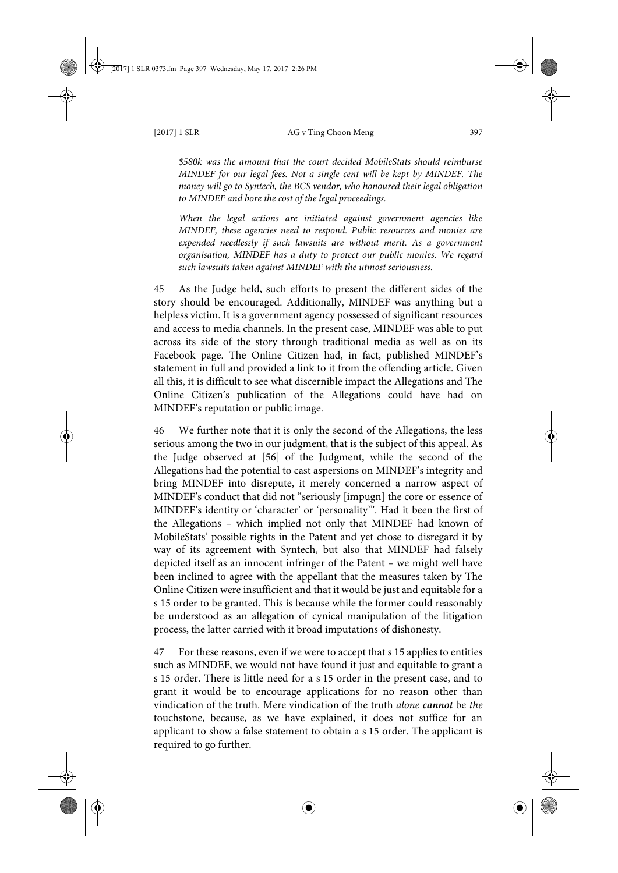*\$580k was the amount that the court decided MobileStats should reimburse MINDEF for our legal fees. Not a single cent will be kept by MINDEF. The money will go to Syntech, the BCS vendor, who honoured their legal obligation to MINDEF and bore the cost of the legal proceedings.*

*When the legal actions are initiated against government agencies like MINDEF, these agencies need to respond. Public resources and monies are expended needlessly if such lawsuits are without merit. As a government organisation, MINDEF has a duty to protect our public monies. We regard such lawsuits taken against MINDEF with the utmost seriousness.*

45 As the Judge held, such efforts to present the different sides of the story should be encouraged. Additionally, MINDEF was anything but a helpless victim. It is a government agency possessed of significant resources and access to media channels. In the present case, MINDEF was able to put across its side of the story through traditional media as well as on its Facebook page. The Online Citizen had, in fact, published MINDEF's statement in full and provided a link to it from the offending article. Given all this, it is difficult to see what discernible impact the Allegations and The Online Citizen's publication of the Allegations could have had on MINDEF's reputation or public image.

46 We further note that it is only the second of the Allegations, the less serious among the two in our judgment, that is the subject of this appeal. As the Judge observed at [56] of the Judgment, while the second of the Allegations had the potential to cast aspersions on MINDEF's integrity and bring MINDEF into disrepute, it merely concerned a narrow aspect of MINDEF's conduct that did not "seriously [impugn] the core or essence of MINDEF's identity or 'character' or 'personality'". Had it been the first of the Allegations – which implied not only that MINDEF had known of MobileStats' possible rights in the Patent and yet chose to disregard it by way of its agreement with Syntech, but also that MINDEF had falsely depicted itself as an innocent infringer of the Patent – we might well have been inclined to agree with the appellant that the measures taken by The Online Citizen were insufficient and that it would be just and equitable for a s 15 order to be granted. This is because while the former could reasonably be understood as an allegation of cynical manipulation of the litigation process, the latter carried with it broad imputations of dishonesty.

47 For these reasons, even if we were to accept that s 15 applies to entities such as MINDEF, we would not have found it just and equitable to grant a s 15 order. There is little need for a s 15 order in the present case, and to grant it would be to encourage applications for no reason other than vindication of the truth. Mere vindication of the truth *alone cannot* be *the* touchstone, because, as we have explained, it does not suffice for an applicant to show a false statement to obtain a s 15 order. The applicant is required to go further.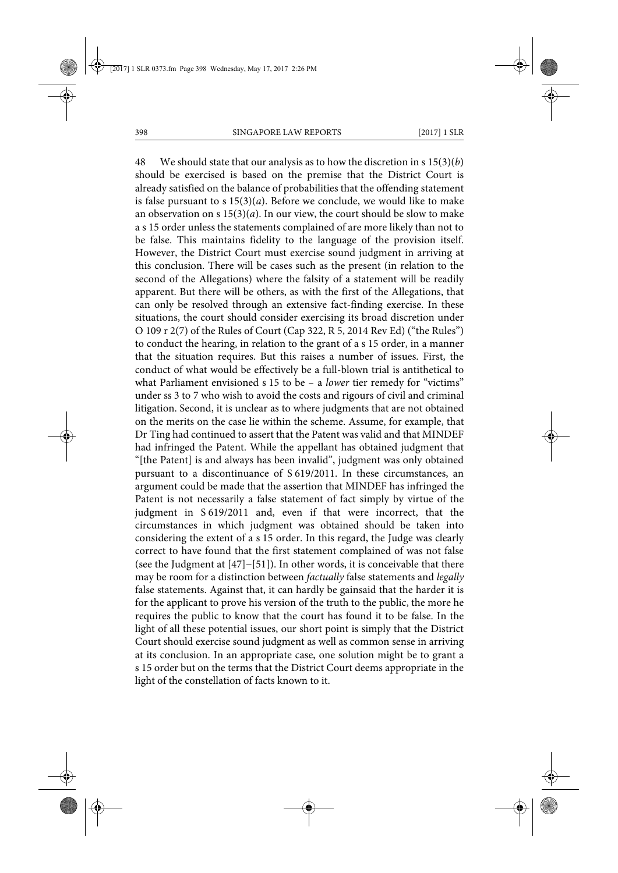48 We should state that our analysis as to how the discretion in s 15(3)(*b*) should be exercised is based on the premise that the District Court is already satisfied on the balance of probabilities that the offending statement is false pursuant to s  $15(3)(a)$ . Before we conclude, we would like to make an observation on s 15(3)(*a*). In our view, the court should be slow to make a s 15 order unless the statements complained of are more likely than not to be false. This maintains fidelity to the language of the provision itself. However, the District Court must exercise sound judgment in arriving at this conclusion. There will be cases such as the present (in relation to the second of the Allegations) where the falsity of a statement will be readily apparent. But there will be others, as with the first of the Allegations, that can only be resolved through an extensive fact-finding exercise. In these situations, the court should consider exercising its broad discretion under O 109 r 2(7) of the Rules of Court (Cap 322, R 5, 2014 Rev Ed) ("the Rules") to conduct the hearing, in relation to the grant of a s 15 order, in a manner that the situation requires. But this raises a number of issues. First, the conduct of what would be effectively be a full-blown trial is antithetical to what Parliament envisioned s 15 to be – a *lower* tier remedy for "victims" under ss 3 to 7 who wish to avoid the costs and rigours of civil and criminal litigation. Second, it is unclear as to where judgments that are not obtained on the merits on the case lie within the scheme. Assume, for example, that Dr Ting had continued to assert that the Patent was valid and that MINDEF had infringed the Patent. While the appellant has obtained judgment that "[the Patent] is and always has been invalid", judgment was only obtained pursuant to a discontinuance of S 619/2011. In these circumstances, an argument could be made that the assertion that MINDEF has infringed the Patent is not necessarily a false statement of fact simply by virtue of the judgment in S 619/2011 and, even if that were incorrect, that the circumstances in which judgment was obtained should be taken into considering the extent of a s 15 order. In this regard, the Judge was clearly correct to have found that the first statement complained of was not false (see the Judgment at [47]−[51]). In other words, it is conceivable that there may be room for a distinction between *factually* false statements and *legally* false statements. Against that, it can hardly be gainsaid that the harder it is for the applicant to prove his version of the truth to the public, the more he requires the public to know that the court has found it to be false. In the light of all these potential issues, our short point is simply that the District Court should exercise sound judgment as well as common sense in arriving at its conclusion. In an appropriate case, one solution might be to grant a s 15 order but on the terms that the District Court deems appropriate in the light of the constellation of facts known to it.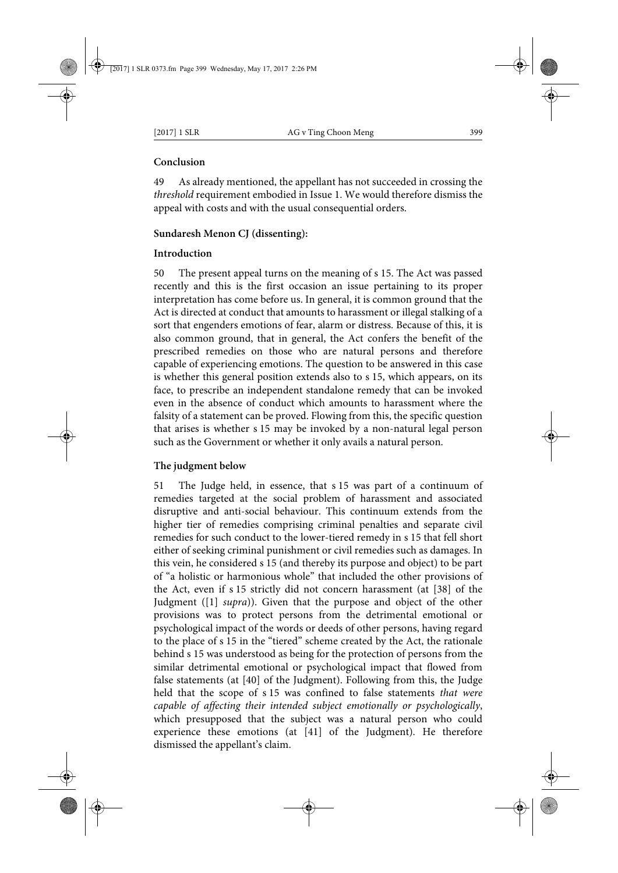### **Conclusion**

49 As already mentioned, the appellant has not succeeded in crossing the *threshold* requirement embodied in Issue 1. We would therefore dismiss the appeal with costs and with the usual consequential orders.

## **Sundaresh Menon CJ (dissenting):**

### **Introduction**

50 The present appeal turns on the meaning of s 15. The Act was passed recently and this is the first occasion an issue pertaining to its proper interpretation has come before us. In general, it is common ground that the Act is directed at conduct that amounts to harassment or illegal stalking of a sort that engenders emotions of fear, alarm or distress. Because of this, it is also common ground, that in general, the Act confers the benefit of the prescribed remedies on those who are natural persons and therefore capable of experiencing emotions. The question to be answered in this case is whether this general position extends also to s 15, which appears, on its face, to prescribe an independent standalone remedy that can be invoked even in the absence of conduct which amounts to harassment where the falsity of a statement can be proved. Flowing from this, the specific question that arises is whether s 15 may be invoked by a non-natural legal person such as the Government or whether it only avails a natural person.

## **The judgment below**

51 The Judge held, in essence, that s 15 was part of a continuum of remedies targeted at the social problem of harassment and associated disruptive and anti-social behaviour. This continuum extends from the higher tier of remedies comprising criminal penalties and separate civil remedies for such conduct to the lower-tiered remedy in s 15 that fell short either of seeking criminal punishment or civil remedies such as damages. In this vein, he considered s 15 (and thereby its purpose and object) to be part of "a holistic or harmonious whole" that included the other provisions of the Act, even if s 15 strictly did not concern harassment (at [38] of the Judgment ([1] *supra*)). Given that the purpose and object of the other provisions was to protect persons from the detrimental emotional or psychological impact of the words or deeds of other persons, having regard to the place of s 15 in the "tiered" scheme created by the Act, the rationale behind s 15 was understood as being for the protection of persons from the similar detrimental emotional or psychological impact that flowed from false statements (at [40] of the Judgment). Following from this, the Judge held that the scope of s 15 was confined to false statements *that were capable of affecting their intended subject emotionally or psychologically*, which presupposed that the subject was a natural person who could experience these emotions (at [41] of the Judgment). He therefore dismissed the appellant's claim.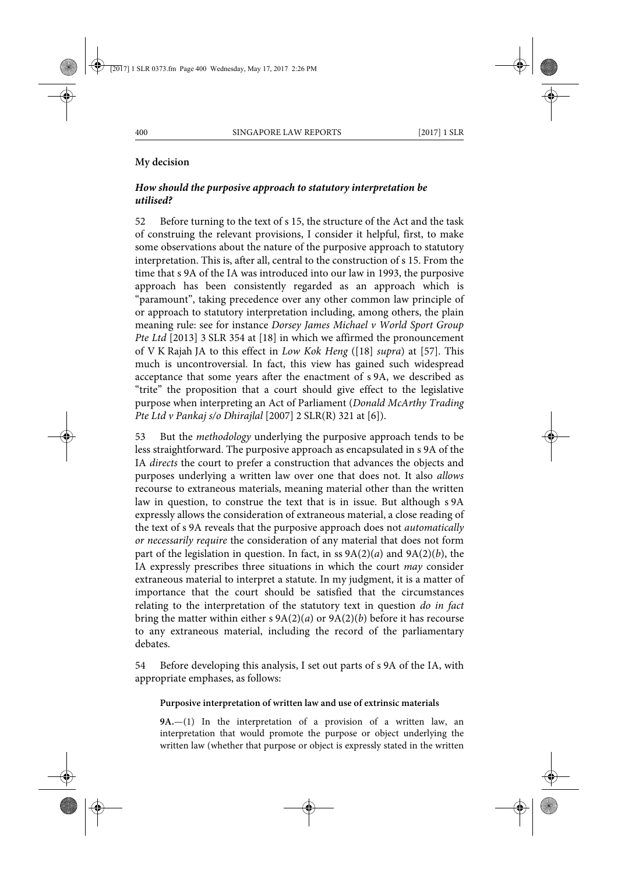## **My decision**

# *How should the purposive approach to statutory interpretation be utilised?*

52 Before turning to the text of s 15, the structure of the Act and the task of construing the relevant provisions, I consider it helpful, first, to make some observations about the nature of the purposive approach to statutory interpretation. This is, after all, central to the construction of s 15. From the time that s 9A of the IA was introduced into our law in 1993, the purposive approach has been consistently regarded as an approach which is "paramount", taking precedence over any other common law principle of or approach to statutory interpretation including, among others, the plain meaning rule: see for instance *Dorsey James Michael v World Sport Group Pte Ltd* [2013] 3 SLR 354 at [18] in which we affirmed the pronouncement of V K Rajah JA to this effect in *Low Kok Heng* ([18] *supra*) at [57]. This much is uncontroversial. In fact, this view has gained such widespread acceptance that some years after the enactment of s 9A, we described as "trite" the proposition that a court should give effect to the legislative purpose when interpreting an Act of Parliament (*Donald McArthy Trading Pte Ltd v Pankaj s/o Dhirajlal* [2007] 2 SLR(R) 321 at [6]).

53 But the *methodology* underlying the purposive approach tends to be less straightforward. The purposive approach as encapsulated in s 9A of the IA *directs* the court to prefer a construction that advances the objects and purposes underlying a written law over one that does not. It also *allows* recourse to extraneous materials, meaning material other than the written law in question, to construe the text that is in issue. But although s 9A expressly allows the consideration of extraneous material, a close reading of the text of s 9A reveals that the purposive approach does not *automatically or necessarily require* the consideration of any material that does not form part of the legislation in question. In fact, in ss 9A(2)(*a*) and 9A(2)(*b*), the IA expressly prescribes three situations in which the court *may* consider extraneous material to interpret a statute. In my judgment, it is a matter of importance that the court should be satisfied that the circumstances relating to the interpretation of the statutory text in question *do in fact* bring the matter within either s 9A(2)(*a*) or 9A(2)(*b*) before it has recourse to any extraneous material, including the record of the parliamentary debates.

54 Before developing this analysis, I set out parts of s 9A of the IA, with appropriate emphases, as follows:

### **Purposive interpretation of written law and use of extrinsic materials**

**9A.**—(1) In the interpretation of a provision of a written law, an interpretation that would promote the purpose or object underlying the written law (whether that purpose or object is expressly stated in the written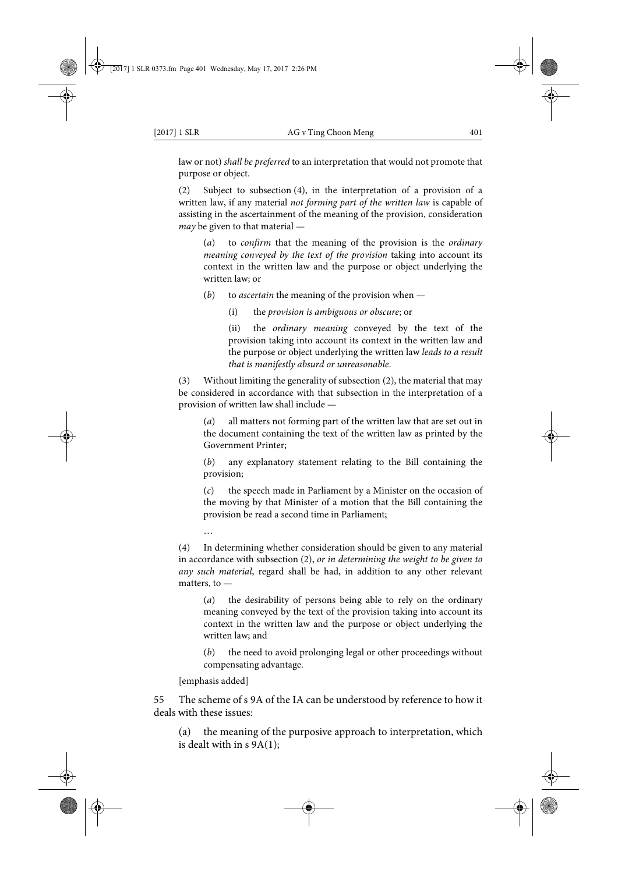law or not) *shall be preferred* to an interpretation that would not promote that purpose or object.

(2) Subject to subsection (4), in the interpretation of a provision of a written law, if any material *not forming part of the written law* is capable of assisting in the ascertainment of the meaning of the provision, consideration *may* be given to that material —

(*a*) to *confirm* that the meaning of the provision is the *ordinary meaning conveyed by the text of the provision* taking into account its context in the written law and the purpose or object underlying the written law; or

(*b*) to *ascertain* the meaning of the provision when —

(i) the *provision is ambiguous or obscure*; or

(ii) the *ordinary meaning* conveyed by the text of the provision taking into account its context in the written law and the purpose or object underlying the written law *leads to a result that is manifestly absurd or unreasonable*.

(3) Without limiting the generality of subsection (2), the material that may be considered in accordance with that subsection in the interpretation of a provision of written law shall include —

(*a*) all matters not forming part of the written law that are set out in the document containing the text of the written law as printed by the Government Printer;

(*b*) any explanatory statement relating to the Bill containing the provision;

(*c*) the speech made in Parliament by a Minister on the occasion of the moving by that Minister of a motion that the Bill containing the provision be read a second time in Parliament;

(4) In determining whether consideration should be given to any material in accordance with subsection (2), *or in determining the weight to be given to any such material*, regard shall be had, in addition to any other relevant matters, to —

(*a*) the desirability of persons being able to rely on the ordinary meaning conveyed by the text of the provision taking into account its context in the written law and the purpose or object underlying the written law; and

(*b*) the need to avoid prolonging legal or other proceedings without compensating advantage.

[emphasis added]

…

55 The scheme of s 9A of the IA can be understood by reference to how it deals with these issues:

(a) the meaning of the purposive approach to interpretation, which is dealt with in  $s$  9A(1);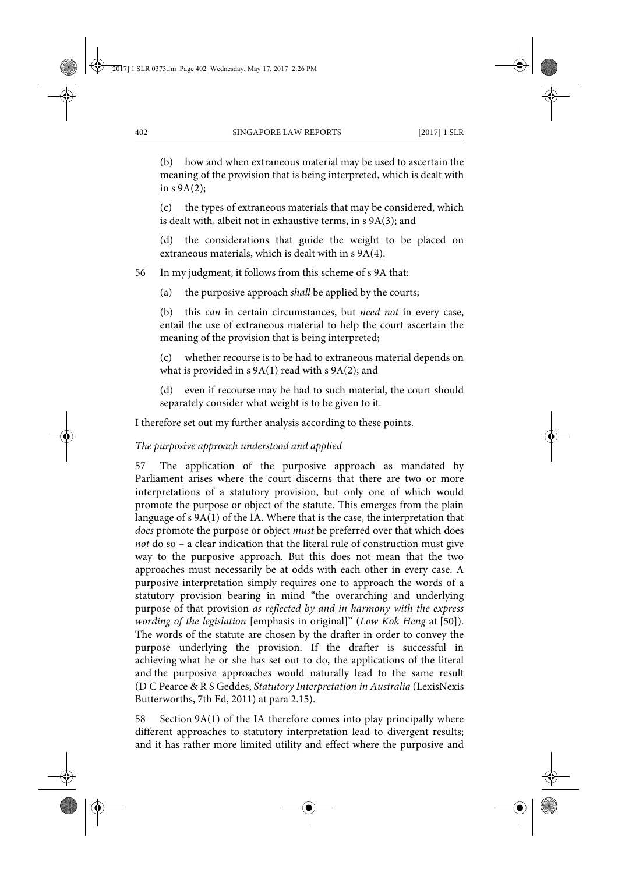(b) how and when extraneous material may be used to ascertain the meaning of the provision that is being interpreted, which is dealt with in  $s$  9A(2);

(c) the types of extraneous materials that may be considered, which is dealt with, albeit not in exhaustive terms, in s 9A(3); and

(d) the considerations that guide the weight to be placed on extraneous materials, which is dealt with in s 9A(4).

56 In my judgment, it follows from this scheme of s 9A that:

(a) the purposive approach *shall* be applied by the courts;

(b) this *can* in certain circumstances, but *need not* in every case, entail the use of extraneous material to help the court ascertain the meaning of the provision that is being interpreted;

(c) whether recourse is to be had to extraneous material depends on what is provided in  $s$  9A(1) read with  $s$  9A(2); and

(d) even if recourse may be had to such material, the court should separately consider what weight is to be given to it.

I therefore set out my further analysis according to these points.

## *The purposive approach understood and applied*

57 The application of the purposive approach as mandated by Parliament arises where the court discerns that there are two or more interpretations of a statutory provision, but only one of which would promote the purpose or object of the statute. This emerges from the plain language of s 9A(1) of the IA. Where that is the case, the interpretation that *does* promote the purpose or object *must* be preferred over that which does *not* do so – a clear indication that the literal rule of construction must give way to the purposive approach. But this does not mean that the two approaches must necessarily be at odds with each other in every case. A purposive interpretation simply requires one to approach the words of a statutory provision bearing in mind "the overarching and underlying purpose of that provision *as reflected by and in harmony with the express wording of the legislation* [emphasis in original]" (*Low Kok Heng* at [50]). The words of the statute are chosen by the drafter in order to convey the purpose underlying the provision. If the drafter is successful in achieving what he or she has set out to do, the applications of the literal and the purposive approaches would naturally lead to the same result (D C Pearce & R S Geddes, *Statutory Interpretation in Australia* (LexisNexis Butterworths, 7th Ed, 2011) at para 2.15).

58 Section 9A(1) of the IA therefore comes into play principally where different approaches to statutory interpretation lead to divergent results; and it has rather more limited utility and effect where the purposive and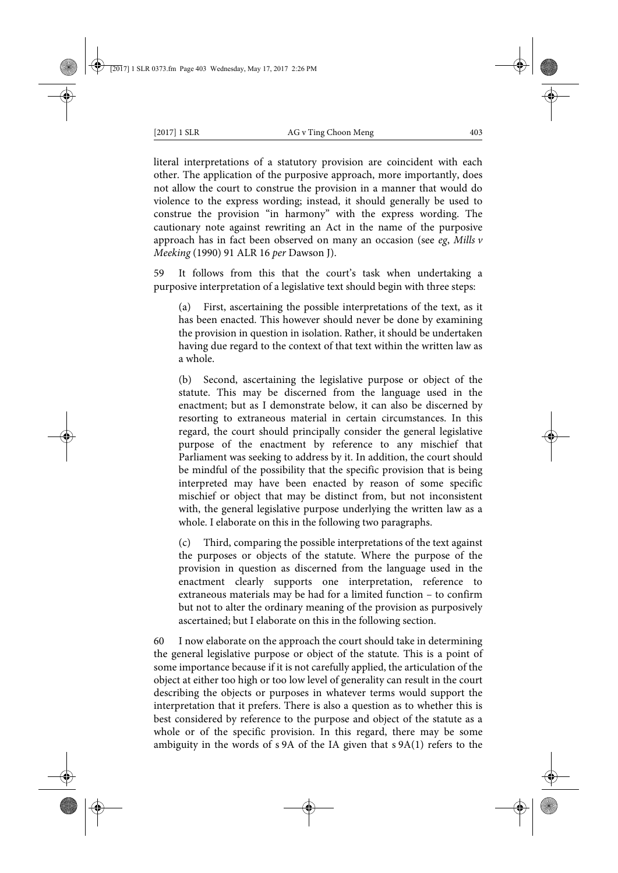literal interpretations of a statutory provision are coincident with each other. The application of the purposive approach, more importantly, does not allow the court to construe the provision in a manner that would do violence to the express wording; instead, it should generally be used to construe the provision "in harmony" with the express wording. The cautionary note against rewriting an Act in the name of the purposive approach has in fact been observed on many an occasion (see *eg*, *Mills v Meeking* (1990) 91 ALR 16 *per* Dawson J).

59 It follows from this that the court's task when undertaking a purposive interpretation of a legislative text should begin with three steps:

(a) First, ascertaining the possible interpretations of the text, as it has been enacted. This however should never be done by examining the provision in question in isolation. Rather, it should be undertaken having due regard to the context of that text within the written law as a whole.

(b) Second, ascertaining the legislative purpose or object of the statute. This may be discerned from the language used in the enactment; but as I demonstrate below, it can also be discerned by resorting to extraneous material in certain circumstances. In this regard, the court should principally consider the general legislative purpose of the enactment by reference to any mischief that Parliament was seeking to address by it. In addition, the court should be mindful of the possibility that the specific provision that is being interpreted may have been enacted by reason of some specific mischief or object that may be distinct from, but not inconsistent with, the general legislative purpose underlying the written law as a whole. I elaborate on this in the following two paragraphs.

(c) Third, comparing the possible interpretations of the text against the purposes or objects of the statute. Where the purpose of the provision in question as discerned from the language used in the enactment clearly supports one interpretation, reference to extraneous materials may be had for a limited function – to confirm but not to alter the ordinary meaning of the provision as purposively ascertained; but I elaborate on this in the following section.

60 I now elaborate on the approach the court should take in determining the general legislative purpose or object of the statute. This is a point of some importance because if it is not carefully applied, the articulation of the object at either too high or too low level of generality can result in the court describing the objects or purposes in whatever terms would support the interpretation that it prefers. There is also a question as to whether this is best considered by reference to the purpose and object of the statute as a whole or of the specific provision. In this regard, there may be some ambiguity in the words of s 9A of the IA given that s 9A(1) refers to the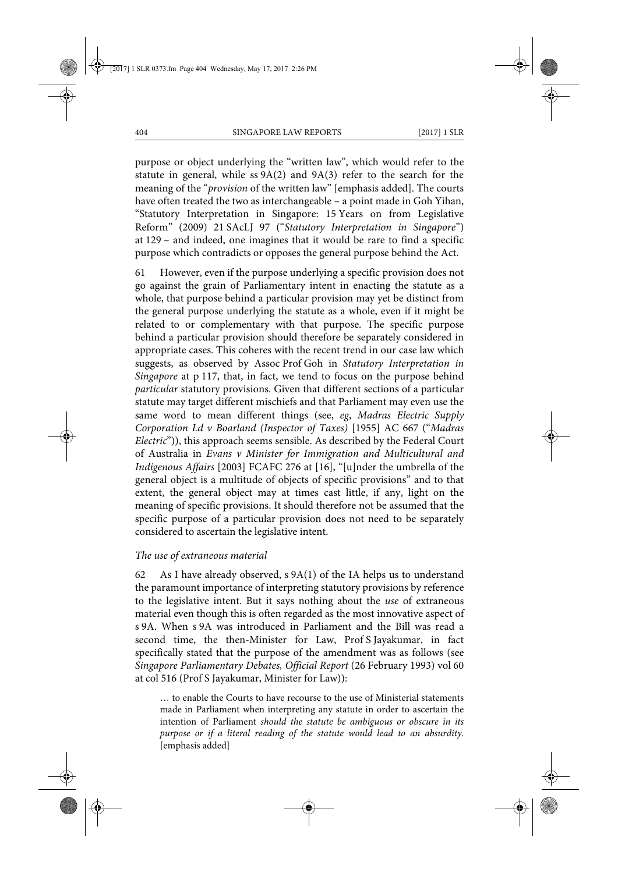purpose or object underlying the "written law", which would refer to the statute in general, while ss 9A(2) and 9A(3) refer to the search for the meaning of the "*provision* of the written law" [emphasis added]. The courts have often treated the two as interchangeable – a point made in Goh Yihan, "Statutory Interpretation in Singapore: 15 Years on from Legislative Reform" (2009) 21 SAcLJ 97 ("*Statutory Interpretation in Singapore*") at 129 – and indeed, one imagines that it would be rare to find a specific purpose which contradicts or opposes the general purpose behind the Act.

61 However, even if the purpose underlying a specific provision does not go against the grain of Parliamentary intent in enacting the statute as a whole, that purpose behind a particular provision may yet be distinct from the general purpose underlying the statute as a whole, even if it might be related to or complementary with that purpose. The specific purpose behind a particular provision should therefore be separately considered in appropriate cases. This coheres with the recent trend in our case law which suggests, as observed by Assoc Prof Goh in *Statutory Interpretation in Singapore* at p 117, that, in fact, we tend to focus on the purpose behind *particular* statutory provisions. Given that different sections of a particular statute may target different mischiefs and that Parliament may even use the same word to mean different things (see, *eg*, *Madras Electric Supply Corporation Ld v Boarland (Inspector of Taxes)* [1955] AC 667 ("*Madras Electric*")), this approach seems sensible. As described by the Federal Court of Australia in *Evans v Minister for Immigration and Multicultural and Indigenous Affairs* [2003] FCAFC 276 at [16], "[u]nder the umbrella of the general object is a multitude of objects of specific provisions" and to that extent, the general object may at times cast little, if any, light on the meaning of specific provisions. It should therefore not be assumed that the specific purpose of a particular provision does not need to be separately considered to ascertain the legislative intent.

### *The use of extraneous material*

62 As I have already observed, s 9A(1) of the IA helps us to understand the paramount importance of interpreting statutory provisions by reference to the legislative intent. But it says nothing about the *use* of extraneous material even though this is often regarded as the most innovative aspect of s 9A. When s 9A was introduced in Parliament and the Bill was read a second time, the then-Minister for Law, Prof S Jayakumar, in fact specifically stated that the purpose of the amendment was as follows (see *Singapore Parliamentary Debates, Official Report* (26 February 1993) vol 60 at col 516 (Prof S Jayakumar, Minister for Law)):

… to enable the Courts to have recourse to the use of Ministerial statements made in Parliament when interpreting any statute in order to ascertain the intention of Parliament *should the statute be ambiguous or obscure in its purpose or if a literal reading of the statute would lead to an absurdity*. [emphasis added]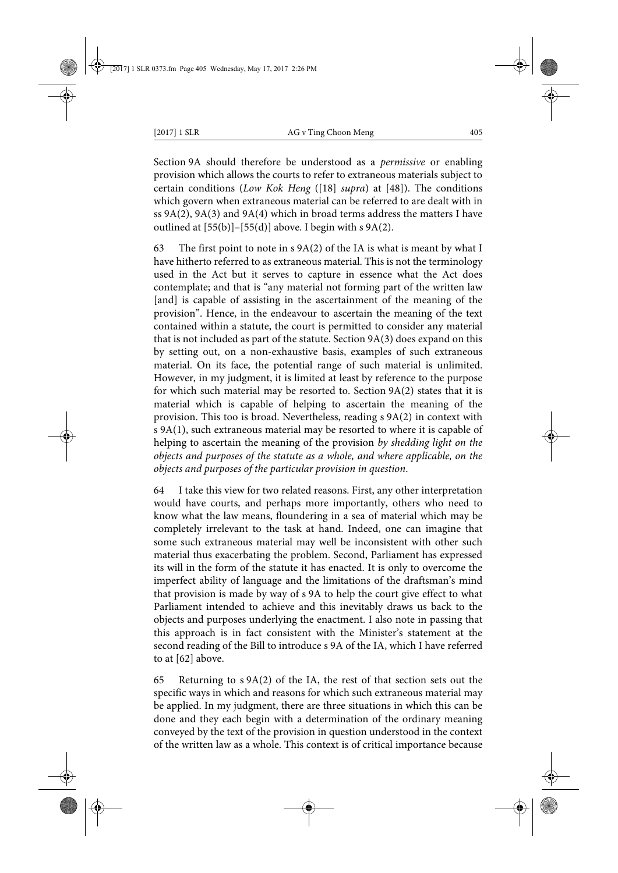Section 9A should therefore be understood as a *permissive* or enabling provision which allows the courts to refer to extraneous materials subject to certain conditions (*Low Kok Heng* ([18] *supra*) at [48]). The conditions which govern when extraneous material can be referred to are dealt with in ss 9A(2), 9A(3) and 9A(4) which in broad terms address the matters I have outlined at  $[55(b)]-[55(d)]$  above. I begin with s  $9A(2)$ .

63 The first point to note in  $s$  9A(2) of the IA is what is meant by what I have hitherto referred to as extraneous material. This is not the terminology used in the Act but it serves to capture in essence what the Act does contemplate; and that is "any material not forming part of the written law [and] is capable of assisting in the ascertainment of the meaning of the provision". Hence, in the endeavour to ascertain the meaning of the text contained within a statute, the court is permitted to consider any material that is not included as part of the statute. Section 9A(3) does expand on this by setting out, on a non-exhaustive basis, examples of such extraneous material. On its face, the potential range of such material is unlimited. However, in my judgment, it is limited at least by reference to the purpose for which such material may be resorted to. Section 9A(2) states that it is material which is capable of helping to ascertain the meaning of the provision. This too is broad. Nevertheless, reading s 9A(2) in context with s 9A(1), such extraneous material may be resorted to where it is capable of helping to ascertain the meaning of the provision *by shedding light on the objects and purposes of the statute as a whole, and where applicable, on the objects and purposes of the particular provision in question*.

64 I take this view for two related reasons. First, any other interpretation would have courts, and perhaps more importantly, others who need to know what the law means, floundering in a sea of material which may be completely irrelevant to the task at hand. Indeed, one can imagine that some such extraneous material may well be inconsistent with other such material thus exacerbating the problem. Second, Parliament has expressed its will in the form of the statute it has enacted. It is only to overcome the imperfect ability of language and the limitations of the draftsman's mind that provision is made by way of s 9A to help the court give effect to what Parliament intended to achieve and this inevitably draws us back to the objects and purposes underlying the enactment. I also note in passing that this approach is in fact consistent with the Minister's statement at the second reading of the Bill to introduce s 9A of the IA, which I have referred to at [62] above.

65 Returning to s 9A(2) of the IA, the rest of that section sets out the specific ways in which and reasons for which such extraneous material may be applied. In my judgment, there are three situations in which this can be done and they each begin with a determination of the ordinary meaning conveyed by the text of the provision in question understood in the context of the written law as a whole. This context is of critical importance because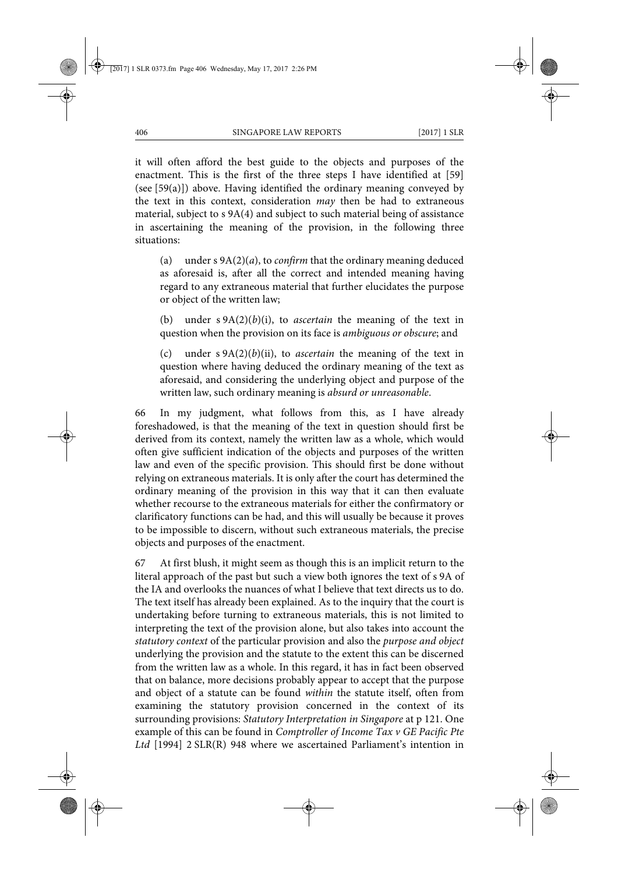it will often afford the best guide to the objects and purposes of the enactment. This is the first of the three steps I have identified at [59] (see [59(a)]) above. Having identified the ordinary meaning conveyed by the text in this context, consideration *may* then be had to extraneous material, subject to s 9A(4) and subject to such material being of assistance in ascertaining the meaning of the provision, in the following three situations:

(a) under s 9A(2)(*a*), to *confirm* that the ordinary meaning deduced as aforesaid is, after all the correct and intended meaning having regard to any extraneous material that further elucidates the purpose or object of the written law;

(b) under s 9A(2)(*b*)(i), to *ascertain* the meaning of the text in question when the provision on its face is *ambiguous or obscure*; and

(c) under s 9A(2)(*b*)(ii), to *ascertain* the meaning of the text in question where having deduced the ordinary meaning of the text as aforesaid, and considering the underlying object and purpose of the written law, such ordinary meaning is *absurd or unreasonable*.

66 In my judgment, what follows from this, as I have already foreshadowed, is that the meaning of the text in question should first be derived from its context, namely the written law as a whole, which would often give sufficient indication of the objects and purposes of the written law and even of the specific provision. This should first be done without relying on extraneous materials. It is only after the court has determined the ordinary meaning of the provision in this way that it can then evaluate whether recourse to the extraneous materials for either the confirmatory or clarificatory functions can be had, and this will usually be because it proves to be impossible to discern, without such extraneous materials, the precise objects and purposes of the enactment.

67 At first blush, it might seem as though this is an implicit return to the literal approach of the past but such a view both ignores the text of s 9A of the IA and overlooks the nuances of what I believe that text directs us to do. The text itself has already been explained. As to the inquiry that the court is undertaking before turning to extraneous materials, this is not limited to interpreting the text of the provision alone, but also takes into account the *statutory context* of the particular provision and also the *purpose and object* underlying the provision and the statute to the extent this can be discerned from the written law as a whole. In this regard, it has in fact been observed that on balance, more decisions probably appear to accept that the purpose and object of a statute can be found *within* the statute itself, often from examining the statutory provision concerned in the context of its surrounding provisions: *Statutory Interpretation in Singapore* at p 121. One example of this can be found in *Comptroller of Income Tax v GE Pacific Pte Ltd* [1994] 2 SLR(R) 948 where we ascertained Parliament's intention in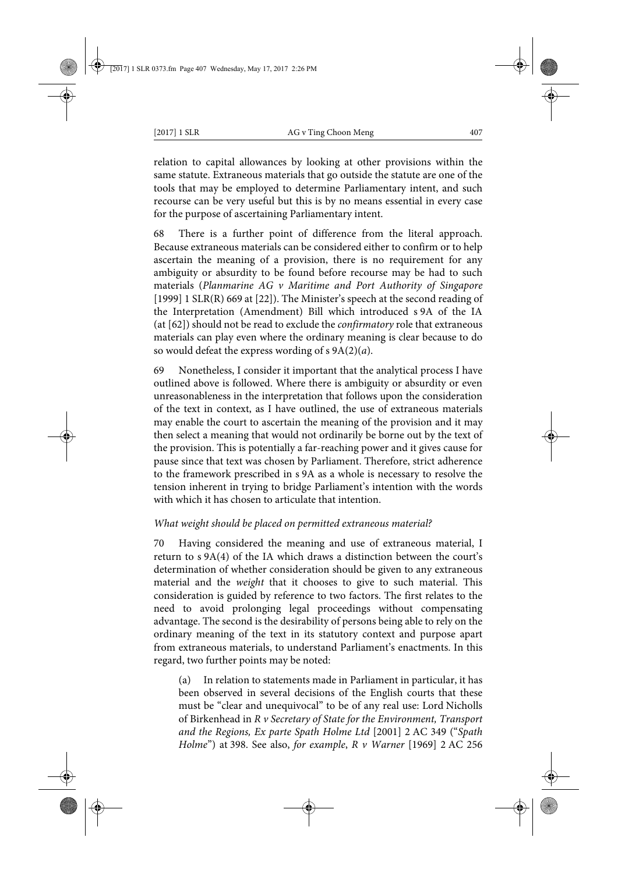relation to capital allowances by looking at other provisions within the same statute. Extraneous materials that go outside the statute are one of the tools that may be employed to determine Parliamentary intent, and such recourse can be very useful but this is by no means essential in every case for the purpose of ascertaining Parliamentary intent.

68 There is a further point of difference from the literal approach. Because extraneous materials can be considered either to confirm or to help ascertain the meaning of a provision, there is no requirement for any ambiguity or absurdity to be found before recourse may be had to such materials (*Planmarine AG v Maritime and Port Authority of Singapore* [1999] 1 SLR(R) 669 at [22]). The Minister's speech at the second reading of the Interpretation (Amendment) Bill which introduced s 9A of the IA (at [62]) should not be read to exclude the *confirmatory* role that extraneous materials can play even where the ordinary meaning is clear because to do so would defeat the express wording of s 9A(2)(*a*).

69 Nonetheless, I consider it important that the analytical process I have outlined above is followed. Where there is ambiguity or absurdity or even unreasonableness in the interpretation that follows upon the consideration of the text in context, as I have outlined, the use of extraneous materials may enable the court to ascertain the meaning of the provision and it may then select a meaning that would not ordinarily be borne out by the text of the provision. This is potentially a far-reaching power and it gives cause for pause since that text was chosen by Parliament. Therefore, strict adherence to the framework prescribed in s 9A as a whole is necessary to resolve the tension inherent in trying to bridge Parliament's intention with the words with which it has chosen to articulate that intention.

## *What weight should be placed on permitted extraneous material?*

70 Having considered the meaning and use of extraneous material, I return to s 9A(4) of the IA which draws a distinction between the court's determination of whether consideration should be given to any extraneous material and the *weight* that it chooses to give to such material. This consideration is guided by reference to two factors. The first relates to the need to avoid prolonging legal proceedings without compensating advantage. The second is the desirability of persons being able to rely on the ordinary meaning of the text in its statutory context and purpose apart from extraneous materials, to understand Parliament's enactments. In this regard, two further points may be noted:

(a) In relation to statements made in Parliament in particular, it has been observed in several decisions of the English courts that these must be "clear and unequivocal" to be of any real use: Lord Nicholls of Birkenhead in *R v Secretary of State for the Environment, Transport and the Regions, Ex parte Spath Holme Ltd* [2001] 2 AC 349 ("*Spath Holme*") at 398. See also, *for example*, *R v Warner* [1969] 2 AC 256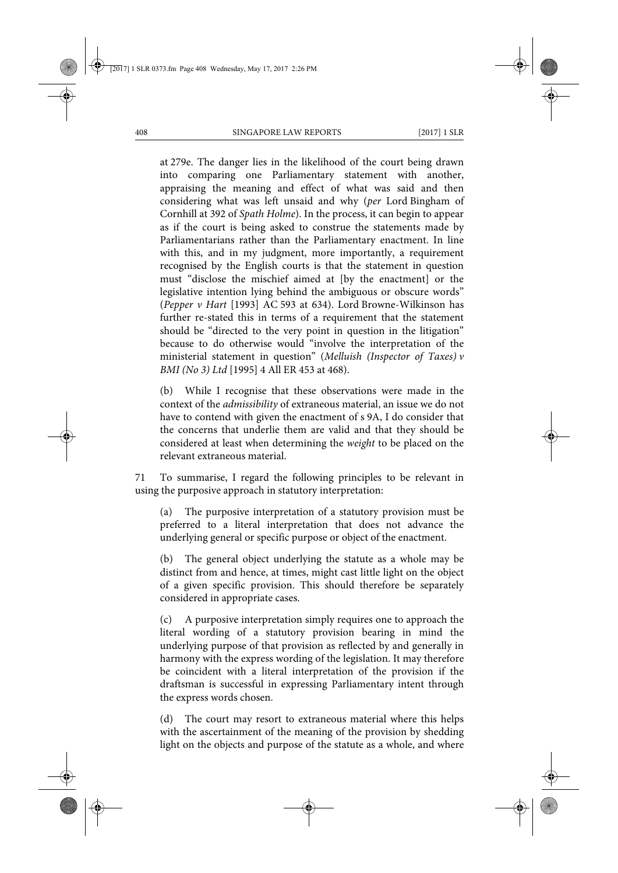at 279e. The danger lies in the likelihood of the court being drawn into comparing one Parliamentary statement with another, appraising the meaning and effect of what was said and then considering what was left unsaid and why (*per* Lord Bingham of Cornhill at 392 of *Spath Holme*). In the process, it can begin to appear as if the court is being asked to construe the statements made by Parliamentarians rather than the Parliamentary enactment. In line with this, and in my judgment, more importantly, a requirement recognised by the English courts is that the statement in question must "disclose the mischief aimed at [by the enactment] or the legislative intention lying behind the ambiguous or obscure words" (*Pepper v Hart* [1993] AC 593 at 634). Lord Browne-Wilkinson has further re-stated this in terms of a requirement that the statement should be "directed to the very point in question in the litigation" because to do otherwise would "involve the interpretation of the ministerial statement in question" (*Melluish (Inspector of Taxes) v BMI (No 3) Ltd* [1995] 4 All ER 453 at 468).

(b) While I recognise that these observations were made in the context of the *admissibility* of extraneous material, an issue we do not have to contend with given the enactment of s 9A, I do consider that the concerns that underlie them are valid and that they should be considered at least when determining the *weight* to be placed on the relevant extraneous material.

71 To summarise, I regard the following principles to be relevant in using the purposive approach in statutory interpretation:

(a) The purposive interpretation of a statutory provision must be preferred to a literal interpretation that does not advance the underlying general or specific purpose or object of the enactment.

(b) The general object underlying the statute as a whole may be distinct from and hence, at times, might cast little light on the object of a given specific provision. This should therefore be separately considered in appropriate cases.

(c) A purposive interpretation simply requires one to approach the literal wording of a statutory provision bearing in mind the underlying purpose of that provision as reflected by and generally in harmony with the express wording of the legislation. It may therefore be coincident with a literal interpretation of the provision if the draftsman is successful in expressing Parliamentary intent through the express words chosen.

(d) The court may resort to extraneous material where this helps with the ascertainment of the meaning of the provision by shedding light on the objects and purpose of the statute as a whole, and where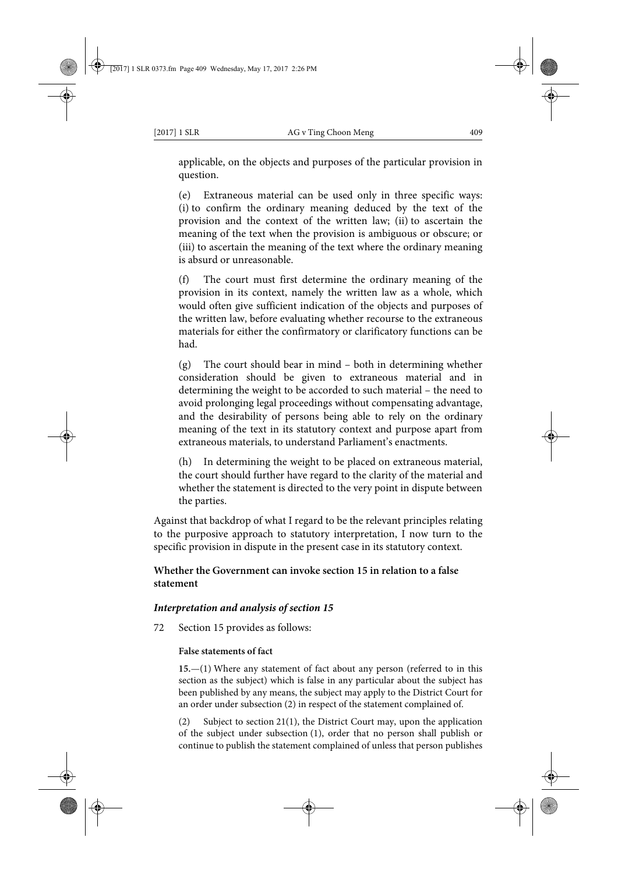applicable, on the objects and purposes of the particular provision in question.

(e) Extraneous material can be used only in three specific ways: (i) to confirm the ordinary meaning deduced by the text of the provision and the context of the written law; (ii) to ascertain the meaning of the text when the provision is ambiguous or obscure; or (iii) to ascertain the meaning of the text where the ordinary meaning is absurd or unreasonable.

(f) The court must first determine the ordinary meaning of the provision in its context, namely the written law as a whole, which would often give sufficient indication of the objects and purposes of the written law, before evaluating whether recourse to the extraneous materials for either the confirmatory or clarificatory functions can be had.

(g) The court should bear in mind – both in determining whether consideration should be given to extraneous material and in determining the weight to be accorded to such material – the need to avoid prolonging legal proceedings without compensating advantage, and the desirability of persons being able to rely on the ordinary meaning of the text in its statutory context and purpose apart from extraneous materials, to understand Parliament's enactments.

(h) In determining the weight to be placed on extraneous material, the court should further have regard to the clarity of the material and whether the statement is directed to the very point in dispute between the parties.

Against that backdrop of what I regard to be the relevant principles relating to the purposive approach to statutory interpretation, I now turn to the specific provision in dispute in the present case in its statutory context.

# **Whether the Government can invoke section 15 in relation to a false statement**

### *Interpretation and analysis of section 15*

72 Section 15 provides as follows:

### **False statements of fact**

**15.**—(1) Where any statement of fact about any person (referred to in this section as the subject) which is false in any particular about the subject has been published by any means, the subject may apply to the District Court for an order under subsection (2) in respect of the statement complained of.

(2) Subject to section 21(1), the District Court may, upon the application of the subject under subsection (1), order that no person shall publish or continue to publish the statement complained of unless that person publishes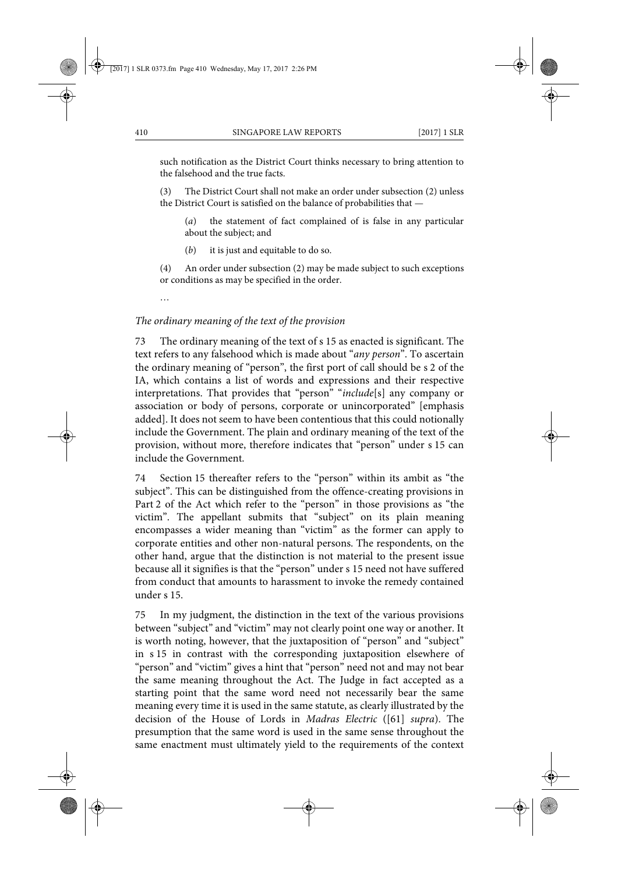such notification as the District Court thinks necessary to bring attention to the falsehood and the true facts.

(3) The District Court shall not make an order under subsection (2) unless the District Court is satisfied on the balance of probabilities that —

(*a*) the statement of fact complained of is false in any particular about the subject; and

(*b*) it is just and equitable to do so.

(4) An order under subsection (2) may be made subject to such exceptions or conditions as may be specified in the order.

…

## *The ordinary meaning of the text of the provision*

73 The ordinary meaning of the text of s 15 as enacted is significant. The text refers to any falsehood which is made about "*any person*". To ascertain the ordinary meaning of "person", the first port of call should be s 2 of the IA, which contains a list of words and expressions and their respective interpretations. That provides that "person" "*include*[s] any company or association or body of persons, corporate or unincorporated" [emphasis added]. It does not seem to have been contentious that this could notionally include the Government. The plain and ordinary meaning of the text of the provision, without more, therefore indicates that "person" under s 15 can include the Government.

74 Section 15 thereafter refers to the "person" within its ambit as "the subject". This can be distinguished from the offence-creating provisions in Part 2 of the Act which refer to the "person" in those provisions as "the victim". The appellant submits that "subject" on its plain meaning encompasses a wider meaning than "victim" as the former can apply to corporate entities and other non-natural persons. The respondents, on the other hand, argue that the distinction is not material to the present issue because all it signifies is that the "person" under s 15 need not have suffered from conduct that amounts to harassment to invoke the remedy contained under s 15.

75 In my judgment, the distinction in the text of the various provisions between "subject" and "victim" may not clearly point one way or another. It is worth noting, however, that the juxtaposition of "person" and "subject" in s 15 in contrast with the corresponding juxtaposition elsewhere of "person" and "victim" gives a hint that "person" need not and may not bear the same meaning throughout the Act. The Judge in fact accepted as a starting point that the same word need not necessarily bear the same meaning every time it is used in the same statute, as clearly illustrated by the decision of the House of Lords in *Madras Electric* ([61] *supra*). The presumption that the same word is used in the same sense throughout the same enactment must ultimately yield to the requirements of the context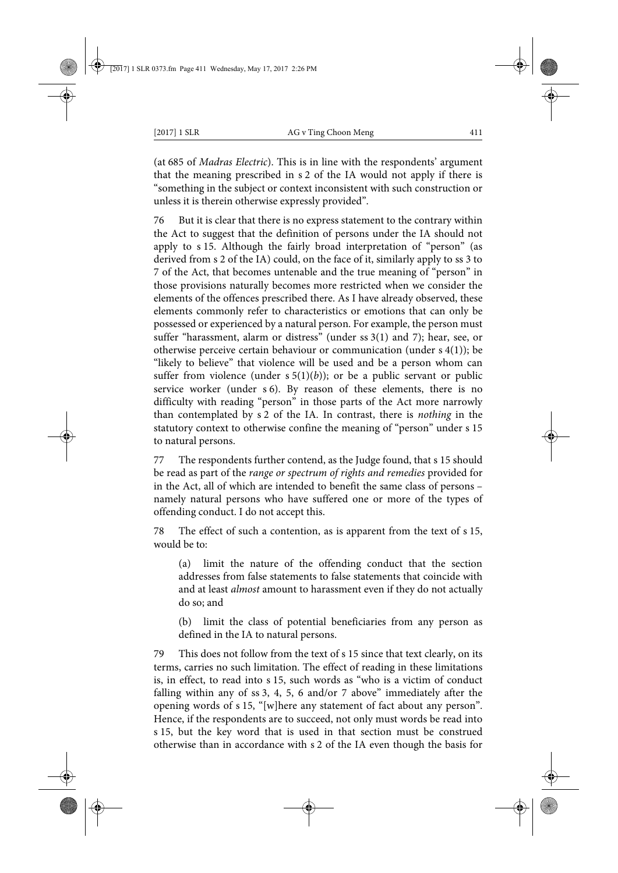(at 685 of *Madras Electric*). This is in line with the respondents' argument that the meaning prescribed in s 2 of the IA would not apply if there is "something in the subject or context inconsistent with such construction or unless it is therein otherwise expressly provided".

76 But it is clear that there is no express statement to the contrary within the Act to suggest that the definition of persons under the IA should not apply to s 15. Although the fairly broad interpretation of "person" (as derived from s 2 of the IA) could, on the face of it, similarly apply to ss 3 to 7 of the Act, that becomes untenable and the true meaning of "person" in those provisions naturally becomes more restricted when we consider the elements of the offences prescribed there. As I have already observed, these elements commonly refer to characteristics or emotions that can only be possessed or experienced by a natural person. For example, the person must suffer "harassment, alarm or distress" (under ss 3(1) and 7); hear, see, or otherwise perceive certain behaviour or communication (under s 4(1)); be "likely to believe" that violence will be used and be a person whom can suffer from violence (under  $s 5(1)(b)$ ); or be a public servant or public service worker (under s 6). By reason of these elements, there is no difficulty with reading "person" in those parts of the Act more narrowly than contemplated by s 2 of the IA. In contrast, there is *nothing* in the statutory context to otherwise confine the meaning of "person" under s 15 to natural persons.

77 The respondents further contend, as the Judge found, that s 15 should be read as part of the *range or spectrum of rights and remedies* provided for in the Act, all of which are intended to benefit the same class of persons – namely natural persons who have suffered one or more of the types of offending conduct. I do not accept this.

78 The effect of such a contention, as is apparent from the text of s 15, would be to:

(a) limit the nature of the offending conduct that the section addresses from false statements to false statements that coincide with and at least *almost* amount to harassment even if they do not actually do so; and

(b) limit the class of potential beneficiaries from any person as defined in the IA to natural persons.

79 This does not follow from the text of s 15 since that text clearly, on its terms, carries no such limitation. The effect of reading in these limitations is, in effect, to read into s 15, such words as "who is a victim of conduct falling within any of ss 3, 4, 5, 6 and/or 7 above" immediately after the opening words of s 15, "[w]here any statement of fact about any person". Hence, if the respondents are to succeed, not only must words be read into s 15, but the key word that is used in that section must be construed otherwise than in accordance with s 2 of the IA even though the basis for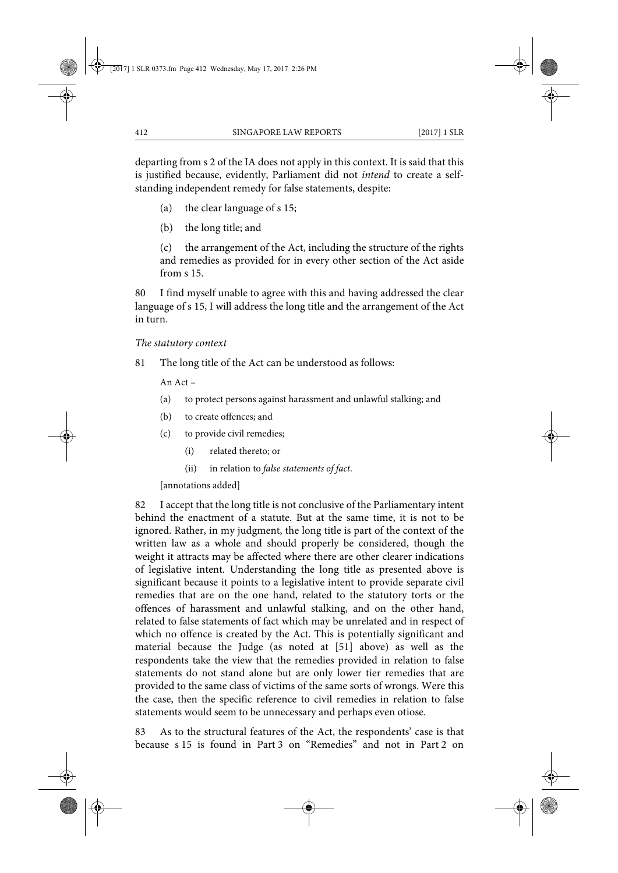departing from s 2 of the IA does not apply in this context. It is said that this is justified because, evidently, Parliament did not *intend* to create a selfstanding independent remedy for false statements, despite:

- (a) the clear language of s 15;
- (b) the long title; and

(c) the arrangement of the Act, including the structure of the rights and remedies as provided for in every other section of the Act aside from s 15.

80 I find myself unable to agree with this and having addressed the clear language of s 15, I will address the long title and the arrangement of the Act in turn.

### *The statutory context*

81 The long title of the Act can be understood as follows:

An Act –

- (a) to protect persons against harassment and unlawful stalking; and
- (b) to create offences; and
- (c) to provide civil remedies;
	- (i) related thereto; or
	- (ii) in relation to *false statements of fact*.

[annotations added]

82 I accept that the long title is not conclusive of the Parliamentary intent behind the enactment of a statute. But at the same time, it is not to be ignored. Rather, in my judgment, the long title is part of the context of the written law as a whole and should properly be considered, though the weight it attracts may be affected where there are other clearer indications of legislative intent. Understanding the long title as presented above is significant because it points to a legislative intent to provide separate civil remedies that are on the one hand, related to the statutory torts or the offences of harassment and unlawful stalking, and on the other hand, related to false statements of fact which may be unrelated and in respect of which no offence is created by the Act. This is potentially significant and material because the Judge (as noted at [51] above) as well as the respondents take the view that the remedies provided in relation to false statements do not stand alone but are only lower tier remedies that are provided to the same class of victims of the same sorts of wrongs. Were this the case, then the specific reference to civil remedies in relation to false statements would seem to be unnecessary and perhaps even otiose.

83 As to the structural features of the Act, the respondents' case is that because s 15 is found in Part 3 on "Remedies" and not in Part 2 on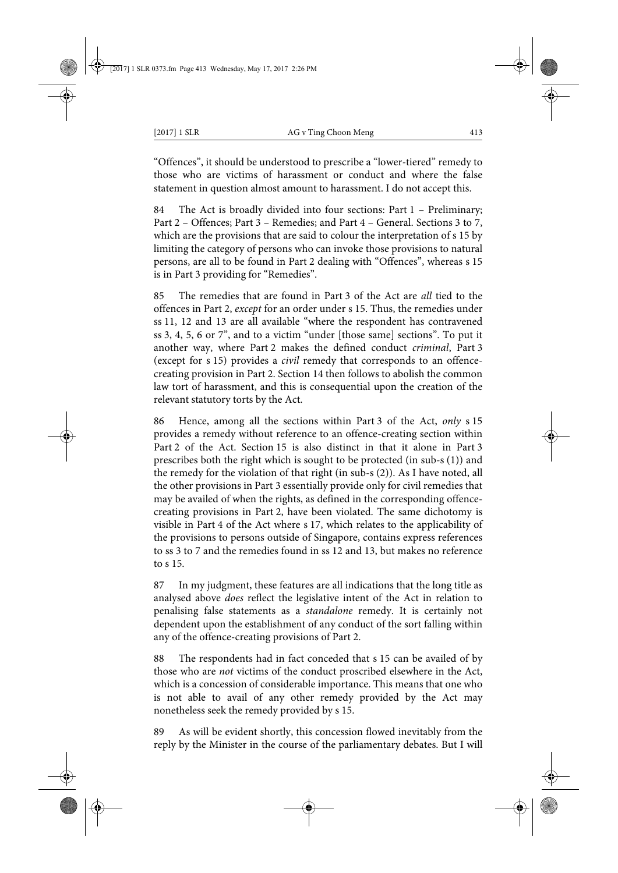"Offences", it should be understood to prescribe a "lower-tiered" remedy to those who are victims of harassment or conduct and where the false statement in question almost amount to harassment. I do not accept this.

84 The Act is broadly divided into four sections: Part 1 – Preliminary; Part 2 – Offences; Part 3 – Remedies; and Part 4 – General. Sections 3 to 7, which are the provisions that are said to colour the interpretation of s 15 by limiting the category of persons who can invoke those provisions to natural persons, are all to be found in Part 2 dealing with "Offences", whereas s 15 is in Part 3 providing for "Remedies".

85 The remedies that are found in Part 3 of the Act are *all* tied to the offences in Part 2, *except* for an order under s 15. Thus, the remedies under ss 11, 12 and 13 are all available "where the respondent has contravened ss 3, 4, 5, 6 or 7", and to a victim "under [those same] sections". To put it another way, where Part 2 makes the defined conduct *criminal*, Part 3 (except for s 15) provides a *civil* remedy that corresponds to an offencecreating provision in Part 2. Section 14 then follows to abolish the common law tort of harassment, and this is consequential upon the creation of the relevant statutory torts by the Act.

86 Hence, among all the sections within Part 3 of the Act, *only* s 15 provides a remedy without reference to an offence-creating section within Part 2 of the Act. Section 15 is also distinct in that it alone in Part 3 prescribes both the right which is sought to be protected (in sub-s (1)) and the remedy for the violation of that right (in sub-s (2)). As I have noted, all the other provisions in Part 3 essentially provide only for civil remedies that may be availed of when the rights, as defined in the corresponding offencecreating provisions in Part 2, have been violated. The same dichotomy is visible in Part 4 of the Act where s 17, which relates to the applicability of the provisions to persons outside of Singapore, contains express references to ss 3 to 7 and the remedies found in ss 12 and 13, but makes no reference to s 15.

87 In my judgment, these features are all indications that the long title as analysed above *does* reflect the legislative intent of the Act in relation to penalising false statements as a *standalone* remedy. It is certainly not dependent upon the establishment of any conduct of the sort falling within any of the offence-creating provisions of Part 2.

88 The respondents had in fact conceded that s 15 can be availed of by those who are *not* victims of the conduct proscribed elsewhere in the Act, which is a concession of considerable importance. This means that one who is not able to avail of any other remedy provided by the Act may nonetheless seek the remedy provided by s 15.

89 As will be evident shortly, this concession flowed inevitably from the reply by the Minister in the course of the parliamentary debates. But I will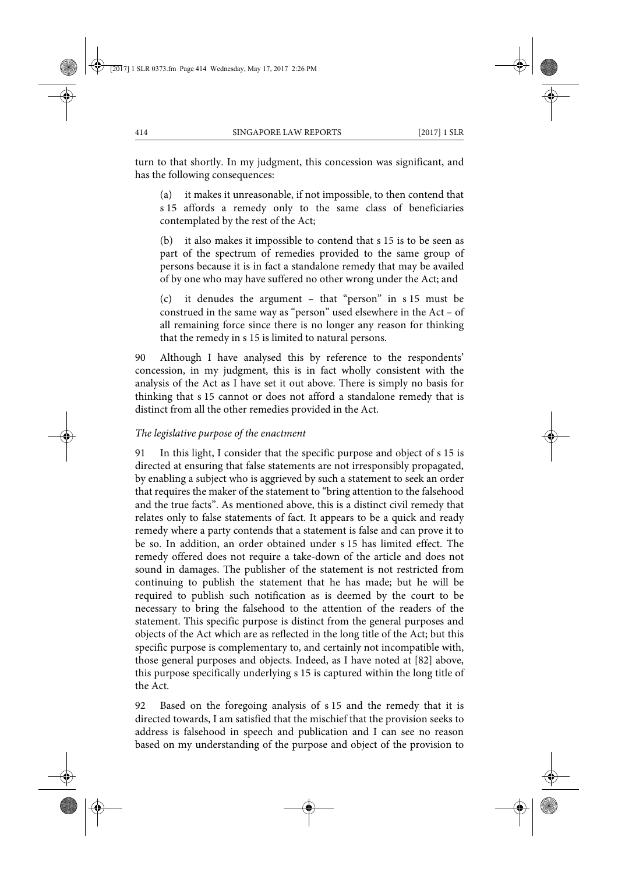turn to that shortly. In my judgment, this concession was significant, and has the following consequences:

(a) it makes it unreasonable, if not impossible, to then contend that s 15 affords a remedy only to the same class of beneficiaries contemplated by the rest of the Act;

(b) it also makes it impossible to contend that s 15 is to be seen as part of the spectrum of remedies provided to the same group of persons because it is in fact a standalone remedy that may be availed of by one who may have suffered no other wrong under the Act; and

(c) it denudes the argument – that "person" in s 15 must be construed in the same way as "person" used elsewhere in the Act – of all remaining force since there is no longer any reason for thinking that the remedy in s 15 is limited to natural persons.

90 Although I have analysed this by reference to the respondents' concession, in my judgment, this is in fact wholly consistent with the analysis of the Act as I have set it out above. There is simply no basis for thinking that s 15 cannot or does not afford a standalone remedy that is distinct from all the other remedies provided in the Act.

## *The legislative purpose of the enactment*

91 In this light, I consider that the specific purpose and object of s 15 is directed at ensuring that false statements are not irresponsibly propagated, by enabling a subject who is aggrieved by such a statement to seek an order that requires the maker of the statement to "bring attention to the falsehood and the true facts". As mentioned above, this is a distinct civil remedy that relates only to false statements of fact. It appears to be a quick and ready remedy where a party contends that a statement is false and can prove it to be so. In addition, an order obtained under s 15 has limited effect. The remedy offered does not require a take-down of the article and does not sound in damages. The publisher of the statement is not restricted from continuing to publish the statement that he has made; but he will be required to publish such notification as is deemed by the court to be necessary to bring the falsehood to the attention of the readers of the statement. This specific purpose is distinct from the general purposes and objects of the Act which are as reflected in the long title of the Act; but this specific purpose is complementary to, and certainly not incompatible with, those general purposes and objects. Indeed, as I have noted at [82] above, this purpose specifically underlying s 15 is captured within the long title of the Act.

92 Based on the foregoing analysis of s 15 and the remedy that it is directed towards, I am satisfied that the mischief that the provision seeks to address is falsehood in speech and publication and I can see no reason based on my understanding of the purpose and object of the provision to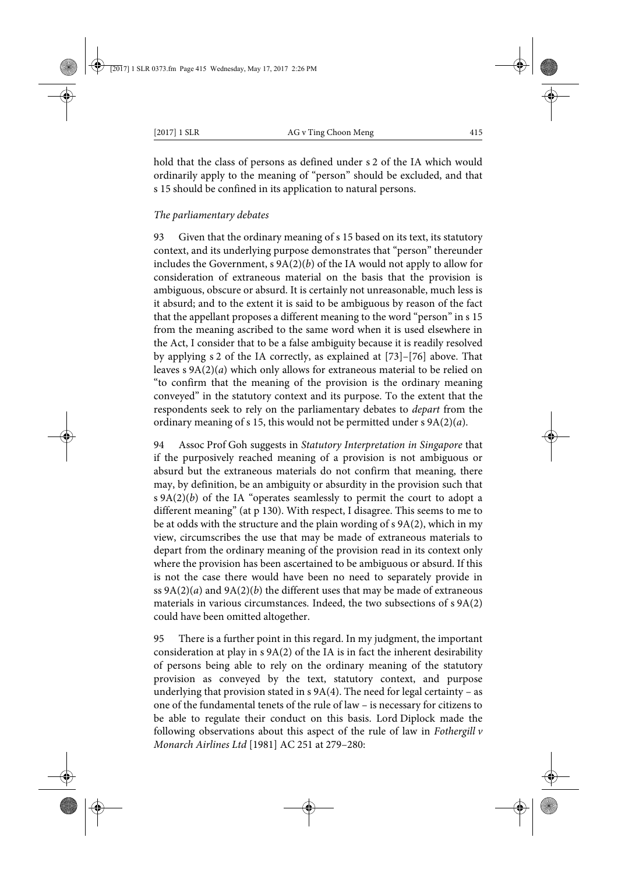hold that the class of persons as defined under s 2 of the IA which would ordinarily apply to the meaning of "person" should be excluded, and that s 15 should be confined in its application to natural persons.

## *The parliamentary debates*

93 Given that the ordinary meaning of s 15 based on its text, its statutory context, and its underlying purpose demonstrates that "person" thereunder includes the Government, s 9A(2)(*b*) of the IA would not apply to allow for consideration of extraneous material on the basis that the provision is ambiguous, obscure or absurd. It is certainly not unreasonable, much less is it absurd; and to the extent it is said to be ambiguous by reason of the fact that the appellant proposes a different meaning to the word "person" in s 15 from the meaning ascribed to the same word when it is used elsewhere in the Act, I consider that to be a false ambiguity because it is readily resolved by applying s 2 of the IA correctly, as explained at [73]–[76] above. That leaves s 9A(2)(*a*) which only allows for extraneous material to be relied on "to confirm that the meaning of the provision is the ordinary meaning conveyed" in the statutory context and its purpose. To the extent that the respondents seek to rely on the parliamentary debates to *depart* from the ordinary meaning of s 15, this would not be permitted under s 9A(2)(*a*).

94 Assoc Prof Goh suggests in *Statutory Interpretation in Singapore* that if the purposively reached meaning of a provision is not ambiguous or absurd but the extraneous materials do not confirm that meaning, there may, by definition, be an ambiguity or absurdity in the provision such that s 9A(2)(*b*) of the IA "operates seamlessly to permit the court to adopt a different meaning" (at p 130). With respect, I disagree. This seems to me to be at odds with the structure and the plain wording of s 9A(2), which in my view, circumscribes the use that may be made of extraneous materials to depart from the ordinary meaning of the provision read in its context only where the provision has been ascertained to be ambiguous or absurd. If this is not the case there would have been no need to separately provide in ss 9A(2)(*a*) and 9A(2)(*b*) the different uses that may be made of extraneous materials in various circumstances. Indeed, the two subsections of s 9A(2) could have been omitted altogether.

95 There is a further point in this regard. In my judgment, the important consideration at play in s 9A(2) of the IA is in fact the inherent desirability of persons being able to rely on the ordinary meaning of the statutory provision as conveyed by the text, statutory context, and purpose underlying that provision stated in  $s$  9A(4). The need for legal certainty – as one of the fundamental tenets of the rule of law – is necessary for citizens to be able to regulate their conduct on this basis. Lord Diplock made the following observations about this aspect of the rule of law in *Fothergill v Monarch Airlines Ltd* [1981] AC 251 at 279–280: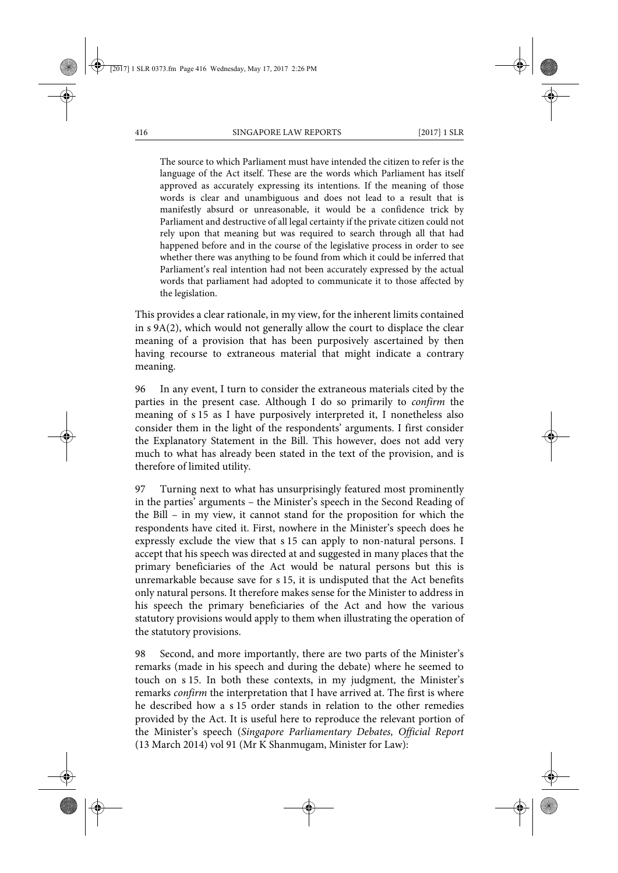The source to which Parliament must have intended the citizen to refer is the language of the Act itself. These are the words which Parliament has itself approved as accurately expressing its intentions. If the meaning of those words is clear and unambiguous and does not lead to a result that is manifestly absurd or unreasonable, it would be a confidence trick by Parliament and destructive of all legal certainty if the private citizen could not rely upon that meaning but was required to search through all that had happened before and in the course of the legislative process in order to see whether there was anything to be found from which it could be inferred that Parliament's real intention had not been accurately expressed by the actual words that parliament had adopted to communicate it to those affected by the legislation.

This provides a clear rationale, in my view, for the inherent limits contained in s 9A(2), which would not generally allow the court to displace the clear meaning of a provision that has been purposively ascertained by then having recourse to extraneous material that might indicate a contrary meaning.

96 In any event, I turn to consider the extraneous materials cited by the parties in the present case. Although I do so primarily to *confirm* the meaning of s 15 as I have purposively interpreted it, I nonetheless also consider them in the light of the respondents' arguments. I first consider the Explanatory Statement in the Bill. This however, does not add very much to what has already been stated in the text of the provision, and is therefore of limited utility.

97 Turning next to what has unsurprisingly featured most prominently in the parties' arguments – the Minister's speech in the Second Reading of the Bill – in my view, it cannot stand for the proposition for which the respondents have cited it. First, nowhere in the Minister's speech does he expressly exclude the view that s 15 can apply to non-natural persons. I accept that his speech was directed at and suggested in many places that the primary beneficiaries of the Act would be natural persons but this is unremarkable because save for s 15, it is undisputed that the Act benefits only natural persons. It therefore makes sense for the Minister to address in his speech the primary beneficiaries of the Act and how the various statutory provisions would apply to them when illustrating the operation of the statutory provisions.

98 Second, and more importantly, there are two parts of the Minister's remarks (made in his speech and during the debate) where he seemed to touch on s 15. In both these contexts, in my judgment, the Minister's remarks *confirm* the interpretation that I have arrived at. The first is where he described how a s 15 order stands in relation to the other remedies provided by the Act. It is useful here to reproduce the relevant portion of the Minister's speech (*Singapore Parliamentary Debates, Official Report* (13 March 2014) vol 91 (Mr K Shanmugam, Minister for Law):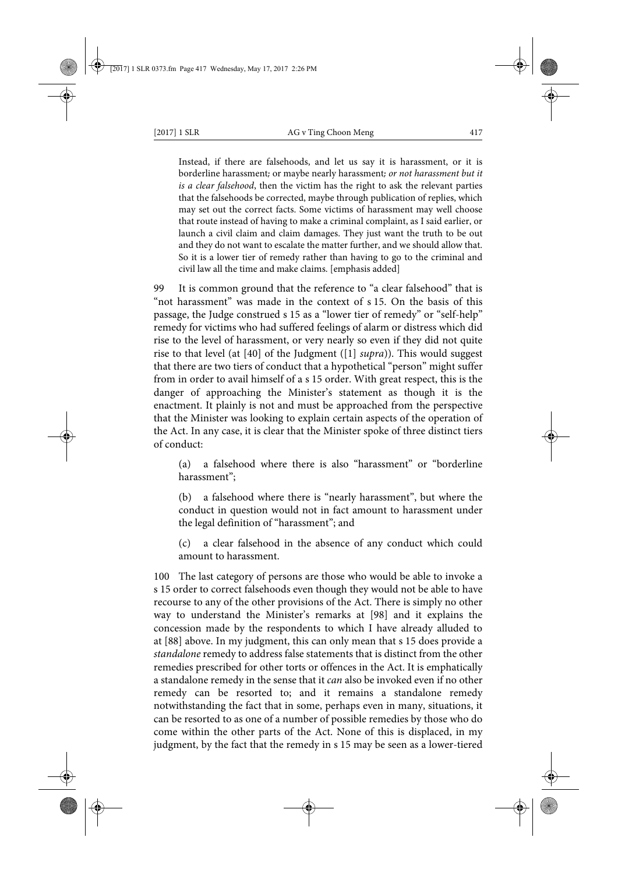Instead, if there are falsehoods, and let us say it is harassment, or it is borderline harassment; or maybe nearly harassment; *or not harassment but it is a clear falsehood*, then the victim has the right to ask the relevant parties that the falsehoods be corrected, maybe through publication of replies, which may set out the correct facts. Some victims of harassment may well choose that route instead of having to make a criminal complaint, as I said earlier, or launch a civil claim and claim damages. They just want the truth to be out and they do not want to escalate the matter further, and we should allow that. So it is a lower tier of remedy rather than having to go to the criminal and civil law all the time and make claims. [emphasis added]

99 It is common ground that the reference to "a clear falsehood" that is "not harassment" was made in the context of s 15. On the basis of this passage, the Judge construed s 15 as a "lower tier of remedy" or "self-help" remedy for victims who had suffered feelings of alarm or distress which did rise to the level of harassment, or very nearly so even if they did not quite rise to that level (at [40] of the Judgment ([1] *supra*)). This would suggest that there are two tiers of conduct that a hypothetical "person" might suffer from in order to avail himself of a s 15 order. With great respect, this is the danger of approaching the Minister's statement as though it is the enactment. It plainly is not and must be approached from the perspective that the Minister was looking to explain certain aspects of the operation of the Act. In any case, it is clear that the Minister spoke of three distinct tiers of conduct:

(a) a falsehood where there is also "harassment" or "borderline harassment";

(b) a falsehood where there is "nearly harassment", but where the conduct in question would not in fact amount to harassment under the legal definition of "harassment"; and

(c) a clear falsehood in the absence of any conduct which could amount to harassment.

100 The last category of persons are those who would be able to invoke a s 15 order to correct falsehoods even though they would not be able to have recourse to any of the other provisions of the Act. There is simply no other way to understand the Minister's remarks at [98] and it explains the concession made by the respondents to which I have already alluded to at [88] above. In my judgment, this can only mean that s 15 does provide a *standalone* remedy to address false statements that is distinct from the other remedies prescribed for other torts or offences in the Act. It is emphatically a standalone remedy in the sense that it *can* also be invoked even if no other remedy can be resorted to; and it remains a standalone remedy notwithstanding the fact that in some, perhaps even in many, situations, it can be resorted to as one of a number of possible remedies by those who do come within the other parts of the Act. None of this is displaced, in my judgment, by the fact that the remedy in s 15 may be seen as a lower-tiered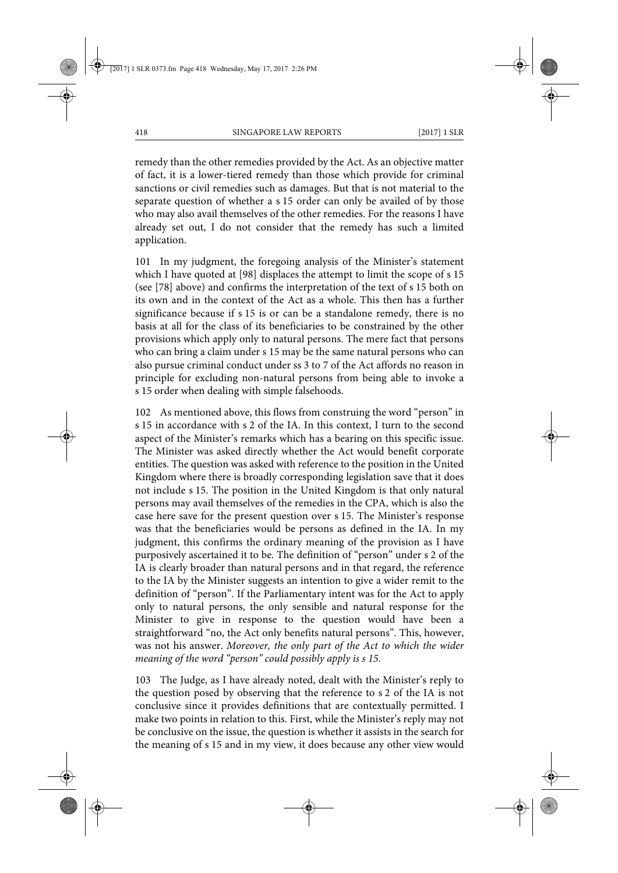remedy than the other remedies provided by the Act. As an objective matter of fact, it is a lower-tiered remedy than those which provide for criminal sanctions or civil remedies such as damages. But that is not material to the separate question of whether a s 15 order can only be availed of by those who may also avail themselves of the other remedies. For the reasons I have already set out, I do not consider that the remedy has such a limited application.

101 In my judgment, the foregoing analysis of the Minister's statement which I have quoted at [98] displaces the attempt to limit the scope of s 15 (see [78] above) and confirms the interpretation of the text of s 15 both on its own and in the context of the Act as a whole. This then has a further significance because if s 15 is or can be a standalone remedy, there is no basis at all for the class of its beneficiaries to be constrained by the other provisions which apply only to natural persons. The mere fact that persons who can bring a claim under s 15 may be the same natural persons who can also pursue criminal conduct under ss 3 to 7 of the Act affords no reason in principle for excluding non-natural persons from being able to invoke a s 15 order when dealing with simple falsehoods.

102 As mentioned above, this flows from construing the word "person" in s 15 in accordance with s 2 of the IA. In this context, I turn to the second aspect of the Minister's remarks which has a bearing on this specific issue. The Minister was asked directly whether the Act would benefit corporate entities. The question was asked with reference to the position in the United Kingdom where there is broadly corresponding legislation save that it does not include s 15. The position in the United Kingdom is that only natural persons may avail themselves of the remedies in the CPA, which is also the case here save for the present question over s 15. The Minister's response was that the beneficiaries would be persons as defined in the IA. In my judgment, this confirms the ordinary meaning of the provision as I have purposively ascertained it to be. The definition of "person" under s 2 of the IA is clearly broader than natural persons and in that regard, the reference to the IA by the Minister suggests an intention to give a wider remit to the definition of "person". If the Parliamentary intent was for the Act to apply only to natural persons, the only sensible and natural response for the Minister to give in response to the question would have been a straightforward "no, the Act only benefits natural persons". This, however, was not his answer. *Moreover, the only part of the Act to which the wider meaning of the word "person" could possibly apply is s 15.*

103 The Judge, as I have already noted, dealt with the Minister's reply to the question posed by observing that the reference to s 2 of the IA is not conclusive since it provides definitions that are contextually permitted. I make two points in relation to this. First, while the Minister's reply may not be conclusive on the issue, the question is whether it assists in the search for the meaning of s 15 and in my view, it does because any other view would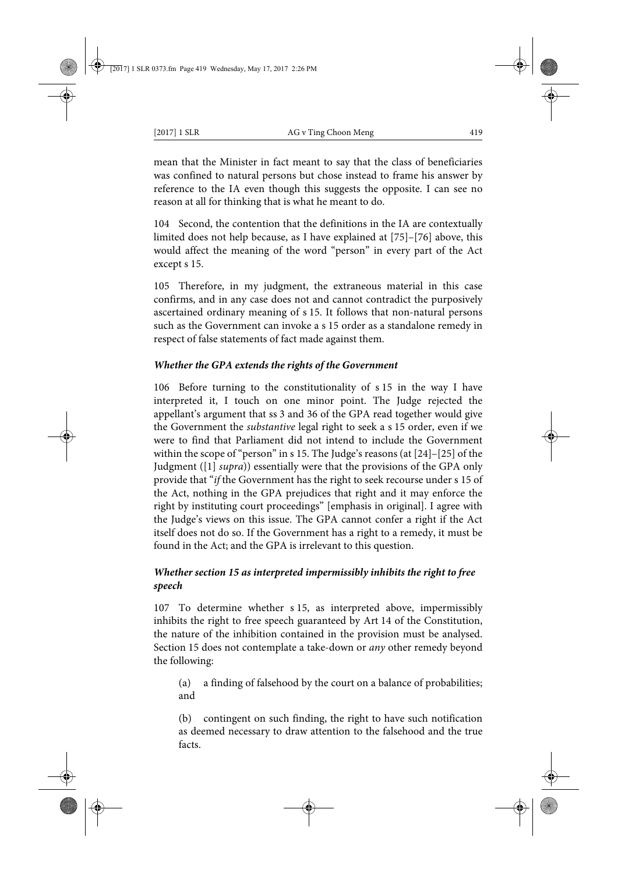mean that the Minister in fact meant to say that the class of beneficiaries was confined to natural persons but chose instead to frame his answer by reference to the IA even though this suggests the opposite. I can see no reason at all for thinking that is what he meant to do.

104 Second, the contention that the definitions in the IA are contextually limited does not help because, as I have explained at [75]–[76] above, this would affect the meaning of the word "person" in every part of the Act except s 15.

105 Therefore, in my judgment, the extraneous material in this case confirms, and in any case does not and cannot contradict the purposively ascertained ordinary meaning of s 15. It follows that non-natural persons such as the Government can invoke a s 15 order as a standalone remedy in respect of false statements of fact made against them.

## *Whether the GPA extends the rights of the Government*

106 Before turning to the constitutionality of s 15 in the way I have interpreted it, I touch on one minor point. The Judge rejected the appellant's argument that ss 3 and 36 of the GPA read together would give the Government the *substantive* legal right to seek a s 15 order, even if we were to find that Parliament did not intend to include the Government within the scope of "person" in s 15. The Judge's reasons (at [24]–[25] of the Judgment ([1] *supra*)) essentially were that the provisions of the GPA only provide that "*if* the Government has the right to seek recourse under s 15 of the Act, nothing in the GPA prejudices that right and it may enforce the right by instituting court proceedings" [emphasis in original]. I agree with the Judge's views on this issue. The GPA cannot confer a right if the Act itself does not do so. If the Government has a right to a remedy, it must be found in the Act; and the GPA is irrelevant to this question.

# *Whether section 15 as interpreted impermissibly inhibits the right to free speech*

107 To determine whether s 15, as interpreted above, impermissibly inhibits the right to free speech guaranteed by Art 14 of the Constitution, the nature of the inhibition contained in the provision must be analysed. Section 15 does not contemplate a take-down or *any* other remedy beyond the following:

(a) a finding of falsehood by the court on a balance of probabilities; and

(b) contingent on such finding, the right to have such notification as deemed necessary to draw attention to the falsehood and the true facts.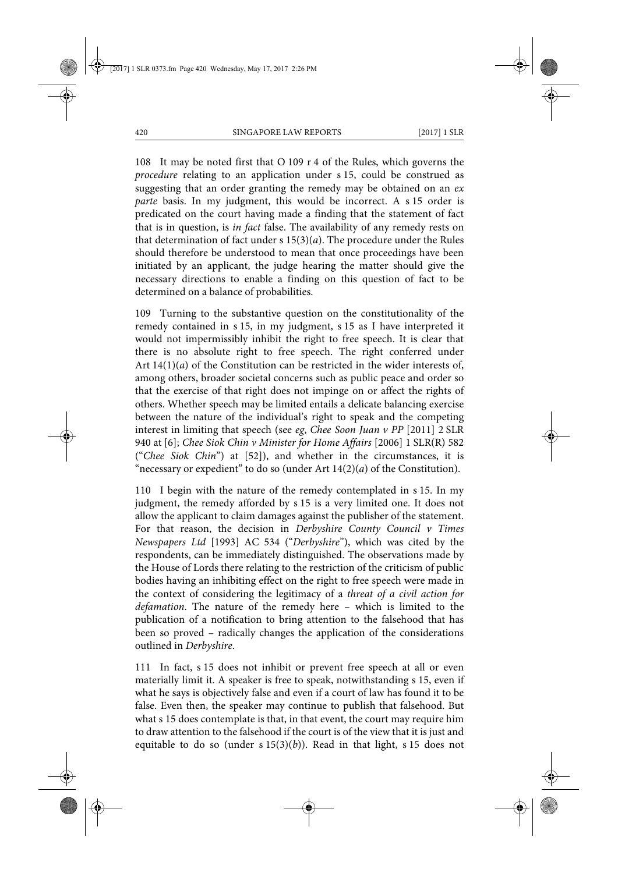108 It may be noted first that O 109 r 4 of the Rules, which governs the *procedure* relating to an application under s 15, could be construed as suggesting that an order granting the remedy may be obtained on an *ex parte* basis. In my judgment, this would be incorrect. A s 15 order is predicated on the court having made a finding that the statement of fact that is in question, is *in fact* false. The availability of any remedy rests on that determination of fact under s 15(3)(*a*). The procedure under the Rules should therefore be understood to mean that once proceedings have been initiated by an applicant, the judge hearing the matter should give the necessary directions to enable a finding on this question of fact to be determined on a balance of probabilities.

109 Turning to the substantive question on the constitutionality of the remedy contained in s 15, in my judgment, s 15 as I have interpreted it would not impermissibly inhibit the right to free speech. It is clear that there is no absolute right to free speech. The right conferred under Art 14(1)(*a*) of the Constitution can be restricted in the wider interests of, among others, broader societal concerns such as public peace and order so that the exercise of that right does not impinge on or affect the rights of others. Whether speech may be limited entails a delicate balancing exercise between the nature of the individual's right to speak and the competing interest in limiting that speech (see *eg*, *Chee Soon Juan v PP* [2011] 2 SLR 940 at [6]; *Chee Siok Chin v Minister for Home Affairs* [2006] 1 SLR(R) 582 ("*Chee Siok Chin*") at [52]), and whether in the circumstances, it is "necessary or expedient" to do so (under Art  $14(2)(a)$  of the Constitution).

110 I begin with the nature of the remedy contemplated in s 15. In my judgment, the remedy afforded by s 15 is a very limited one. It does not allow the applicant to claim damages against the publisher of the statement. For that reason, the decision in *Derbyshire County Council v Times Newspapers Ltd* [1993] AC 534 ("*Derbyshire*"), which was cited by the respondents, can be immediately distinguished. The observations made by the House of Lords there relating to the restriction of the criticism of public bodies having an inhibiting effect on the right to free speech were made in the context of considering the legitimacy of a *threat of a civil action for defamation*. The nature of the remedy here – which is limited to the publication of a notification to bring attention to the falsehood that has been so proved – radically changes the application of the considerations outlined in *Derbyshire*.

111 In fact, s 15 does not inhibit or prevent free speech at all or even materially limit it. A speaker is free to speak, notwithstanding s 15, even if what he says is objectively false and even if a court of law has found it to be false. Even then, the speaker may continue to publish that falsehood. But what s 15 does contemplate is that, in that event, the court may require him to draw attention to the falsehood if the court is of the view that it is just and equitable to do so (under  $s 15(3)(b)$ ). Read in that light,  $s 15$  does not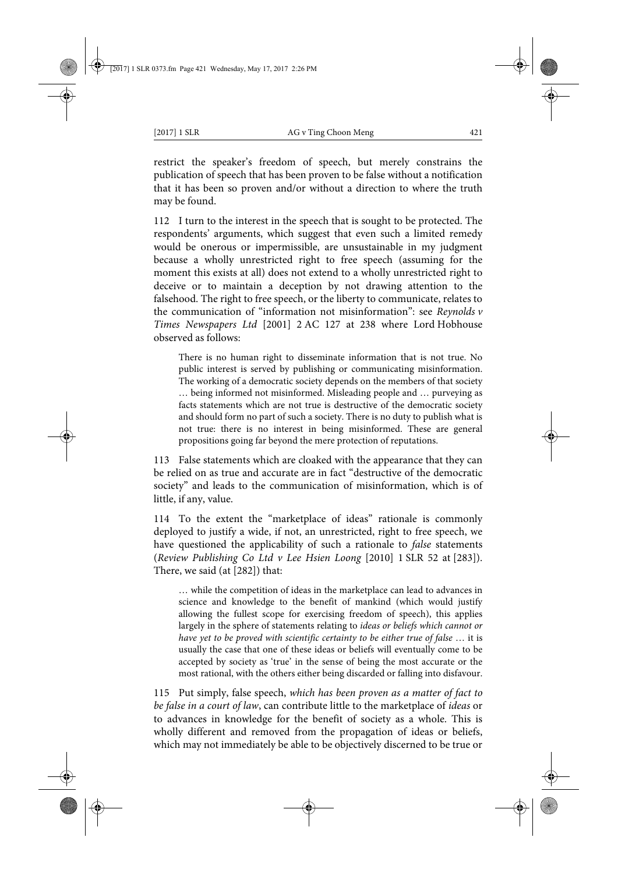restrict the speaker's freedom of speech, but merely constrains the publication of speech that has been proven to be false without a notification that it has been so proven and/or without a direction to where the truth may be found.

112 I turn to the interest in the speech that is sought to be protected. The respondents' arguments, which suggest that even such a limited remedy would be onerous or impermissible, are unsustainable in my judgment because a wholly unrestricted right to free speech (assuming for the moment this exists at all) does not extend to a wholly unrestricted right to deceive or to maintain a deception by not drawing attention to the falsehood. The right to free speech, or the liberty to communicate, relates to the communication of "information not misinformation": see *Reynolds v Times Newspapers Ltd* [2001] 2 AC 127 at 238 where Lord Hobhouse observed as follows:

There is no human right to disseminate information that is not true. No public interest is served by publishing or communicating misinformation. The working of a democratic society depends on the members of that society … being informed not misinformed. Misleading people and … purveying as facts statements which are not true is destructive of the democratic society and should form no part of such a society. There is no duty to publish what is not true: there is no interest in being misinformed. These are general propositions going far beyond the mere protection of reputations.

113 False statements which are cloaked with the appearance that they can be relied on as true and accurate are in fact "destructive of the democratic society" and leads to the communication of misinformation, which is of little, if any, value.

114 To the extent the "marketplace of ideas" rationale is commonly deployed to justify a wide, if not, an unrestricted, right to free speech, we have questioned the applicability of such a rationale to *false* statements (*Review Publishing Co Ltd v Lee Hsien Loong* [2010] 1 SLR 52 at [283]). There, we said (at [282]) that:

… while the competition of ideas in the marketplace can lead to advances in science and knowledge to the benefit of mankind (which would justify allowing the fullest scope for exercising freedom of speech), this applies largely in the sphere of statements relating to *ideas or beliefs which cannot or have yet to be proved with scientific certainty to be either true of false* … it is usually the case that one of these ideas or beliefs will eventually come to be accepted by society as 'true' in the sense of being the most accurate or the most rational, with the others either being discarded or falling into disfavour.

115 Put simply, false speech, *which has been proven as a matter of fact to be false in a court of law*, can contribute little to the marketplace of *ideas* or to advances in knowledge for the benefit of society as a whole. This is wholly different and removed from the propagation of ideas or beliefs, which may not immediately be able to be objectively discerned to be true or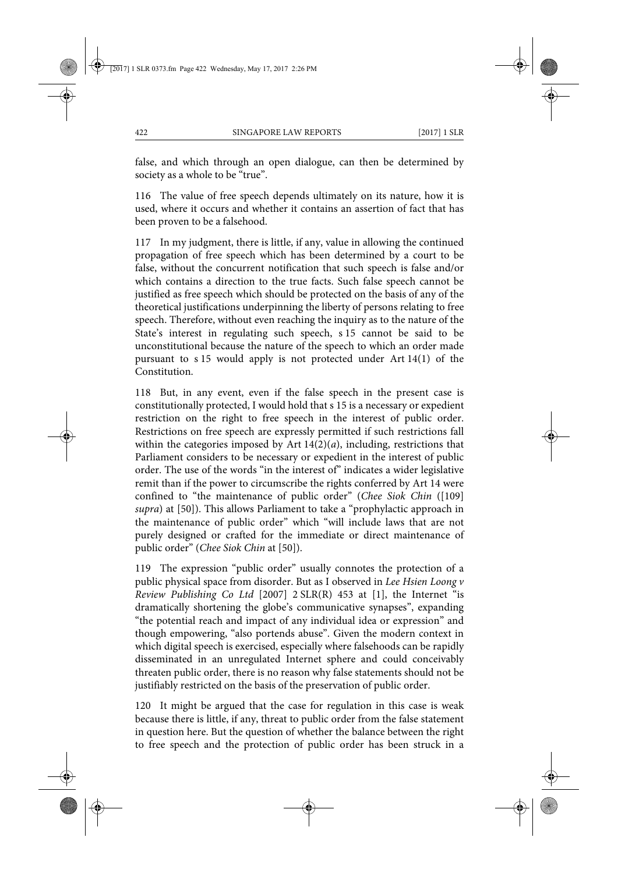false, and which through an open dialogue, can then be determined by society as a whole to be "true".

116 The value of free speech depends ultimately on its nature, how it is used, where it occurs and whether it contains an assertion of fact that has been proven to be a falsehood.

117 In my judgment, there is little, if any, value in allowing the continued propagation of free speech which has been determined by a court to be false, without the concurrent notification that such speech is false and/or which contains a direction to the true facts. Such false speech cannot be justified as free speech which should be protected on the basis of any of the theoretical justifications underpinning the liberty of persons relating to free speech. Therefore, without even reaching the inquiry as to the nature of the State's interest in regulating such speech, s 15 cannot be said to be unconstitutional because the nature of the speech to which an order made pursuant to s 15 would apply is not protected under Art 14(1) of the Constitution.

118 But, in any event, even if the false speech in the present case is constitutionally protected, I would hold that s 15 is a necessary or expedient restriction on the right to free speech in the interest of public order. Restrictions on free speech are expressly permitted if such restrictions fall within the categories imposed by Art 14(2)(*a*), including, restrictions that Parliament considers to be necessary or expedient in the interest of public order. The use of the words "in the interest of" indicates a wider legislative remit than if the power to circumscribe the rights conferred by Art 14 were confined to "the maintenance of public order" (*Chee Siok Chin* ([109] *supra*) at [50]). This allows Parliament to take a "prophylactic approach in the maintenance of public order" which "will include laws that are not purely designed or crafted for the immediate or direct maintenance of public order" (*Chee Siok Chin* at [50]).

119 The expression "public order" usually connotes the protection of a public physical space from disorder. But as I observed in *Lee Hsien Loong v Review Publishing Co Ltd* [2007] 2 SLR(R) 453 at [1], the Internet "is dramatically shortening the globe's communicative synapses", expanding "the potential reach and impact of any individual idea or expression" and though empowering, "also portends abuse". Given the modern context in which digital speech is exercised, especially where falsehoods can be rapidly disseminated in an unregulated Internet sphere and could conceivably threaten public order, there is no reason why false statements should not be justifiably restricted on the basis of the preservation of public order.

120 It might be argued that the case for regulation in this case is weak because there is little, if any, threat to public order from the false statement in question here. But the question of whether the balance between the right to free speech and the protection of public order has been struck in a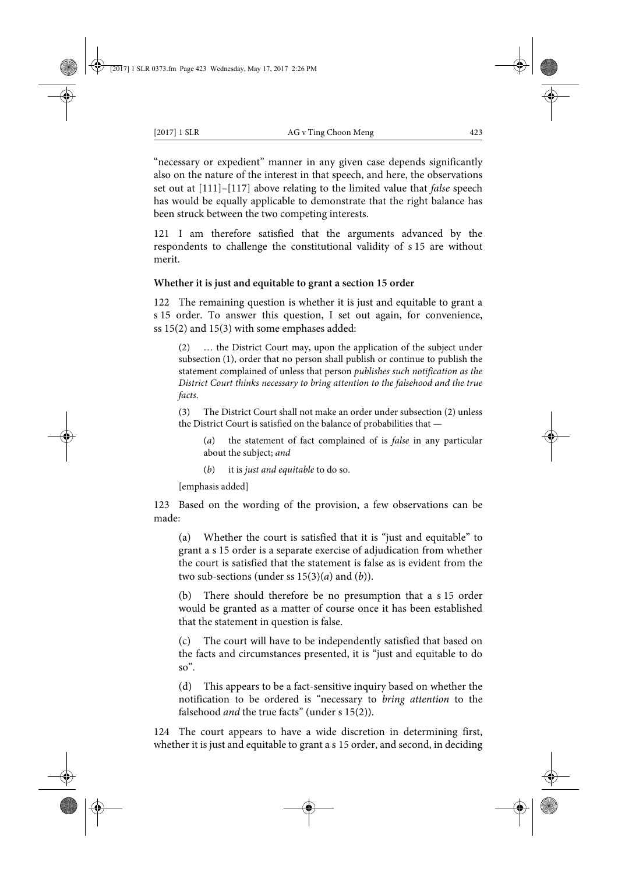"necessary or expedient" manner in any given case depends significantly also on the nature of the interest in that speech, and here, the observations set out at [111]–[117] above relating to the limited value that *false* speech has would be equally applicable to demonstrate that the right balance has been struck between the two competing interests.

121 I am therefore satisfied that the arguments advanced by the respondents to challenge the constitutional validity of s 15 are without merit.

### **Whether it is just and equitable to grant a section 15 order**

122 The remaining question is whether it is just and equitable to grant a s 15 order. To answer this question, I set out again, for convenience, ss 15(2) and 15(3) with some emphases added:

(2) … the District Court may, upon the application of the subject under subsection (1), order that no person shall publish or continue to publish the statement complained of unless that person *publishes such notification as the District Court thinks necessary to bring attention to the falsehood and the true facts*.

(3) The District Court shall not make an order under subsection (2) unless the District Court is satisfied on the balance of probabilities that —

(*a*) the statement of fact complained of is *false* in any particular about the subject; *and*

(*b*) it is *just and equitable* to do so.

[emphasis added]

123 Based on the wording of the provision, a few observations can be made:

(a) Whether the court is satisfied that it is "just and equitable" to grant a s 15 order is a separate exercise of adjudication from whether the court is satisfied that the statement is false as is evident from the two sub-sections (under ss 15(3)(*a*) and (*b*)).

(b) There should therefore be no presumption that a s 15 order would be granted as a matter of course once it has been established that the statement in question is false.

(c) The court will have to be independently satisfied that based on the facts and circumstances presented, it is "just and equitable to do so".

(d) This appears to be a fact-sensitive inquiry based on whether the notification to be ordered is "necessary to *bring attention* to the falsehood *and* the true facts" (under s 15(2)).

124 The court appears to have a wide discretion in determining first, whether it is just and equitable to grant a s 15 order, and second, in deciding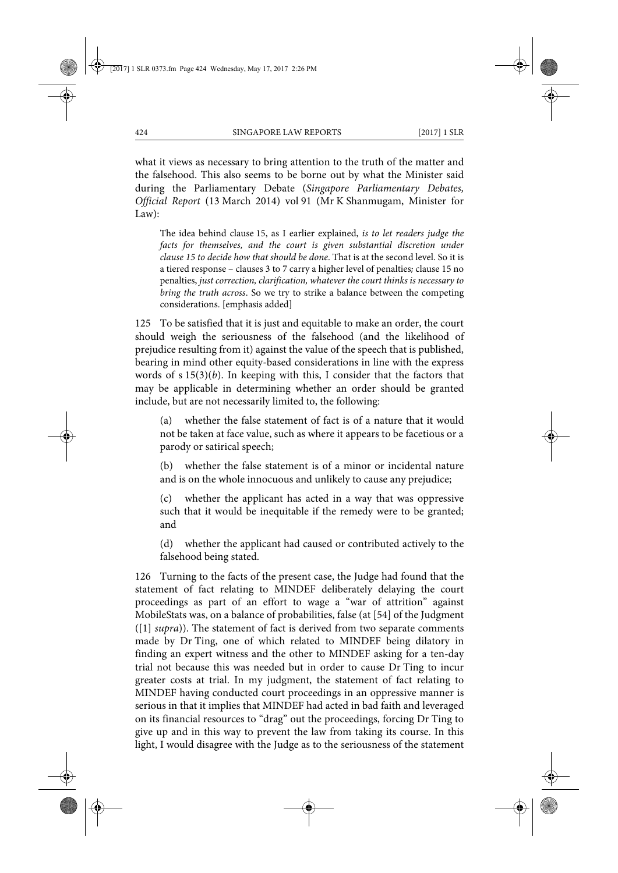what it views as necessary to bring attention to the truth of the matter and the falsehood. This also seems to be borne out by what the Minister said during the Parliamentary Debate (*Singapore Parliamentary Debates, Official Report* (13 March 2014) vol 91 (Mr K Shanmugam, Minister for Law):

The idea behind clause 15, as I earlier explained, *is to let readers judge the facts for themselves, and the court is given substantial discretion under clause 15 to decide how that should be done*. That is at the second level. So it is a tiered response – clauses 3 to 7 carry a higher level of penalties; clause 15 no penalties, *just correction, clarification, whatever the court thinks is necessary to bring the truth across*. So we try to strike a balance between the competing considerations. [emphasis added]

125 To be satisfied that it is just and equitable to make an order, the court should weigh the seriousness of the falsehood (and the likelihood of prejudice resulting from it) against the value of the speech that is published, bearing in mind other equity-based considerations in line with the express words of s 15(3)(*b*). In keeping with this, I consider that the factors that may be applicable in determining whether an order should be granted include, but are not necessarily limited to, the following:

(a) whether the false statement of fact is of a nature that it would not be taken at face value, such as where it appears to be facetious or a parody or satirical speech;

(b) whether the false statement is of a minor or incidental nature and is on the whole innocuous and unlikely to cause any prejudice;

(c) whether the applicant has acted in a way that was oppressive such that it would be inequitable if the remedy were to be granted; and

(d) whether the applicant had caused or contributed actively to the falsehood being stated.

126 Turning to the facts of the present case, the Judge had found that the statement of fact relating to MINDEF deliberately delaying the court proceedings as part of an effort to wage a "war of attrition" against MobileStats was, on a balance of probabilities, false (at [54] of the Judgment ([1] *supra*)). The statement of fact is derived from two separate comments made by Dr Ting, one of which related to MINDEF being dilatory in finding an expert witness and the other to MINDEF asking for a ten-day trial not because this was needed but in order to cause Dr Ting to incur greater costs at trial. In my judgment, the statement of fact relating to MINDEF having conducted court proceedings in an oppressive manner is serious in that it implies that MINDEF had acted in bad faith and leveraged on its financial resources to "drag" out the proceedings, forcing Dr Ting to give up and in this way to prevent the law from taking its course. In this light, I would disagree with the Judge as to the seriousness of the statement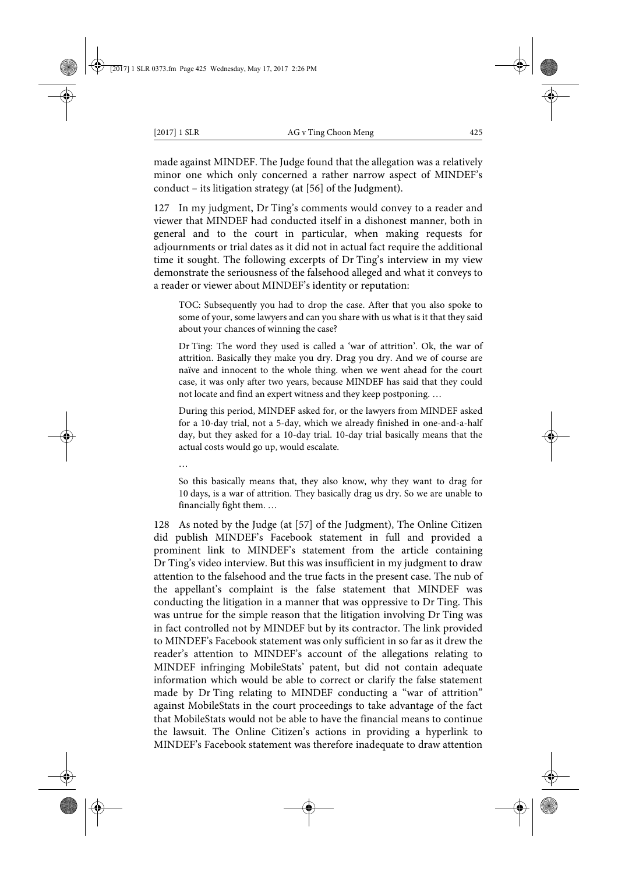made against MINDEF. The Judge found that the allegation was a relatively minor one which only concerned a rather narrow aspect of MINDEF's conduct – its litigation strategy (at [56] of the Judgment).

127 In my judgment, Dr Ting's comments would convey to a reader and viewer that MINDEF had conducted itself in a dishonest manner, both in general and to the court in particular, when making requests for adjournments or trial dates as it did not in actual fact require the additional time it sought. The following excerpts of Dr Ting's interview in my view demonstrate the seriousness of the falsehood alleged and what it conveys to a reader or viewer about MINDEF's identity or reputation:

TOC: Subsequently you had to drop the case. After that you also spoke to some of your, some lawyers and can you share with us what is it that they said about your chances of winning the case?

Dr Ting: The word they used is called a 'war of attrition'. Ok, the war of attrition. Basically they make you dry. Drag you dry. And we of course are naïve and innocent to the whole thing. when we went ahead for the court case, it was only after two years, because MINDEF has said that they could not locate and find an expert witness and they keep postponing. …

During this period, MINDEF asked for, or the lawyers from MINDEF asked for a 10-day trial, not a 5-day, which we already finished in one-and-a-half day, but they asked for a 10-day trial. 10-day trial basically means that the actual costs would go up, would escalate.

…

So this basically means that, they also know, why they want to drag for 10 days, is a war of attrition. They basically drag us dry. So we are unable to financially fight them. …

128 As noted by the Judge (at [57] of the Judgment), The Online Citizen did publish MINDEF's Facebook statement in full and provided a prominent link to MINDEF's statement from the article containing Dr Ting's video interview. But this was insufficient in my judgment to draw attention to the falsehood and the true facts in the present case. The nub of the appellant's complaint is the false statement that MINDEF was conducting the litigation in a manner that was oppressive to Dr Ting. This was untrue for the simple reason that the litigation involving Dr Ting was in fact controlled not by MINDEF but by its contractor. The link provided to MINDEF's Facebook statement was only sufficient in so far as it drew the reader's attention to MINDEF's account of the allegations relating to MINDEF infringing MobileStats' patent, but did not contain adequate information which would be able to correct or clarify the false statement made by Dr Ting relating to MINDEF conducting a "war of attrition" against MobileStats in the court proceedings to take advantage of the fact that MobileStats would not be able to have the financial means to continue the lawsuit. The Online Citizen's actions in providing a hyperlink to MINDEF's Facebook statement was therefore inadequate to draw attention